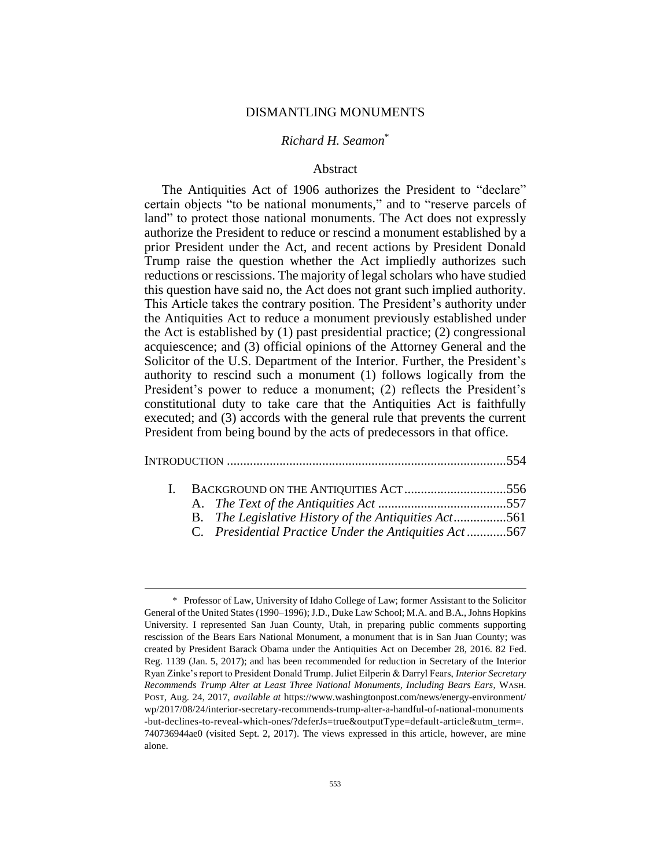# DISMANTLING MONUMENTS

# *Richard H. Seamon*\*

### Abstract

The Antiquities Act of 1906 authorizes the President to "declare" certain objects "to be national monuments," and to "reserve parcels of land" to protect those national monuments. The Act does not expressly authorize the President to reduce or rescind a monument established by a prior President under the Act, and recent actions by President Donald Trump raise the question whether the Act impliedly authorizes such reductions or rescissions. The majority of legal scholars who have studied this question have said no, the Act does not grant such implied authority. This Article takes the contrary position. The President's authority under the Antiquities Act to reduce a monument previously established under the Act is established by (1) past presidential practice; (2) congressional acquiescence; and (3) official opinions of the Attorney General and the Solicitor of the U.S. Department of the Interior. Further, the President's authority to rescind such a monument (1) follows logically from the President's power to reduce a monument; (2) reflects the President's constitutional duty to take care that the Antiquities Act is faithfully executed; and (3) accords with the general rule that prevents the current President from being bound by the acts of predecessors in that office.

| L. |                                                       |  |
|----|-------------------------------------------------------|--|
|    |                                                       |  |
|    | B. The Legislative History of the Antiquities Act561  |  |
|    | C. Presidential Practice Under the Antiquities Act567 |  |

<sup>\*</sup> Professor of Law, University of Idaho College of Law; former Assistant to the Solicitor General of the United States (1990–1996); J.D., Duke Law School; M.A. and B.A., Johns Hopkins University. I represented San Juan County, Utah, in preparing public comments supporting rescission of the Bears Ears National Monument, a monument that is in San Juan County; was created by President Barack Obama under the Antiquities Act on December 28, 2016. 82 Fed. Reg. 1139 (Jan. 5, 2017); and has been recommended for reduction in Secretary of the Interior Ryan Zinke's report to President Donald Trump. Juliet Eilperin & Darryl Fears, *Interior Secretary Recommends Trump Alter at Least Three National Monuments, Including Bears Ears*, WASH. POST, Aug. 24, 2017, *available at* https://www.washingtonpost.com/news/energy-environment/ wp/2017/08/24/interior-secretary-recommends-trump-alter-a-handful-of-national-monuments -but-declines-to-reveal-which-ones/?deferJs=true&outputType=default-article&utm\_term=. 740736944ae0 (visited Sept. 2, 2017). The views expressed in this article, however, are mine alone.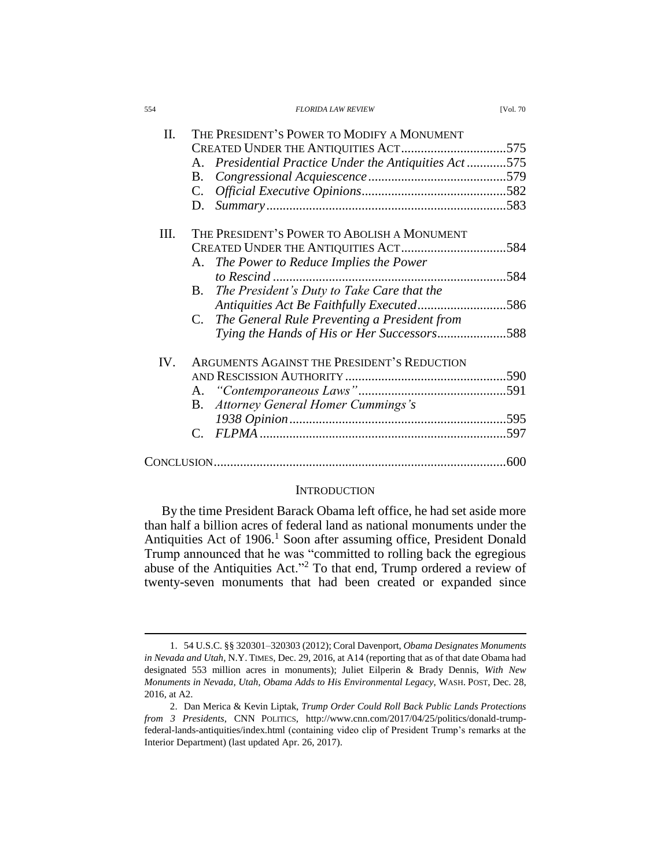| Π.   | THE PRESIDENT'S POWER TO MODIFY A MONUMENT              |  |
|------|---------------------------------------------------------|--|
|      | CREATED UNDER THE ANTIQUITIES ACT575                    |  |
|      | A. Presidential Practice Under the Antiquities Act575   |  |
|      | B.                                                      |  |
|      | C.                                                      |  |
|      | D.                                                      |  |
| III. | THE PRESIDENT'S POWER TO ABOLISH A MONUMENT             |  |
|      |                                                         |  |
|      | A. The Power to Reduce Implies the Power                |  |
|      |                                                         |  |
|      | The President's Duty to Take Care that the<br><b>B.</b> |  |
|      | Antiquities Act Be Faithfully Executed586               |  |
|      | C. The General Rule Preventing a President from         |  |
|      | Tying the Hands of His or Her Successors588             |  |
| IV.  | ARGUMENTS AGAINST THE PRESIDENT'S REDUCTION             |  |
|      |                                                         |  |
|      |                                                         |  |
|      | <b>B.</b> Attorney General Homer Cummings's             |  |
|      |                                                         |  |
|      |                                                         |  |
|      |                                                         |  |
|      |                                                         |  |
|      |                                                         |  |

#### <span id="page-1-0"></span>**INTRODUCTION**

By the time President Barack Obama left office, he had set aside more than half a billion acres of federal land as national monuments under the Antiquities Act of 1906.<sup>1</sup> Soon after assuming office, President Donald Trump announced that he was "committed to rolling back the egregious abuse of the Antiquities Act."<sup>2</sup> To that end, Trump ordered a review of twenty-seven monuments that had been created or expanded since

<sup>1.</sup> 54 U.S.C. §§ 320301–320303 (2012); Coral Davenport, *Obama Designates Monuments in Nevada and Utah*, N.Y. TIMES, Dec. 29, 2016, at A14 (reporting that as of that date Obama had designated 553 million acres in monuments); Juliet Eilperin & Brady Dennis, *With New Monuments in Nevada, Utah, Obama Adds to His Environmental Legacy*, WASH. POST, Dec. 28, 2016, at A2.

<sup>2.</sup> Dan Merica & Kevin Liptak, *Trump Order Could Roll Back Public Lands Protections from 3 Presidents*, CNN POLITICS, http://www.cnn.com/2017/04/25/politics/donald-trumpfederal-lands-antiquities/index.html (containing video clip of President Trump's remarks at the Interior Department) (last updated Apr. 26, 2017).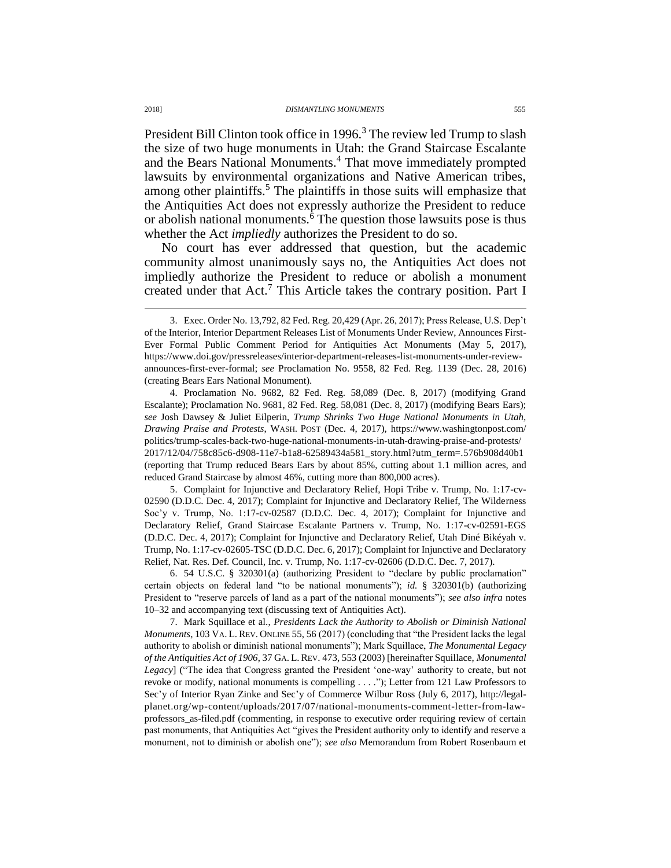President Bill Clinton took office in 1996.<sup>3</sup> The review led Trump to slash the size of two huge monuments in Utah: the Grand Staircase Escalante and the Bears National Monuments. <sup>4</sup> That move immediately prompted lawsuits by environmental organizations and Native American tribes, among other plaintiffs.<sup>5</sup> The plaintiffs in those suits will emphasize that the Antiquities Act does not expressly authorize the President to reduce or abolish national monuments.<sup>6</sup> The question those lawsuits pose is thus whether the Act *impliedly* authorizes the President to do so.

No court has ever addressed that question, but the academic community almost unanimously says no, the Antiquities Act does not impliedly authorize the President to reduce or abolish a monument created under that Act.<sup>7</sup> This Article takes the contrary position. Part I

4. Proclamation No. 9682, 82 Fed. Reg. 58,089 (Dec. 8, 2017) (modifying Grand Escalante); Proclamation No. 9681, 82 Fed. Reg. 58,081 (Dec. 8, 2017) (modifying Bears Ears); *see* Josh Dawsey & Juliet Eilperin, *Trump Shrinks Two Huge National Monuments in Utah, Drawing Praise and Protests*, WASH. POST (Dec. 4, 2017), https://www.washingtonpost.com/ politics/trump-scales-back-two-huge-national-monuments-in-utah-drawing-praise-and-protests/ 2017/12/04/758c85c6-d908-11e7-b1a8-62589434a581\_story.html?utm\_term=.576b908d40b1 (reporting that Trump reduced Bears Ears by about 85%, cutting about 1.1 million acres, and reduced Grand Staircase by almost 46%, cutting more than 800,000 acres).

5. Complaint for Injunctive and Declaratory Relief, Hopi Tribe v. Trump, No. 1:17-cv-02590 (D.D.C. Dec. 4, 2017); Complaint for Injunctive and Declaratory Relief, The Wilderness Soc'y v. Trump, No. 1:17-cv-02587 (D.D.C. Dec. 4, 2017); Complaint for Injunctive and Declaratory Relief, Grand Staircase Escalante Partners v. Trump, No. 1:17-cv-02591-EGS (D.D.C. Dec. 4, 2017); Complaint for Injunctive and Declaratory Relief, Utah Diné Bikéyah v. Trump, No. 1:17-cv-02605-TSC (D.D.C. Dec. 6, 2017); Complaint for Injunctive and Declaratory Relief, Nat. Res. Def. Council, Inc. v. Trump, No. 1:17-cv-02606 (D.D.C. Dec. 7, 2017).

6. 54 U.S.C. § 320301(a) (authorizing President to "declare by public proclamation" certain objects on federal land "to be national monuments"); *id.* § 320301(b) (authorizing President to "reserve parcels of land as a part of the national monuments"); *see also infra* notes [10](#page-4-0)[–32](#page-8-0) and accompanying text (discussing text of Antiquities Act).

7. Mark Squillace et al., *Presidents Lack the Authority to Abolish or Diminish National Monuments*, 103 VA. L. REV. ONLINE 55, 56 (2017) (concluding that "the President lacks the legal authority to abolish or diminish national monuments"); Mark Squillace, *The Monumental Legacy of the Antiquities Act of 1906*, 37 GA. L. REV. 473, 553 (2003) [hereinafter Squillace, *Monumental Legacy*] ("The idea that Congress granted the President 'one-way' authority to create, but not revoke or modify, national monuments is compelling . . . ."); Letter from 121 Law Professors to Sec'y of Interior Ryan Zinke and Sec'y of Commerce Wilbur Ross (July 6, 2017), http://legalplanet.org/wp-content/uploads/2017/07/national-monuments-comment-letter-from-lawprofessors\_as-filed.pdf (commenting, in response to executive order requiring review of certain past monuments, that Antiquities Act "gives the President authority only to identify and reserve a monument, not to diminish or abolish one"); *see also* Memorandum from Robert Rosenbaum et

<span id="page-2-0"></span><sup>3.</sup> Exec. Order No. 13,792, 82 Fed. Reg. 20,429 (Apr. 26, 2017); Press Release, U.S. Dep't of the Interior, Interior Department Releases List of Monuments Under Review, Announces First-Ever Formal Public Comment Period for Antiquities Act Monuments (May 5, 2017), https://www.doi.gov/pressreleases/interior-department-releases-list-monuments-under-reviewannounces-first-ever-formal; *see* Proclamation No. 9558, 82 Fed. Reg. 1139 (Dec. 28, 2016) (creating Bears Ears National Monument).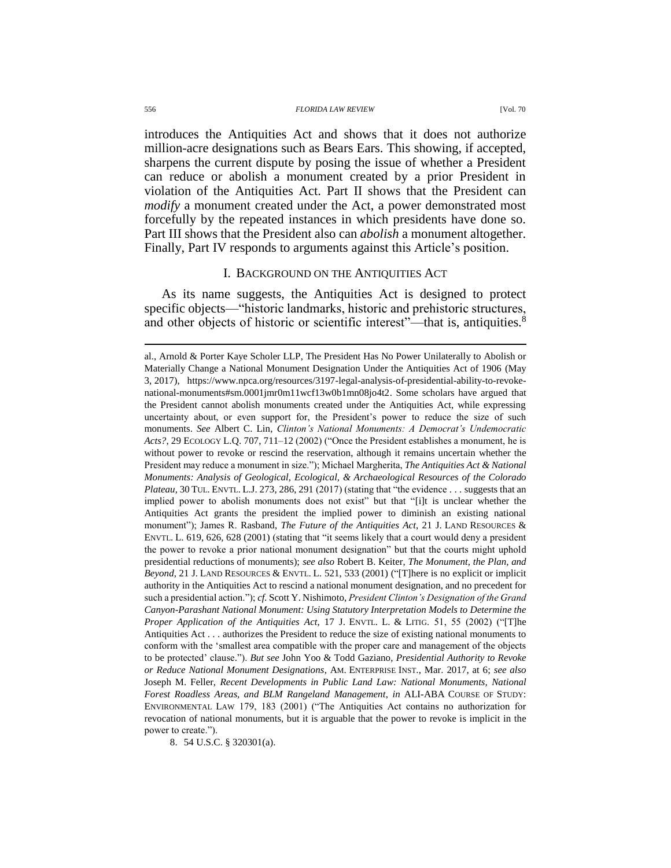#### 556 *FLORIDA LAW REVIEW* [Vol. 70

introduces the Antiquities Act and shows that it does not authorize million-acre designations such as Bears Ears. This showing, if accepted, sharpens the current dispute by posing the issue of whether a President can reduce or abolish a monument created by a prior President in violation of the Antiquities Act. Part II shows that the President can *modify* a monument created under the Act, a power demonstrated most forcefully by the repeated instances in which presidents have done so. Part III shows that the President also can *abolish* a monument altogether. Finally, Part IV responds to arguments against this Article's position.

### I. BACKGROUND ON THE ANTIQUITIES ACT

As its name suggests, the Antiquities Act is designed to protect specific objects—"historic landmarks, historic and prehistoric structures, and other objects of historic or scientific interest"—that is, antiquities.<sup>8</sup>

al., Arnold & Porter Kaye Scholer LLP, The President Has No Power Unilaterally to Abolish or Materially Change a National Monument Designation Under the Antiquities Act of 1906 (May 3, 2017), https://www.npca.org/resources/3197-legal-analysis-of-presidential-ability-to-revokenational-monuments#sm.0001jmr0m11wcf13w0b1mn08jo4t2. Some scholars have argued that the President cannot abolish monuments created under the Antiquities Act, while expressing uncertainty about, or even support for, the President's power to reduce the size of such monuments. *See* Albert C. Lin, *Clinton's National Monuments: A Democrat's Undemocratic Acts?*, 29 ECOLOGY L.Q. 707, 711–12 (2002) ("Once the President establishes a monument, he is without power to revoke or rescind the reservation, although it remains uncertain whether the President may reduce a monument in size."); Michael Margherita, *The Antiquities Act & National Monuments: Analysis of Geological, Ecological, & Archaeological Resources of the Colorado Plateau*, 30 TUL. ENVTL. L.J. 273, 286, 291 (2017) (stating that "the evidence . . . suggests that an implied power to abolish monuments does not exist" but that "[i]t is unclear whether the Antiquities Act grants the president the implied power to diminish an existing national monument"); James R. Rasband, *The Future of the Antiquities Act*, 21 J. LAND RESOURCES & ENVTL. L. 619, 626, 628 (2001) (stating that "it seems likely that a court would deny a president the power to revoke a prior national monument designation" but that the courts might uphold presidential reductions of monuments); *see also* Robert B. Keiter, *The Monument, the Plan, and Beyond*, 21 J. LAND RESOURCES & ENVTL. L. 521, 533 (2001) ("[T]here is no explicit or implicit authority in the Antiquities Act to rescind a national monument designation, and no precedent for such a presidential action."); *cf.* Scott Y. Nishimoto, *President Clinton's Designation of the Grand Canyon-Parashant National Monument: Using Statutory Interpretation Models to Determine the Proper Application of the Antiquities Act*, 17 J. ENVTL. L. & LITIG. 51, 55 (2002) ("[T]he Antiquities Act . . . authorizes the President to reduce the size of existing national monuments to conform with the 'smallest area compatible with the proper care and management of the objects to be protected' clause."). *But see* John Yoo & Todd Gaziano, *Presidential Authority to Revoke or Reduce National Monument Designations*, AM. ENTERPRISE INST., Mar. 2017, at 6; *see also*  Joseph M. Feller, *Recent Developments in Public Land Law: National Monuments, National Forest Roadless Areas, and BLM Rangeland Management*, *in* ALI-ABA COURSE OF STUDY: ENVIRONMENTAL LAW 179, 183 (2001) ("The Antiquities Act contains no authorization for revocation of national monuments, but it is arguable that the power to revoke is implicit in the power to create.").

<sup>8.</sup> 54 U.S.C. § 320301(a).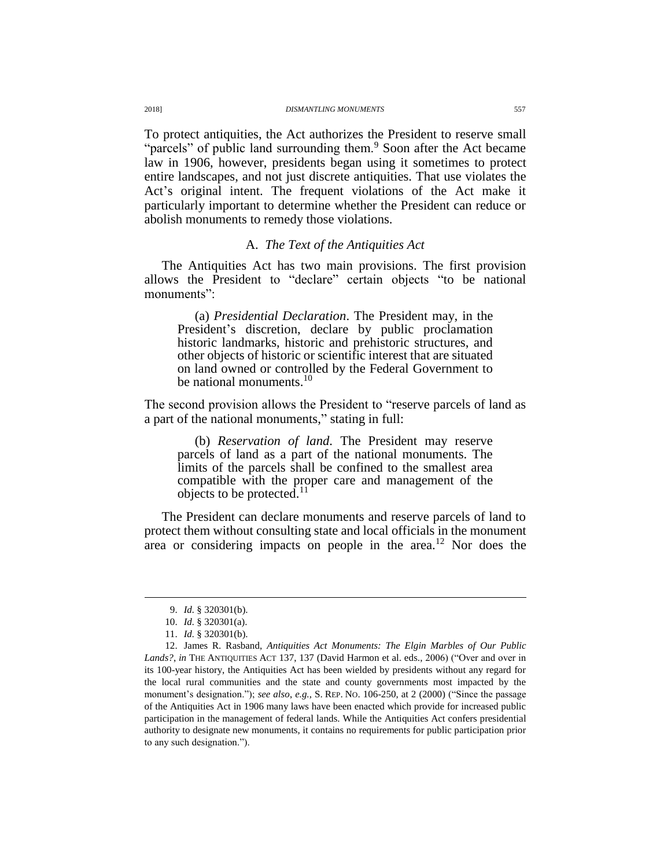To protect antiquities, the Act authorizes the President to reserve small "parcels" of public land surrounding them.<sup>9</sup> Soon after the Act became law in 1906, however, presidents began using it sometimes to protect entire landscapes, and not just discrete antiquities. That use violates the Act's original intent. The frequent violations of the Act make it particularly important to determine whether the President can reduce or abolish monuments to remedy those violations.

## A. *The Text of the Antiquities Act*

The Antiquities Act has two main provisions. The first provision allows the President to "declare" certain objects "to be national monuments":

(a) *Presidential Declaration*. The President may, in the President's discretion, declare by public proclamation historic landmarks, historic and prehistoric structures, and other objects of historic or scientific interest that are situated on land owned or controlled by the Federal Government to be national monuments.<sup>10</sup>

The second provision allows the President to "reserve parcels of land as a part of the national monuments," stating in full:

<span id="page-4-0"></span>(b) *Reservation of land*. The President may reserve parcels of land as a part of the national monuments. The limits of the parcels shall be confined to the smallest area compatible with the proper care and management of the objects to be protected. $11$ 

The President can declare monuments and reserve parcels of land to protect them without consulting state and local officials in the monument area or considering impacts on people in the area.<sup>12</sup> Nor does the

<span id="page-4-1"></span><sup>9.</sup> *Id.* § 320301(b).

<sup>10.</sup> *Id.* § 320301(a).

<sup>11.</sup> *Id.* § 320301(b).

<sup>12.</sup> James R. Rasband, *Antiquities Act Monuments: The Elgin Marbles of Our Public Lands?*, *in* THE ANTIQUITIES ACT 137, 137 (David Harmon et al. eds., 2006) ("Over and over in its 100-year history, the Antiquities Act has been wielded by presidents without any regard for the local rural communities and the state and county governments most impacted by the monument's designation."); *see also*, *e.g.*, S. REP. NO. 106-250, at 2 (2000) ("Since the passage of the Antiquities Act in 1906 many laws have been enacted which provide for increased public participation in the management of federal lands. While the Antiquities Act confers presidential authority to designate new monuments, it contains no requirements for public participation prior to any such designation.").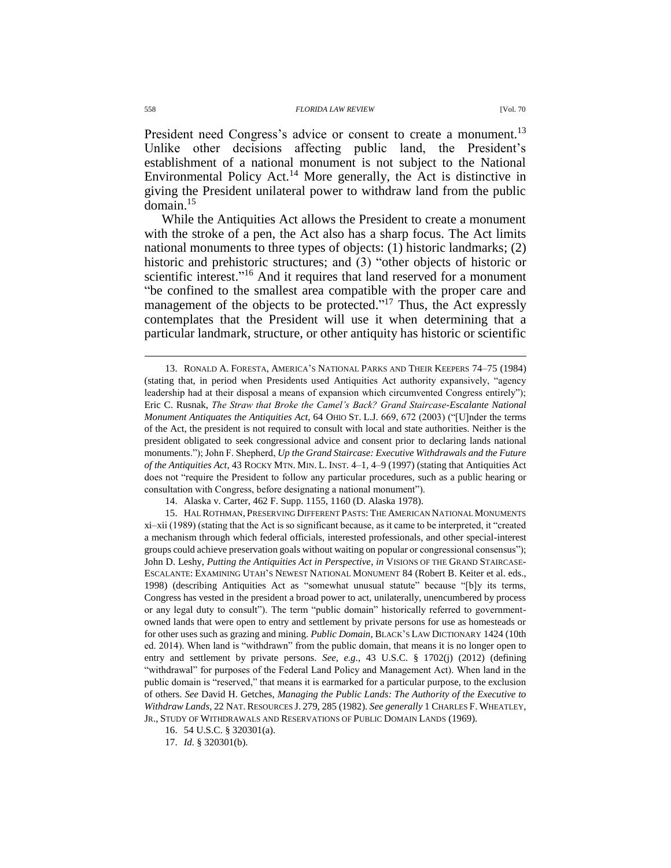<span id="page-5-1"></span>President need Congress's advice or consent to create a monument.<sup>13</sup> Unlike other decisions affecting public land, the President's establishment of a national monument is not subject to the National Environmental Policy Act.<sup>14</sup> More generally, the Act is distinctive in giving the President unilateral power to withdraw land from the public domain.<sup>15</sup>

<span id="page-5-0"></span>While the Antiquities Act allows the President to create a monument with the stroke of a pen, the Act also has a sharp focus. The Act limits national monuments to three types of objects: (1) historic landmarks; (2) historic and prehistoric structures; and (3) "other objects of historic or scientific interest."<sup>16</sup> And it requires that land reserved for a monument "be confined to the smallest area compatible with the proper care and management of the objects to be protected."<sup>17</sup> Thus, the Act expressly contemplates that the President will use it when determining that a particular landmark, structure, or other antiquity has historic or scientific

14. Alaska v. Carter, 462 F. Supp. 1155, 1160 (D. Alaska 1978).

15. HAL ROTHMAN, PRESERVING DIFFERENT PASTS: THE AMERICAN NATIONAL MONUMENTS xi–xii (1989) (stating that the Act is so significant because, as it came to be interpreted, it "created a mechanism through which federal officials, interested professionals, and other special-interest groups could achieve preservation goals without waiting on popular or congressional consensus"); John D. Leshy, *Putting the Antiquities Act in Perspective*, *in* VISIONS OF THE GRAND STAIRCASE-ESCALANTE: EXAMINING UTAH'S NEWEST NATIONAL MONUMENT 84 (Robert B. Keiter et al. eds., 1998) (describing Antiquities Act as "somewhat unusual statute" because "[b]y its terms, Congress has vested in the president a broad power to act, unilaterally, unencumbered by process or any legal duty to consult"). The term "public domain" historically referred to governmentowned lands that were open to entry and settlement by private persons for use as homesteads or for other uses such as grazing and mining. *Public Domain*, BLACK'S LAW DICTIONARY 1424 (10th ed. 2014). When land is "withdrawn" from the public domain, that means it is no longer open to entry and settlement by private persons. *See, e.g.*, 43 U.S.C. § 1702(j) (2012) (defining "withdrawal" for purposes of the Federal Land Policy and Management Act). When land in the public domain is "reserved," that means it is earmarked for a particular purpose, to the exclusion of others. *See* David H. Getches, *Managing the Public Lands: The Authority of the Executive to Withdraw Lands*, 22 NAT. RESOURCES J. 279, 285 (1982). *See generally* 1 CHARLES F. WHEATLEY, JR., STUDY OF WITHDRAWALS AND RESERVATIONS OF PUBLIC DOMAIN LANDS (1969).

16. 54 U.S.C. § 320301(a).

17. *Id.* § 320301(b).

<sup>13.</sup> RONALD A. FORESTA, AMERICA'S NATIONAL PARKS AND THEIR KEEPERS 74–75 (1984) (stating that, in period when Presidents used Antiquities Act authority expansively, "agency leadership had at their disposal a means of expansion which circumvented Congress entirely"); Eric C. Rusnak, *The Straw that Broke the Camel's Back? Grand Staircase-Escalante National Monument Antiquates the Antiquities Act*, 64 OHIO ST. L.J. 669, 672 (2003) ("[U]nder the terms of the Act, the president is not required to consult with local and state authorities. Neither is the president obligated to seek congressional advice and consent prior to declaring lands national monuments."); John F. Shepherd, *Up the Grand Staircase: Executive Withdrawals and the Future of the Antiquities Act*, 43 ROCKY MTN. MIN. L. INST. 4–1, 4–9 (1997) (stating that Antiquities Act does not "require the President to follow any particular procedures, such as a public hearing or consultation with Congress, before designating a national monument").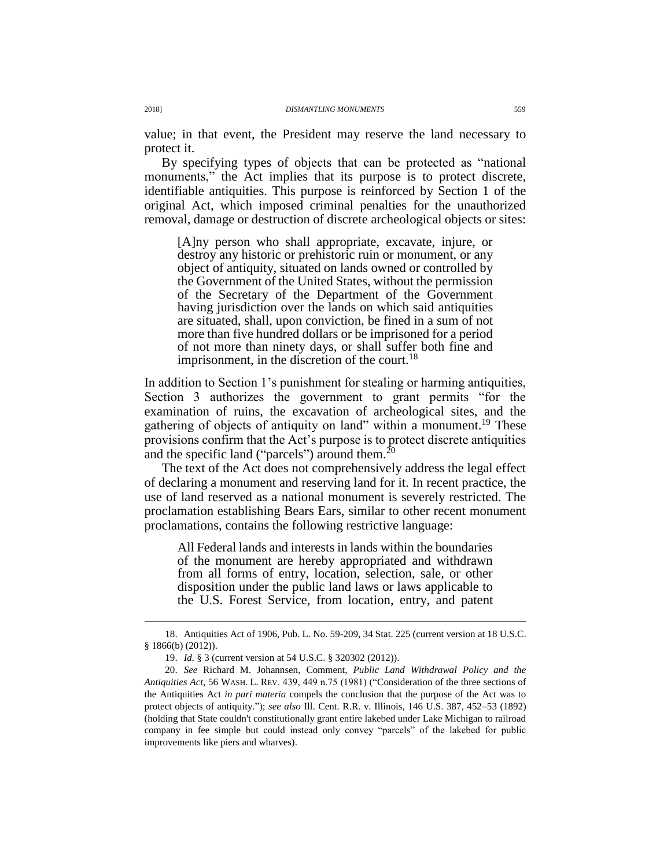value; in that event, the President may reserve the land necessary to protect it.

By specifying types of objects that can be protected as "national monuments," the Act implies that its purpose is to protect discrete, identifiable antiquities. This purpose is reinforced by Section 1 of the original Act, which imposed criminal penalties for the unauthorized removal, damage or destruction of discrete archeological objects or sites:

[A]ny person who shall appropriate, excavate, injure, or destroy any historic or prehistoric ruin or monument, or any object of antiquity, situated on lands owned or controlled by the Government of the United States, without the permission of the Secretary of the Department of the Government having jurisdiction over the lands on which said antiquities are situated, shall, upon conviction, be fined in a sum of not more than five hundred dollars or be imprisoned for a period of not more than ninety days, or shall suffer both fine and imprisonment, in the discretion of the court.<sup>18</sup>

In addition to Section 1's punishment for stealing or harming antiquities, Section 3 authorizes the government to grant permits "for the examination of ruins, the excavation of archeological sites, and the gathering of objects of antiquity on land" within a monument.<sup>19</sup> These provisions confirm that the Act's purpose is to protect discrete antiquities and the specific land ("parcels") around them.<sup>20</sup>

The text of the Act does not comprehensively address the legal effect of declaring a monument and reserving land for it. In recent practice, the use of land reserved as a national monument is severely restricted. The proclamation establishing Bears Ears, similar to other recent monument proclamations, contains the following restrictive language:

<span id="page-6-0"></span>All Federal lands and interests in lands within the boundaries of the monument are hereby appropriated and withdrawn from all forms of entry, location, selection, sale, or other disposition under the public land laws or laws applicable to the U.S. Forest Service, from location, entry, and patent

<sup>18.</sup> Antiquities Act of 1906, Pub. L. No. 59-209, 34 Stat. 225 (current version at 18 U.S.C. § 1866(b) (2012)).

<sup>19.</sup> *Id.* § 3 (current version at 54 U.S.C. § 320302 (2012)).

<sup>20.</sup> *See* Richard M. Johannsen, Comment, *Public Land Withdrawal Policy and the Antiquities Act*, 56 WASH. L. REV. 439, 449 n.75 (1981) ("Consideration of the three sections of the Antiquities Act *in pari materia* compels the conclusion that the purpose of the Act was to protect objects of antiquity."); *see also* Ill. Cent. R.R. v. Illinois, 146 U.S. 387, 452–53 (1892) (holding that State couldn't constitutionally grant entire lakebed under Lake Michigan to railroad company in fee simple but could instead only convey "parcels" of the lakebed for public improvements like piers and wharves).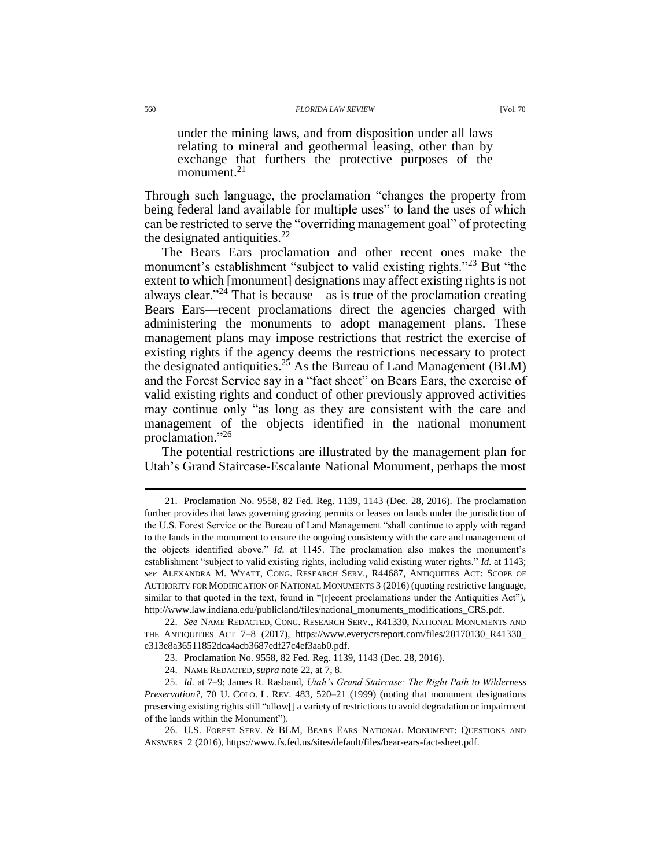under the mining laws, and from disposition under all laws relating to mineral and geothermal leasing, other than by exchange that furthers the protective purposes of the monument. $21$ 

Through such language, the proclamation "changes the property from being federal land available for multiple uses" to land the uses of which can be restricted to serve the "overriding management goal" of protecting the designated antiquities. $22$ 

<span id="page-7-0"></span>The Bears Ears proclamation and other recent ones make the monument's establishment "subject to valid existing rights."<sup>23</sup> But "the extent to which [monument] designations may affect existing rights is not always clear."<sup>24</sup> That is because—as is true of the proclamation creating Bears Ears—recent proclamations direct the agencies charged with administering the monuments to adopt management plans. These management plans may impose restrictions that restrict the exercise of existing rights if the agency deems the restrictions necessary to protect the designated antiquities.<sup>25</sup> As the Bureau of Land Management (BLM) and the Forest Service say in a "fact sheet" on Bears Ears, the exercise of valid existing rights and conduct of other previously approved activities may continue only "as long as they are consistent with the care and management of the objects identified in the national monument proclamation."<sup>26</sup>

<span id="page-7-1"></span>The potential restrictions are illustrated by the management plan for Utah's Grand Staircase-Escalante National Monument, perhaps the most

22. *See* NAME REDACTED, CONG. RESEARCH SERV., R41330, NATIONAL MONUMENTS AND THE ANTIQUITIES ACT 7–8 (2017), https://www.everycrsreport.com/files/20170130\_R41330\_ e313e8a36511852dca4acb3687edf27c4ef3aab0.pdf.

<sup>21.</sup> Proclamation No. 9558, 82 Fed. Reg. 1139, 1143 (Dec. 28, 2016). The proclamation further provides that laws governing grazing permits or leases on lands under the jurisdiction of the U.S. Forest Service or the Bureau of Land Management "shall continue to apply with regard to the lands in the monument to ensure the ongoing consistency with the care and management of the objects identified above." *Id.* at 1145. The proclamation also makes the monument's establishment "subject to valid existing rights, including valid existing water rights." *Id.* at 1143; *see* ALEXANDRA M. WYATT, CONG. RESEARCH SERV., R44687, ANTIQUITIES ACT: SCOPE OF AUTHORITY FOR MODIFICATION OF NATIONAL MONUMENTS 3 (2016) (quoting restrictive language, similar to that quoted in the text, found in "[r]ecent proclamations under the Antiquities Act"), http://www.law.indiana.edu/publicland/files/national\_monuments\_modifications\_CRS.pdf.

<sup>23.</sup> Proclamation No. 9558, 82 Fed. Reg. 1139, 1143 (Dec. 28, 2016).

<sup>24.</sup> NAME REDACTED, *supra* not[e 22,](#page-7-0) at 7, 8.

<sup>25.</sup> *Id.* at 7–9; James R. Rasband, *Utah's Grand Staircase: The Right Path to Wilderness Preservation?*, 70 U. COLO. L. REV. 483, 520–21 (1999) (noting that monument designations preserving existing rights still "allow[] a variety of restrictions to avoid degradation or impairment of the lands within the Monument").

<sup>26.</sup> U.S. FOREST SERV. & BLM, BEARS EARS NATIONAL MONUMENT: QUESTIONS AND ANSWERS 2 (2016), https://www.fs.fed.us/sites/default/files/bear-ears-fact-sheet.pdf.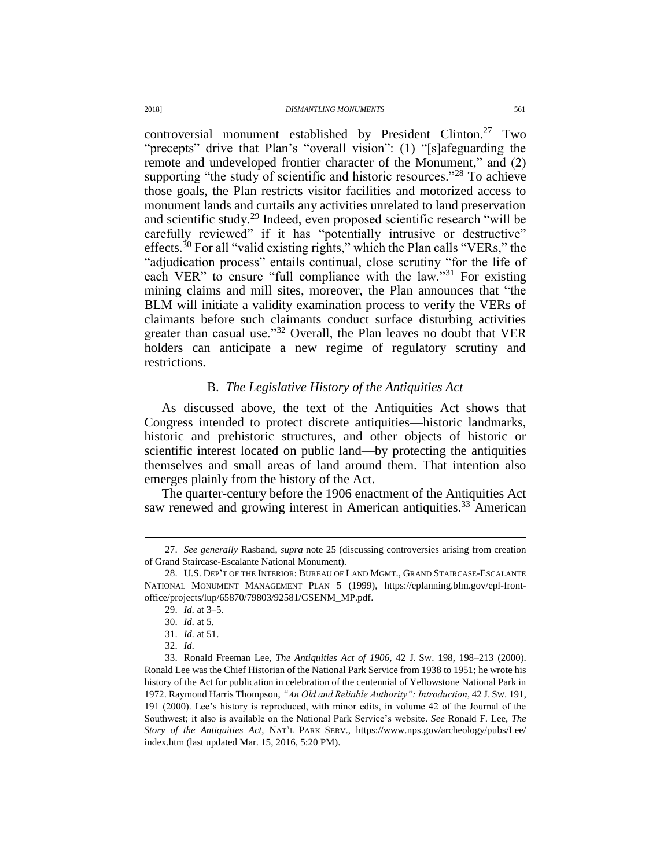controversial monument established by President Clinton.<sup>27</sup> Two "precepts" drive that Plan's "overall vision": (1) "[s]afeguarding the remote and undeveloped frontier character of the Monument," and (2) supporting "the study of scientific and historic resources."<sup>28</sup> To achieve those goals, the Plan restricts visitor facilities and motorized access to monument lands and curtails any activities unrelated to land preservation and scientific study.<sup>29</sup> Indeed, even proposed scientific research "will be carefully reviewed" if it has "potentially intrusive or destructive" effects.<sup>30</sup> For all "valid existing rights," which the Plan calls "VERs," the "adjudication process" entails continual, close scrutiny "for the life of each VER" to ensure "full compliance with the law."<sup>31</sup> For existing mining claims and mill sites, moreover, the Plan announces that "the BLM will initiate a validity examination process to verify the VERs of claimants before such claimants conduct surface disturbing activities greater than casual use."<sup>32</sup> Overall, the Plan leaves no doubt that VER holders can anticipate a new regime of regulatory scrutiny and restrictions.

# <span id="page-8-1"></span><span id="page-8-0"></span>B. *The Legislative History of the Antiquities Act*

As discussed above, the text of the Antiquities Act shows that Congress intended to protect discrete antiquities—historic landmarks, historic and prehistoric structures, and other objects of historic or scientific interest located on public land—by protecting the antiquities themselves and small areas of land around them. That intention also emerges plainly from the history of the Act.

The quarter-century before the 1906 enactment of the Antiquities Act saw renewed and growing interest in American antiquities.<sup>33</sup> American

<sup>27.</sup> *See generally* Rasband, *supra* note [25](#page-7-1) (discussing controversies arising from creation of Grand Staircase-Escalante National Monument).

<sup>28.</sup> U.S. DEP'T OF THE INTERIOR: BUREAU OF LAND MGMT., GRAND STAIRCASE-ESCALANTE NATIONAL MONUMENT MANAGEMENT PLAN 5 (1999), https://eplanning.blm.gov/epl-frontoffice/projects/lup/65870/79803/92581/GSENM\_MP.pdf.

<sup>29.</sup> *Id.* at 3–5.

<sup>30.</sup> *Id.* at 5.

<sup>31.</sup> *Id.* at 51.

<sup>32.</sup> *Id.*

<sup>33.</sup> Ronald Freeman Lee, *The Antiquities Act of 1906*, 42 J. SW. 198, 198–213 (2000). Ronald Lee was the Chief Historian of the National Park Service from 1938 to 1951; he wrote his history of the Act for publication in celebration of the centennial of Yellowstone National Park in 1972. Raymond Harris Thompson, *"An Old and Reliable Authority": Introduction*, 42 J. SW. 191, 191 (2000). Lee's history is reproduced, with minor edits, in volume 42 of the Journal of the Southwest; it also is available on the National Park Service's website. *See* Ronald F. Lee, *The Story of the Antiquities Act*, NAT'L PARK SERV., https://www.nps.gov/archeology/pubs/Lee/ index.htm (last updated Mar. 15, 2016, 5:20 PM).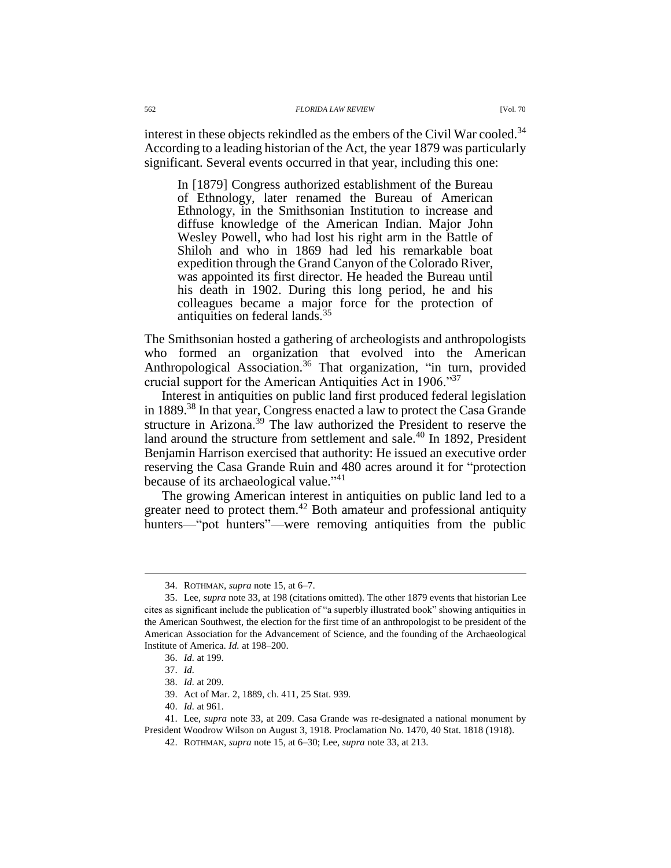interest in these objects rekindled as the embers of the Civil War cooled.<sup>34</sup> According to a leading historian of the Act, the year 1879 was particularly significant. Several events occurred in that year, including this one:

In [1879] Congress authorized establishment of the Bureau of Ethnology, later renamed the Bureau of American Ethnology, in the Smithsonian Institution to increase and diffuse knowledge of the American Indian. Major John Wesley Powell, who had lost his right arm in the Battle of Shiloh and who in 1869 had led his remarkable boat expedition through the Grand Canyon of the Colorado River, was appointed its first director. He headed the Bureau until his death in 1902. During this long period, he and his colleagues became a major force for the protection of antiquities on federal lands.<sup>35</sup>

The Smithsonian hosted a gathering of archeologists and anthropologists who formed an organization that evolved into the American Anthropological Association.<sup>36</sup> That organization, "in turn, provided crucial support for the American Antiquities Act in 1906."<sup>37</sup>

Interest in antiquities on public land first produced federal legislation in 1889.<sup>38</sup> In that year, Congress enacted a law to protect the Casa Grande structure in Arizona.<sup>39</sup> The law authorized the President to reserve the land around the structure from settlement and sale.<sup>40</sup> In 1892, President Benjamin Harrison exercised that authority: He issued an executive order reserving the Casa Grande Ruin and 480 acres around it for "protection because of its archaeological value."<sup>41</sup>

The growing American interest in antiquities on public land led to a greater need to protect them.<sup>42</sup> Both amateur and professional antiquity hunters—"pot hunters"—were removing antiquities from the public

<sup>34.</sup> ROTHMAN, *supra* not[e 15,](#page-5-0) at 6–7.

<sup>35.</sup> Lee, *supra* note [33,](#page-8-1) at 198 (citations omitted). The other 1879 events that historian Lee cites as significant include the publication of "a superbly illustrated book" showing antiquities in the American Southwest, the election for the first time of an anthropologist to be president of the American Association for the Advancement of Science, and the founding of the Archaeological Institute of America. *Id.* at 198–200.

<sup>36.</sup> *Id.* at 199.

<sup>37.</sup> *Id.* 

<sup>38.</sup> *Id.* at 209.

<sup>39.</sup> Act of Mar. 2, 1889, ch. 411, 25 Stat. 939.

<sup>40.</sup> *Id.* at 961.

<sup>41.</sup> Lee, *supra* note [33,](#page-8-1) at 209. Casa Grande was re-designated a national monument by President Woodrow Wilson on August 3, 1918. Proclamation No. 1470, 40 Stat. 1818 (1918).

<sup>42.</sup> ROTHMAN, *supra* not[e 15,](#page-5-0) at 6–30; Lee, *supra* note [33,](#page-8-1) at 213.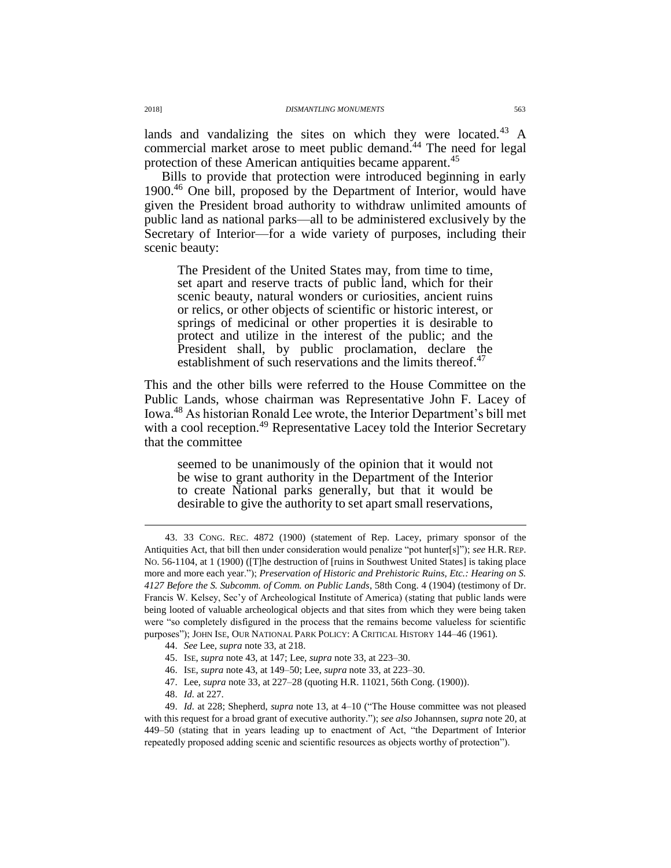lands and vandalizing the sites on which they were located.<sup>43</sup> A commercial market arose to meet public demand.<sup>44</sup> The need for legal protection of these American antiquities became apparent.<sup>45</sup>

Bills to provide that protection were introduced beginning in early 1900.<sup>46</sup> One bill, proposed by the Department of Interior, would have given the President broad authority to withdraw unlimited amounts of public land as national parks—all to be administered exclusively by the Secretary of Interior—for a wide variety of purposes, including their scenic beauty:

<span id="page-10-0"></span>The President of the United States may, from time to time, set apart and reserve tracts of public land, which for their scenic beauty, natural wonders or curiosities, ancient ruins or relics, or other objects of scientific or historic interest, or springs of medicinal or other properties it is desirable to protect and utilize in the interest of the public; and the President shall, by public proclamation, declare the establishment of such reservations and the limits thereof.<sup>47</sup>

This and the other bills were referred to the House Committee on the Public Lands, whose chairman was Representative John F. Lacey of Iowa.<sup>48</sup> As historian Ronald Lee wrote, the Interior Department's bill met with a cool reception.<sup>49</sup> Representative Lacey told the Interior Secretary that the committee

seemed to be unanimously of the opinion that it would not be wise to grant authority in the Department of the Interior to create National parks generally, but that it would be desirable to give the authority to set apart small reservations,

- 46. ISE, *supra* note [43,](#page-10-0) at 149–50; Lee, *supra* not[e 33,](#page-8-1) at 223–30.
- 47. Lee, *supra* note [33,](#page-8-1) at 227–28 (quoting H.R. 11021, 56th Cong. (1900)).
- 48. *Id.* at 227.

<sup>43.</sup> 33 CONG. REC. 4872 (1900) (statement of Rep. Lacey, primary sponsor of the Antiquities Act, that bill then under consideration would penalize "pot hunter[s]"); *see* H.R. REP. NO. 56-1104, at 1 (1900) ([T]he destruction of [ruins in Southwest United States] is taking place more and more each year."); *Preservation of Historic and Prehistoric Ruins, Etc.: Hearing on S. 4127 Before the S. Subcomm. of Comm. on Public Lands*, 58th Cong. 4 (1904) (testimony of Dr. Francis W. Kelsey, Sec'y of Archeological Institute of America) (stating that public lands were being looted of valuable archeological objects and that sites from which they were being taken were "so completely disfigured in the process that the remains become valueless for scientific purposes"); JOHN ISE, OUR NATIONAL PARK POLICY: A CRITICAL HISTORY 144–46 (1961).

<sup>44.</sup> *See* Lee, *supra* note [33,](#page-8-1) at 218.

<sup>45.</sup> ISE, *supra* note [43,](#page-10-0) at 147; Lee, *supra* note [33,](#page-8-1) at 223–30.

<sup>49.</sup> *Id.* at 228; Shepherd, *supra* note [13,](#page-5-1) at 4–10 ("The House committee was not pleased with this request for a broad grant of executive authority."); *see also* Johannsen, *supra* note [20,](#page-6-0) at 449–50 (stating that in years leading up to enactment of Act, "the Department of Interior repeatedly proposed adding scenic and scientific resources as objects worthy of protection").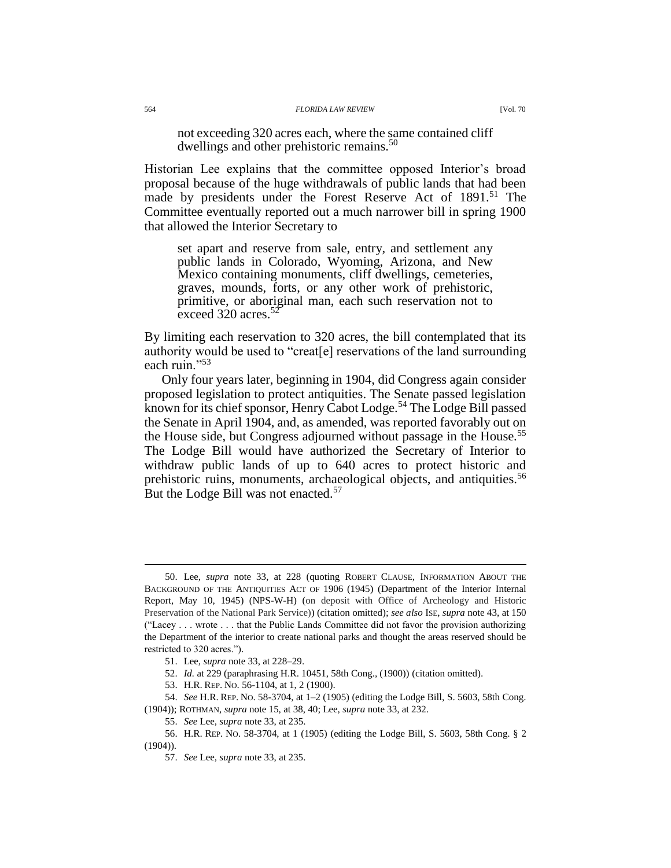not exceeding 320 acres each, where the same contained cliff dwellings and other prehistoric remains.<sup>50</sup>

Historian Lee explains that the committee opposed Interior's broad proposal because of the huge withdrawals of public lands that had been made by presidents under the Forest Reserve Act of 1891.<sup>51</sup> The Committee eventually reported out a much narrower bill in spring 1900 that allowed the Interior Secretary to

set apart and reserve from sale, entry, and settlement any public lands in Colorado, Wyoming, Arizona, and New Mexico containing monuments, cliff dwellings, cemeteries, graves, mounds, forts, or any other work of prehistoric, primitive, or aboriginal man, each such reservation not to exceed 320 acres.<sup>52</sup>

By limiting each reservation to 320 acres, the bill contemplated that its authority would be used to "creat[e] reservations of the land surrounding each ruin."<sup>53</sup>

Only four years later, beginning in 1904, did Congress again consider proposed legislation to protect antiquities. The Senate passed legislation known for its chief sponsor, Henry Cabot Lodge.<sup>54</sup> The Lodge Bill passed the Senate in April 1904, and, as amended, was reported favorably out on the House side, but Congress adjourned without passage in the House.<sup>55</sup> The Lodge Bill would have authorized the Secretary of Interior to withdraw public lands of up to 640 acres to protect historic and prehistoric ruins, monuments, archaeological objects, and antiquities.<sup>56</sup> But the Lodge Bill was not enacted.<sup>57</sup>

53. H.R. REP. NO. 56-1104, at 1, 2 (1900).

<sup>50.</sup> Lee, *supra* note [33,](#page-8-1) at 228 (quoting ROBERT CLAUSE, INFORMATION ABOUT THE BACKGROUND OF THE ANTIQUITIES ACT OF 1906 (1945) (Department of the Interior Internal Report, May 10, 1945) (NPS-W-H) (on deposit with Office of Archeology and Historic Preservation of the National Park Service)) (citation omitted); *see also* ISE, *supra* note [43,](#page-10-0) at 150 ("Lacey . . . wrote . . . that the Public Lands Committee did not favor the provision authorizing the Department of the interior to create national parks and thought the areas reserved should be restricted to 320 acres.").

<sup>51.</sup> Lee, *supra* not[e 33,](#page-8-1) at 228–29.

<sup>52.</sup> *Id.* at 229 (paraphrasing H.R. 10451, 58th Cong., (1900)) (citation omitted).

<sup>54.</sup> *See* H.R. REP. NO. 58-3704, at 1–2 (1905) (editing the Lodge Bill, S. 5603, 58th Cong. (1904)); ROTHMAN, *supra* not[e 15,](#page-5-0) at 38, 40; Lee, *supra* not[e 33,](#page-8-1) at 232.

<sup>55.</sup> *See* Lee, *supra* note [33,](#page-8-1) at 235.

<sup>56.</sup> H.R. REP. NO. 58-3704, at 1 (1905) (editing the Lodge Bill, S. 5603, 58th Cong. § 2 (1904)).

<sup>57.</sup> *See* Lee, *supra* note [33,](#page-8-1) at 235.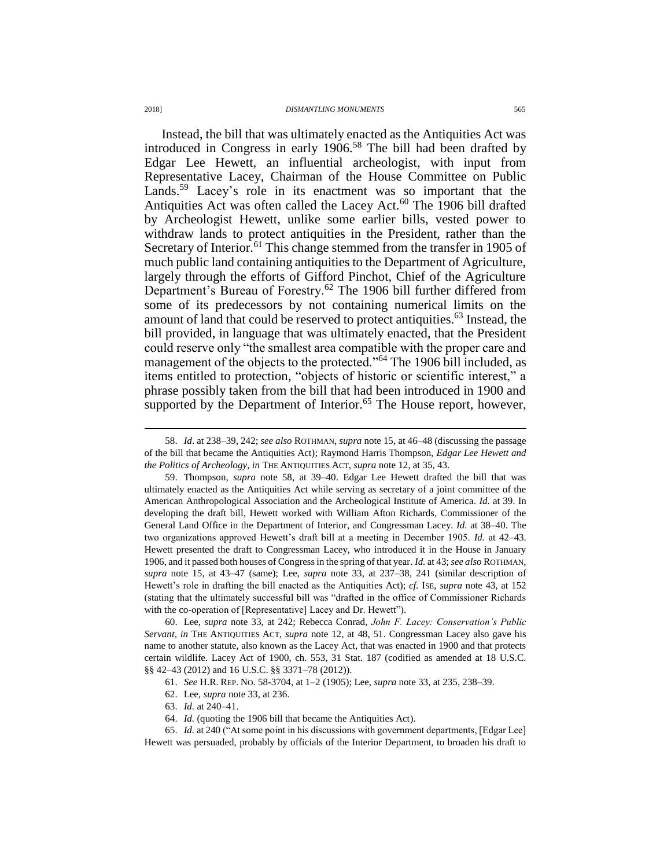<span id="page-12-0"></span>Instead, the bill that was ultimately enacted as the Antiquities Act was introduced in Congress in early 1906.<sup>58</sup> The bill had been drafted by Edgar Lee Hewett, an influential archeologist, with input from Representative Lacey, Chairman of the House Committee on Public Lands.<sup>59</sup> Lacey's role in its enactment was so important that the Antiquities Act was often called the Lacey Act.<sup>60</sup> The 1906 bill drafted by Archeologist Hewett, unlike some earlier bills, vested power to withdraw lands to protect antiquities in the President, rather than the Secretary of Interior.<sup>61</sup> This change stemmed from the transfer in 1905 of much public land containing antiquities to the Department of Agriculture, largely through the efforts of Gifford Pinchot, Chief of the Agriculture Department's Bureau of Forestry.<sup>62</sup> The 1906 bill further differed from some of its predecessors by not containing numerical limits on the amount of land that could be reserved to protect antiquities.<sup>63</sup> Instead, the bill provided, in language that was ultimately enacted, that the President could reserve only "the smallest area compatible with the proper care and management of the objects to the protected."<sup>64</sup> The 1906 bill included, as items entitled to protection, "objects of historic or scientific interest," a phrase possibly taken from the bill that had been introduced in 1900 and supported by the Department of Interior.<sup>65</sup> The House report, however,

60. Lee, *supra* note [33,](#page-8-1) at 242; Rebecca Conrad, *John F. Lacey: Conservation's Public Servant*, *in* THE ANTIQUITIES ACT, *supra* note [12,](#page-4-1) at 48, 51. Congressman Lacey also gave his name to another statute, also known as the Lacey Act, that was enacted in 1900 and that protects certain wildlife. Lacey Act of 1900, ch. 553, 31 Stat. 187 (codified as amended at 18 U.S.C. §§ 42–43 (2012) and 16 U.S.C. §§ 3371–78 (2012)).

63. *Id.* at 240–41.

64. *Id.* (quoting the 1906 bill that became the Antiquities Act).

65. *Id.* at 240 ("At some point in his discussions with government departments, [Edgar Lee] Hewett was persuaded, probably by officials of the Interior Department, to broaden his draft to

<sup>58.</sup> *Id*. at 238–39, 242; *see also* ROTHMAN, *supra* note [15,](#page-5-0) at 46–48 (discussing the passage of the bill that became the Antiquities Act); Raymond Harris Thompson, *Edgar Lee Hewett and the Politics of Archeology*, *in* THE ANTIQUITIES ACT, *supra* not[e 12,](#page-4-1) at 35, 43.

<sup>59.</sup> Thompson, *supra* note [58,](#page-12-0) at 39–40. Edgar Lee Hewett drafted the bill that was ultimately enacted as the Antiquities Act while serving as secretary of a joint committee of the American Anthropological Association and the Archeological Institute of America. *Id.* at 39. In developing the draft bill, Hewett worked with William Afton Richards, Commissioner of the General Land Office in the Department of Interior, and Congressman Lacey. *Id.* at 38–40. The two organizations approved Hewett's draft bill at a meeting in December 1905. *Id.* at 42–43. Hewett presented the draft to Congressman Lacey, who introduced it in the House in January 1906, and it passed both houses of Congress in the spring of that year. *Id.* at 43; *see also* ROTHMAN, *supra* note [15,](#page-5-0) at 43–47 (same); Lee, *supra* note [33,](#page-8-1) at 237–38, 241 (similar description of Hewett's role in drafting the bill enacted as the Antiquities Act); *cf.* ISE, *supra* note [43,](#page-10-0) at 152 (stating that the ultimately successful bill was "drafted in the office of Commissioner Richards with the co-operation of [Representative] Lacey and Dr. Hewett").

<sup>61.</sup> *See* H.R. REP. NO. 58-3704, at 1–2 (1905); Lee, *supra* not[e 33,](#page-8-1) at 235, 238–39.

<sup>62.</sup> Lee, *supra* not[e 33,](#page-8-1) at 236.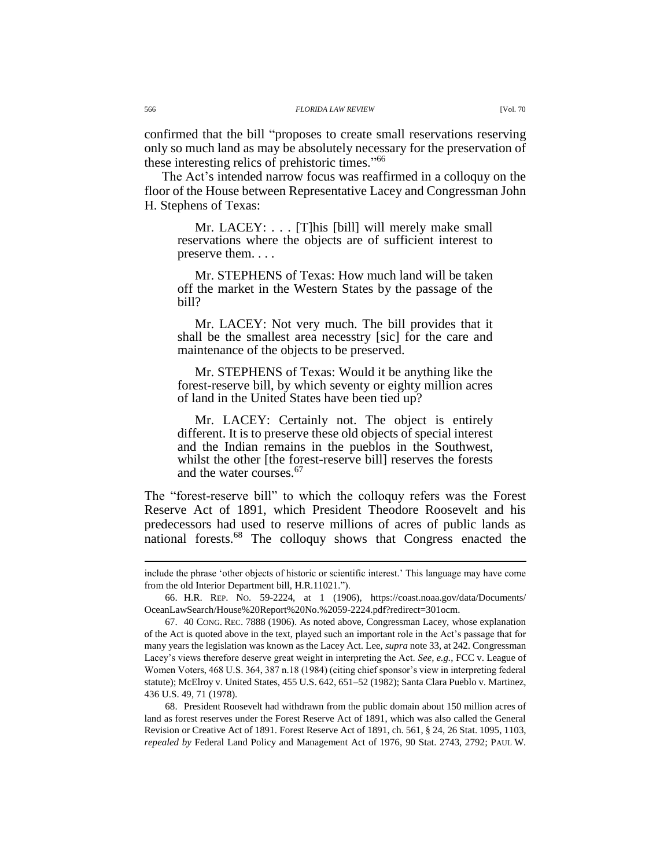confirmed that the bill "proposes to create small reservations reserving only so much land as may be absolutely necessary for the preservation of these interesting relics of prehistoric times." 66

The Act's intended narrow focus was reaffirmed in a colloquy on the floor of the House between Representative Lacey and Congressman John H. Stephens of Texas:

Mr. LACEY: . . . [T]his [bill] will merely make small reservations where the objects are of sufficient interest to preserve them. . . .

Mr. STEPHENS of Texas: How much land will be taken off the market in the Western States by the passage of the bill?

Mr. LACEY: Not very much. The bill provides that it shall be the smallest area necesstry [sic] for the care and maintenance of the objects to be preserved.

Mr. STEPHENS of Texas: Would it be anything like the forest-reserve bill, by which seventy or eighty million acres of land in the United States have been tied up?

Mr. LACEY: Certainly not. The object is entirely different. It is to preserve these old objects of special interest and the Indian remains in the pueblos in the Southwest, whilst the other [the forest-reserve bill] reserves the forests and the water courses.<sup>67</sup>

The "forest-reserve bill" to which the colloquy refers was the Forest Reserve Act of 1891, which President Theodore Roosevelt and his predecessors had used to reserve millions of acres of public lands as national forests.<sup>68</sup> The colloquy shows that Congress enacted the

include the phrase 'other objects of historic or scientific interest.' This language may have come from the old Interior Department bill, H.R.11021.").

<sup>66.</sup> H.R. REP. NO. 59-2224, at 1 (1906), https://coast.noaa.gov/data/Documents/ OceanLawSearch/House%20Report%20No.%2059-2224.pdf?redirect=301ocm.

<sup>67.</sup> 40 CONG. REC. 7888 (1906). As noted above, Congressman Lacey, whose explanation of the Act is quoted above in the text, played such an important role in the Act's passage that for many years the legislation was known as the Lacey Act. Lee, *supra* not[e 33,](#page-8-1) at 242. Congressman Lacey's views therefore deserve great weight in interpreting the Act. *See, e.g.*, FCC v. League of Women Voters, 468 U.S. 364, 387 n.18 (1984) (citing chief sponsor's view in interpreting federal statute); McElroy v. United States, 455 U.S. 642, 651–52 (1982); Santa Clara Pueblo v. Martinez, 436 U.S. 49, 71 (1978).

<sup>68.</sup> President Roosevelt had withdrawn from the public domain about 150 million acres of land as forest reserves under the Forest Reserve Act of 1891, which was also called the General Revision or Creative Act of 1891. Forest Reserve Act of 1891, ch. 561, § 24, 26 Stat. 1095, 1103, *repealed by* Federal Land Policy and Management Act of 1976, 90 Stat. 2743, 2792; PAUL W.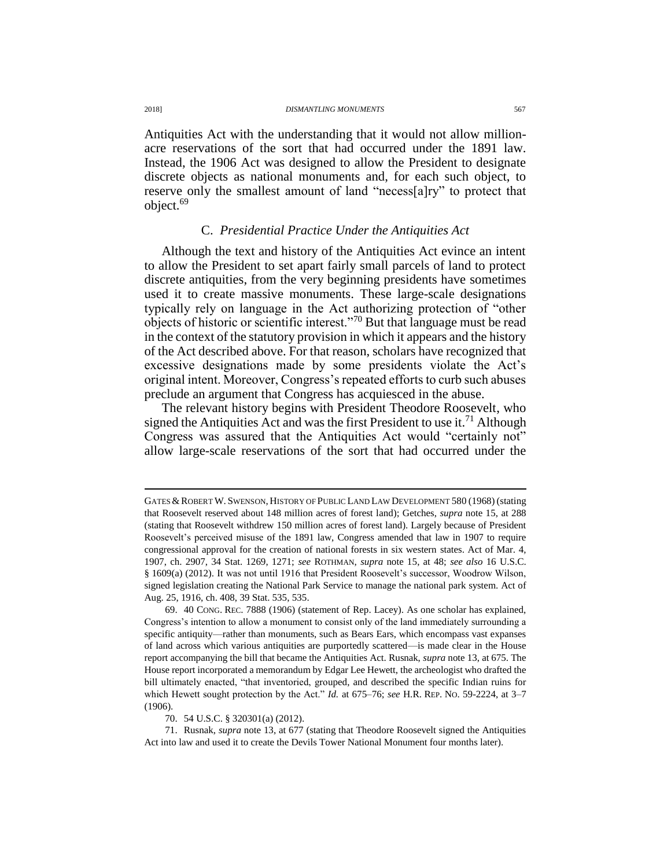Antiquities Act with the understanding that it would not allow millionacre reservations of the sort that had occurred under the 1891 law. Instead, the 1906 Act was designed to allow the President to designate discrete objects as national monuments and, for each such object, to reserve only the smallest amount of land "necess[a]ry" to protect that object.<sup>69</sup>

## C. *Presidential Practice Under the Antiquities Act*

Although the text and history of the Antiquities Act evince an intent to allow the President to set apart fairly small parcels of land to protect discrete antiquities, from the very beginning presidents have sometimes used it to create massive monuments. These large-scale designations typically rely on language in the Act authorizing protection of "other objects of historic or scientific interest."<sup>70</sup> But that language must be read in the context of the statutory provision in which it appears and the history of the Act described above. For that reason, scholars have recognized that excessive designations made by some presidents violate the Act's original intent. Moreover, Congress's repeated efforts to curb such abuses preclude an argument that Congress has acquiesced in the abuse.

The relevant history begins with President Theodore Roosevelt, who signed the Antiquities Act and was the first President to use it.<sup>71</sup> Although Congress was assured that the Antiquities Act would "certainly not" allow large-scale reservations of the sort that had occurred under the

GATES & ROBERT W. SWENSON, HISTORY OF PUBLIC LAND LAW DEVELOPMENT 580 (1968) (stating that Roosevelt reserved about 148 million acres of forest land); Getches, *supra* note [15,](#page-5-0) at 288 (stating that Roosevelt withdrew 150 million acres of forest land). Largely because of President Roosevelt's perceived misuse of the 1891 law, Congress amended that law in 1907 to require congressional approval for the creation of national forests in six western states. Act of Mar. 4, 1907, ch. 2907, 34 Stat. 1269, 1271; *see* ROTHMAN, *supra* note [15,](#page-5-0) at 48; *see also* 16 U.S.C. § 1609(a) (2012). It was not until 1916 that President Roosevelt's successor, Woodrow Wilson, signed legislation creating the National Park Service to manage the national park system. Act of Aug. 25, 1916, ch. 408, 39 Stat. 535, 535.

<sup>69.</sup> 40 CONG. REC. 7888 (1906) (statement of Rep. Lacey). As one scholar has explained, Congress's intention to allow a monument to consist only of the land immediately surrounding a specific antiquity—rather than monuments, such as Bears Ears, which encompass vast expanses of land across which various antiquities are purportedly scattered—is made clear in the House report accompanying the bill that became the Antiquities Act. Rusnak, *supra* not[e 13,](#page-5-1) at 675. The House report incorporated a memorandum by Edgar Lee Hewett, the archeologist who drafted the bill ultimately enacted, "that inventoried, grouped, and described the specific Indian ruins for which Hewett sought protection by the Act." *Id.* at 675–76; *see* H.R. REP. NO. 59-2224, at 3–7 (1906).

<sup>70.</sup> 54 U.S.C. § 320301(a) (2012).

<sup>71.</sup> Rusnak, *supra* not[e 13,](#page-5-1) at 677 (stating that Theodore Roosevelt signed the Antiquities Act into law and used it to create the Devils Tower National Monument four months later).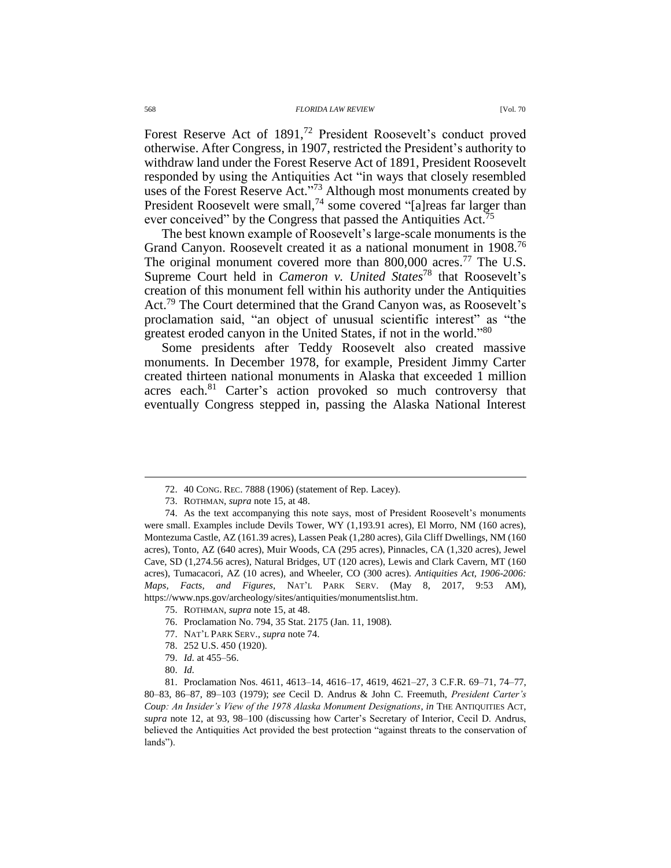Forest Reserve Act of 1891,<sup>72</sup> President Roosevelt's conduct proved otherwise. After Congress, in 1907, restricted the President's authority to withdraw land under the Forest Reserve Act of 1891, President Roosevelt responded by using the Antiquities Act "in ways that closely resembled uses of the Forest Reserve Act."<sup>73</sup> Although most monuments created by President Roosevelt were small,<sup>74</sup> some covered "[a]reas far larger than ever conceived" by the Congress that passed the Antiquities Act.<sup>75</sup>

<span id="page-15-0"></span>The best known example of Roosevelt's large-scale monuments is the Grand Canyon. Roosevelt created it as a national monument in 1908.<sup>76</sup> The original monument covered more than  $800,000$  acres.<sup>77</sup> The U.S. Supreme Court held in *Cameron v. United States*<sup>78</sup> that Roosevelt's creation of this monument fell within his authority under the Antiquities Act.<sup>79</sup> The Court determined that the Grand Canyon was, as Roosevelt's proclamation said, "an object of unusual scientific interest" as "the greatest eroded canyon in the United States, if not in the world."80

Some presidents after Teddy Roosevelt also created massive monuments. In December 1978, for example, President Jimmy Carter created thirteen national monuments in Alaska that exceeded 1 million acres each.<sup>81</sup> Carter's action provoked so much controversy that eventually Congress stepped in, passing the Alaska National Interest

78. 252 U.S. 450 (1920).

<sup>72.</sup> 40 CONG. REC. 7888 (1906) (statement of Rep. Lacey).

<sup>73.</sup> ROTHMAN, *supra* note [15,](#page-5-0) at 48.

<sup>74.</sup> As the text accompanying this note says, most of President Roosevelt's monuments were small. Examples include Devils Tower, WY (1,193.91 acres), El Morro, NM (160 acres), Montezuma Castle, AZ (161.39 acres), Lassen Peak (1,280 acres), Gila Cliff Dwellings, NM (160 acres), Tonto, AZ (640 acres), Muir Woods, CA (295 acres), Pinnacles, CA (1,320 acres), Jewel Cave, SD (1,274.56 acres), Natural Bridges, UT (120 acres), Lewis and Clark Cavern, MT (160 acres), Tumacacori, AZ (10 acres), and Wheeler, CO (300 acres). *Antiquities Act, 1906-2006: Maps, Facts, and Figures*, NAT'L PARK SERV. (May 8, 2017, 9:53 AM), https://www.nps.gov/archeology/sites/antiquities/monumentslist.htm.

<sup>75.</sup> ROTHMAN, *supra* note [15,](#page-5-0) at 48.

<sup>76.</sup> Proclamation No. 794, 35 Stat. 2175 (Jan. 11, 1908).

<sup>77.</sup> NAT'L PARK SERV., *supra* not[e 74.](#page-15-0)

<sup>79.</sup> *Id.* at 455–56.

<sup>80.</sup> *Id.*

<sup>81.</sup> Proclamation Nos. 4611, 4613–14, 4616–17, 4619, 4621–27, 3 C.F.R. 69–71, 74–77, 80–83, 86–87, 89–103 (1979); *see* Cecil D. Andrus & John C. Freemuth, *President Carter's Coup: An Insider's View of the 1978 Alaska Monument Designations*, *in* THE ANTIQUITIES ACT, *supra* note [12,](#page-4-1) at 93, 98–100 (discussing how Carter's Secretary of Interior, Cecil D. Andrus, believed the Antiquities Act provided the best protection "against threats to the conservation of lands").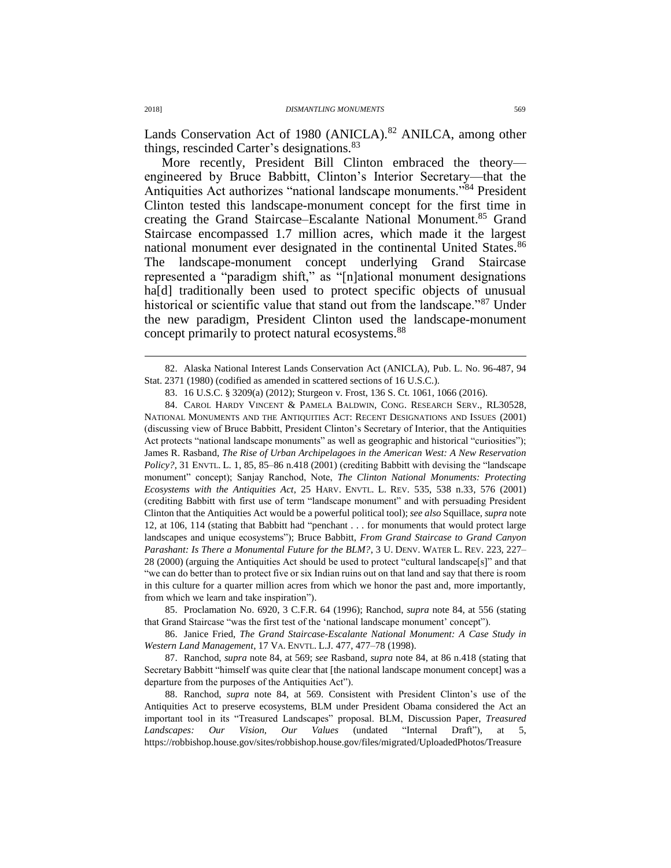Lands Conservation Act of 1980 (ANICLA).<sup>82</sup> ANILCA, among other things, rescinded Carter's designations.<sup>83</sup>

<span id="page-16-0"></span>More recently, President Bill Clinton embraced the theory engineered by Bruce Babbitt, Clinton's Interior Secretary—that the Antiquities Act authorizes "national landscape monuments."<sup>84</sup> President Clinton tested this landscape-monument concept for the first time in creating the Grand Staircase–Escalante National Monument.<sup>85</sup> Grand Staircase encompassed 1.7 million acres, which made it the largest national monument ever designated in the continental United States.<sup>86</sup> The landscape-monument concept underlying Grand Staircase represented a "paradigm shift," as "[n]ational monument designations ha<sup>[d]</sup> traditionally been used to protect specific objects of unusual historical or scientific value that stand out from the landscape."<sup>87</sup> Under the new paradigm, President Clinton used the landscape-monument concept primarily to protect natural ecosystems.<sup>88</sup>

84. CAROL HARDY VINCENT & PAMELA BALDWIN, CONG. RESEARCH SERV., RL30528, NATIONAL MONUMENTS AND THE ANTIQUITIES ACT: RECENT DESIGNATIONS AND ISSUES (2001) (discussing view of Bruce Babbitt, President Clinton's Secretary of Interior, that the Antiquities Act protects "national landscape monuments" as well as geographic and historical "curiosities"); James R. Rasband, *The Rise of Urban Archipelagoes in the American West: A New Reservation Policy?*, 31 ENVTL. L. 1, 85, 85–86 n.418 (2001) (crediting Babbitt with devising the "landscape monument" concept); Sanjay Ranchod, Note, *The Clinton National Monuments: Protecting Ecosystems with the Antiquities Act*, 25 HARV. ENVTL. L. REV. 535, 538 n.33, 576 (2001) (crediting Babbitt with first use of term "landscape monument" and with persuading President Clinton that the Antiquities Act would be a powerful political tool); *see also* Squillace, *supra* note [12,](#page-4-1) at 106, 114 (stating that Babbitt had "penchant . . . for monuments that would protect large landscapes and unique ecosystems"); Bruce Babbitt, *From Grand Staircase to Grand Canyon Parashant: Is There a Monumental Future for the BLM?*, 3 U. DENV. WATER L. REV. 223, 227– 28 (2000) (arguing the Antiquities Act should be used to protect "cultural landscape[s]" and that "we can do better than to protect five or six Indian ruins out on that land and say that there is room in this culture for a quarter million acres from which we honor the past and, more importantly, from which we learn and take inspiration").

85. Proclamation No. 6920, 3 C.F.R. 64 (1996); Ranchod, *supra* note [84,](#page-16-0) at 556 (stating that Grand Staircase "was the first test of the 'national landscape monument' concept").

86. Janice Fried, *The Grand Staircase-Escalante National Monument: A Case Study in Western Land Management*, 17 VA. ENVTL. L.J. 477, 477–78 (1998).

87. Ranchod, *supra* note [84,](#page-16-0) at 569; *see* Rasband, *supra* note [84,](#page-16-0) at 86 n.418 (stating that Secretary Babbitt "himself was quite clear that [the national landscape monument concept] was a departure from the purposes of the Antiquities Act").

88. Ranchod, *supra* note [84,](#page-16-0) at 569. Consistent with President Clinton's use of the Antiquities Act to preserve ecosystems, BLM under President Obama considered the Act an important tool in its "Treasured Landscapes" proposal. BLM, Discussion Paper, *Treasured Landscapes: Our Vision, Our Values* (undated "Internal Draft"), at 5, https://robbishop.house.gov/sites/robbishop.house.gov/files/migrated/UploadedPhotos/Treasure

<sup>82.</sup> Alaska National Interest Lands Conservation Act (ANICLA), Pub. L. No. 96-487, 94 Stat. 2371 (1980) (codified as amended in scattered sections of 16 U.S.C.).

<sup>83.</sup> 16 U.S.C. § 3209(a) (2012); Sturgeon v. Frost, 136 S. Ct. 1061, 1066 (2016).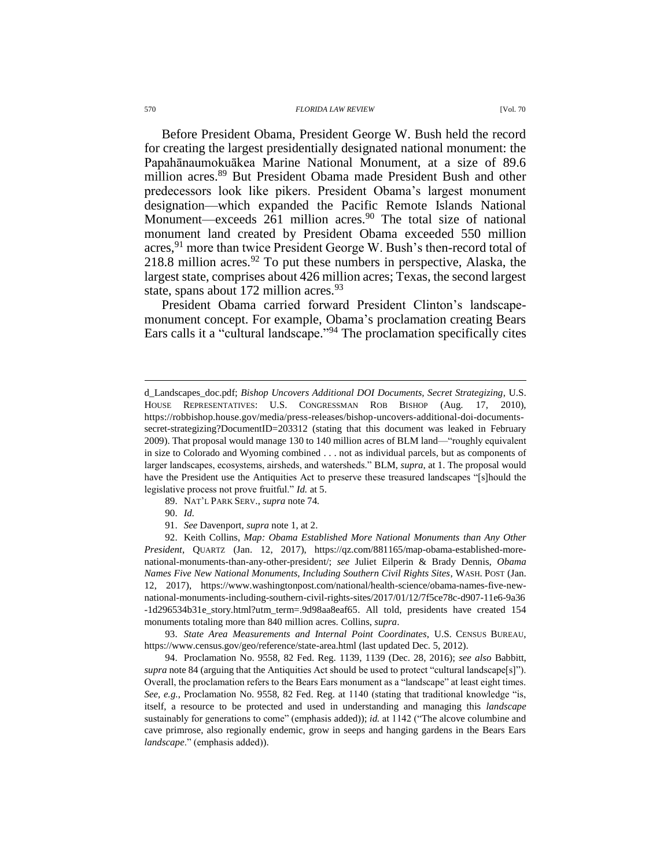Before President Obama, President George W. Bush held the record for creating the largest presidentially designated national monument: the Papahānaumokuākea Marine National Monument, at a size of 89.6 million acres.<sup>89</sup> But President Obama made President Bush and other predecessors look like pikers. President Obama's largest monument designation—which expanded the Pacific Remote Islands National Monument—exceeds  $261$  million acres.<sup>90</sup> The total size of national monument land created by President Obama exceeded 550 million acres,<sup>91</sup> more than twice President George W. Bush's then-record total of 218.8 million acres.  $92$  To put these numbers in perspective, Alaska, the largest state, comprises about 426 million acres; Texas, the second largest state, spans about 172 million acres. $93$ 

President Obama carried forward President Clinton's landscapemonument concept. For example, Obama's proclamation creating Bears Ears calls it a "cultural landscape." <sup>94</sup> The proclamation specifically cites

92. Keith Collins, *Map: Obama Established More National Monuments than Any Other President*, QUARTZ (Jan. 12, 2017), https://qz.com/881165/map-obama-established-morenational-monuments-than-any-other-president/; *see* Juliet Eilperin & Brady Dennis, *Obama Names Five New National Monuments, Including Southern Civil Rights Sites*, WASH. POST (Jan. 12, 2017), https://www.washingtonpost.com/national/health-science/obama-names-five-newnational-monuments-including-southern-civil-rights-sites/2017/01/12/7f5ce78c-d907-11e6-9a36 -1d296534b31e\_story.html?utm\_term=.9d98aa8eaf65. All told, presidents have created 154 monuments totaling more than 840 million acres. Collins, *supra*.

93. *State Area Measurements and Internal Point Coordinates*, U.S. CENSUS BUREAU, https://www.census.gov/geo/reference/state-area.html (last updated Dec. 5, 2012).

94. Proclamation No. 9558, 82 Fed. Reg. 1139, 1139 (Dec. 28, 2016); *see also* Babbitt, *supra* note [84](#page-16-0) (arguing that the Antiquities Act should be used to protect "cultural landscape[s]"). Overall, the proclamation refers to the Bears Ears monument as a "landscape" at least eight times. *See, e.g.*, Proclamation No. 9558, 82 Fed. Reg. at 1140 (stating that traditional knowledge "is, itself, a resource to be protected and used in understanding and managing this *landscape*  sustainably for generations to come" (emphasis added)); *id.* at 1142 ("The alcove columbine and cave primrose, also regionally endemic, grow in seeps and hanging gardens in the Bears Ears *landscape*." (emphasis added)).

d\_Landscapes\_doc.pdf; *Bishop Uncovers Additional DOI Documents, Secret Strategizing*, U.S. HOUSE REPRESENTATIVES: U.S. CONGRESSMAN ROB BISHOP (Aug. 17, 2010), https://robbishop.house.gov/media/press-releases/bishop-uncovers-additional-doi-documentssecret-strategizing?DocumentID=203312 (stating that this document was leaked in February 2009). That proposal would manage 130 to 140 million acres of BLM land—"roughly equivalent in size to Colorado and Wyoming combined . . . not as individual parcels, but as components of larger landscapes, ecosystems, airsheds, and watersheds." BLM, *supra*, at 1. The proposal would have the President use the Antiquities Act to preserve these treasured landscapes "[s]hould the legislative process not prove fruitful." *Id.* at 5.

<sup>89.</sup> NAT'L PARK SERV., *supra* not[e 74](#page-15-0)*.*

<sup>90.</sup> *Id.*

<sup>91.</sup> *See* Davenport, *supra* note [1,](#page-1-0) at 2.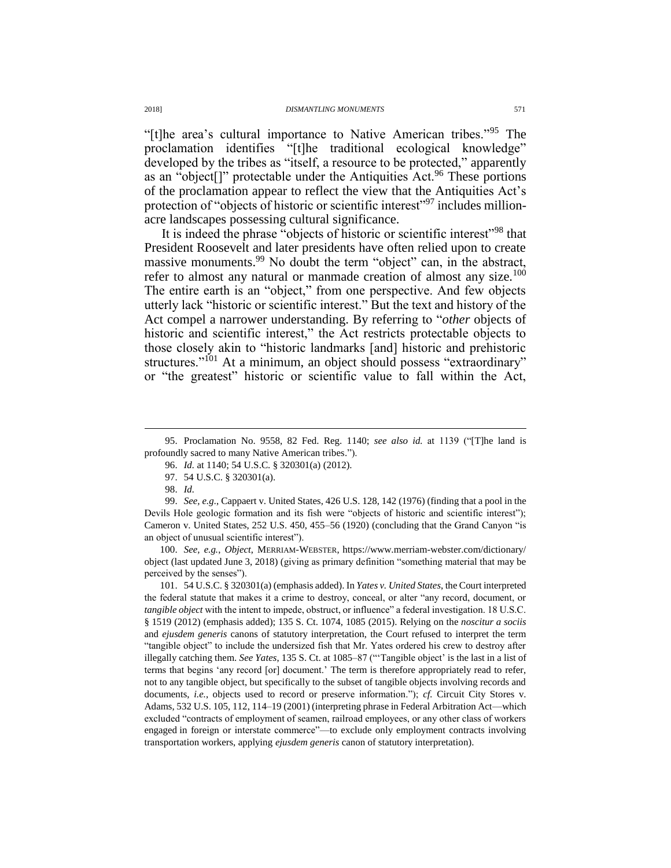"[t]he area's cultural importance to Native American tribes."<sup>95</sup> The proclamation identifies "[t]he traditional ecological knowledge" developed by the tribes as "itself, a resource to be protected," apparently as an "object[]" protectable under the Antiquities Act.<sup>96</sup> These portions of the proclamation appear to reflect the view that the Antiquities Act's protection of "objects of historic or scientific interest"<sup>97</sup> includes millionacre landscapes possessing cultural significance.

It is indeed the phrase "objects of historic or scientific interest"<sup>98</sup> that President Roosevelt and later presidents have often relied upon to create massive monuments.<sup>99</sup> No doubt the term "object" can, in the abstract, refer to almost any natural or manmade creation of almost any size.<sup>100</sup> The entire earth is an "object," from one perspective. And few objects utterly lack "historic or scientific interest." But the text and history of the Act compel a narrower understanding. By referring to "*other* objects of historic and scientific interest," the Act restricts protectable objects to those closely akin to "historic landmarks [and] historic and prehistoric structures."<sup>101</sup> At a minimum, an object should possess "extraordinary" or "the greatest" historic or scientific value to fall within the Act,

98. *Id.*

 $\overline{a}$ 

99. *See, e.g.*, Cappaert v. United States, 426 U.S. 128, 142 (1976) (finding that a pool in the Devils Hole geologic formation and its fish were "objects of historic and scientific interest"); Cameron v. United States, 252 U.S. 450, 455–56 (1920) (concluding that the Grand Canyon "is an object of unusual scientific interest").

100. *See, e.g.*, *Object*, MERRIAM-WEBSTER, https://www.merriam-webster.com/dictionary/ object (last updated June 3, 2018) (giving as primary definition "something material that may be perceived by the senses").

101. 54 U.S.C. § 320301(a) (emphasis added). In *Yates v. United States*, the Court interpreted the federal statute that makes it a crime to destroy, conceal, or alter "any record, document, or *tangible object* with the intent to impede, obstruct, or influence" a federal investigation. 18 U.S.C. § 1519 (2012) (emphasis added); 135 S. Ct. 1074, 1085 (2015). Relying on the *noscitur a sociis*  and *ejusdem generis* canons of statutory interpretation, the Court refused to interpret the term "tangible object" to include the undersized fish that Mr. Yates ordered his crew to destroy after illegally catching them. *See Yates*, 135 S. Ct. at 1085–87 ("'Tangible object' is the last in a list of terms that begins 'any record [or] document.' The term is therefore appropriately read to refer, not to any tangible object, but specifically to the subset of tangible objects involving records and documents, *i.e.*, objects used to record or preserve information."); *cf.* Circuit City Stores v. Adams, 532 U.S. 105, 112, 114–19 (2001) (interpreting phrase in Federal Arbitration Act—which excluded "contracts of employment of seamen, railroad employees, or any other class of workers engaged in foreign or interstate commerce"—to exclude only employment contracts involving transportation workers, applying *ejusdem generis* canon of statutory interpretation).

<sup>95.</sup> Proclamation No. 9558, 82 Fed. Reg. 1140; *see also id.* at 1139 ("[T]he land is profoundly sacred to many Native American tribes.").

<sup>96.</sup> *Id.* at 1140; 54 U.S.C. § 320301(a) (2012).

<sup>97.</sup> 54 U.S.C. § 320301(a).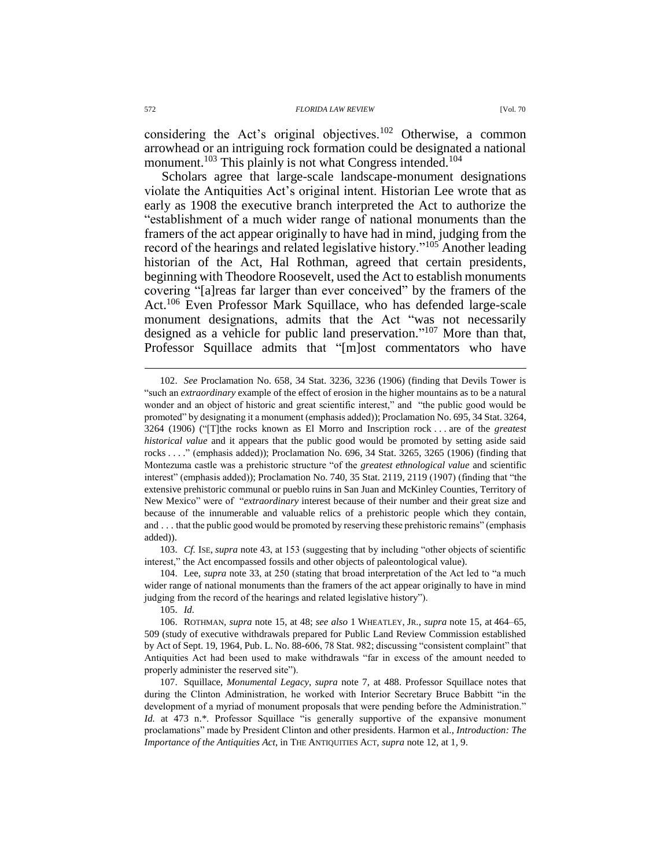considering the Act's original objectives.<sup>102</sup> Otherwise, a common arrowhead or an intriguing rock formation could be designated a national monument.<sup>103</sup> This plainly is not what Congress intended.<sup>104</sup>

Scholars agree that large-scale landscape-monument designations violate the Antiquities Act's original intent. Historian Lee wrote that as early as 1908 the executive branch interpreted the Act to authorize the "establishment of a much wider range of national monuments than the framers of the act appear originally to have had in mind, judging from the record of the hearings and related legislative history."<sup>105</sup> Another leading historian of the Act, Hal Rothman, agreed that certain presidents, beginning with Theodore Roosevelt, used the Act to establish monuments covering "[a]reas far larger than ever conceived" by the framers of the Act.<sup>106</sup> Even Professor Mark Squillace, who has defended large-scale monument designations, admits that the Act "was not necessarily designed as a vehicle for public land preservation." <sup>107</sup> More than that, Professor Squillace admits that "[m]ost commentators who have

103. *Cf.* ISE, *supra* note [43,](#page-10-0) at 153 (suggesting that by including "other objects of scientific interest," the Act encompassed fossils and other objects of paleontological value).

104. Lee, *supra* note [33,](#page-8-1) at 250 (stating that broad interpretation of the Act led to "a much wider range of national monuments than the framers of the act appear originally to have in mind judging from the record of the hearings and related legislative history").

105. *Id.*

106. ROTHMAN, *supra* note [15,](#page-5-0) at 48; *see also* 1 WHEATLEY, JR., *supra* note [15,](#page-5-0) at 464–65, 509 (study of executive withdrawals prepared for Public Land Review Commission established by Act of Sept. 19, 1964, Pub. L. No. 88-606, 78 Stat. 982; discussing "consistent complaint" that Antiquities Act had been used to make withdrawals "far in excess of the amount needed to properly administer the reserved site").

107. Squillace, *Monumental Legacy*, *supra* note [7,](#page-2-0) at 488. Professor Squillace notes that during the Clinton Administration, he worked with Interior Secretary Bruce Babbitt "in the development of a myriad of monument proposals that were pending before the Administration." *Id.* at 473 n.\*. Professor Squillace "is generally supportive of the expansive monument proclamations" made by President Clinton and other presidents. Harmon et al., *Introduction: The Importance of the Antiquities Act*, in THE ANTIQUITIES ACT, *supra* note [12,](#page-4-1) at 1, 9.

<span id="page-19-0"></span><sup>102.</sup> *See* Proclamation No. 658, 34 Stat. 3236, 3236 (1906) (finding that Devils Tower is "such an *extraordinary* example of the effect of erosion in the higher mountains as to be a natural wonder and an object of historic and great scientific interest," and "the public good would be promoted" by designating it a monument (emphasis added)); Proclamation No. 695, 34 Stat. 3264, 3264 (1906) ("[T]the rocks known as El Morro and Inscription rock . . . are of the *greatest historical value* and it appears that the public good would be promoted by setting aside said rocks . . . ." (emphasis added)); Proclamation No. 696, 34 Stat. 3265, 3265 (1906) (finding that Montezuma castle was a prehistoric structure "of the *greatest ethnological value* and scientific interest" (emphasis added)); Proclamation No. 740, 35 Stat. 2119, 2119 (1907) (finding that "the extensive prehistoric communal or pueblo ruins in San Juan and McKinley Counties, Territory of New Mexico" were of "*extraordinary* interest because of their number and their great size and because of the innumerable and valuable relics of a prehistoric people which they contain, and . . . that the public good would be promoted by reserving these prehistoric remains" (emphasis added)).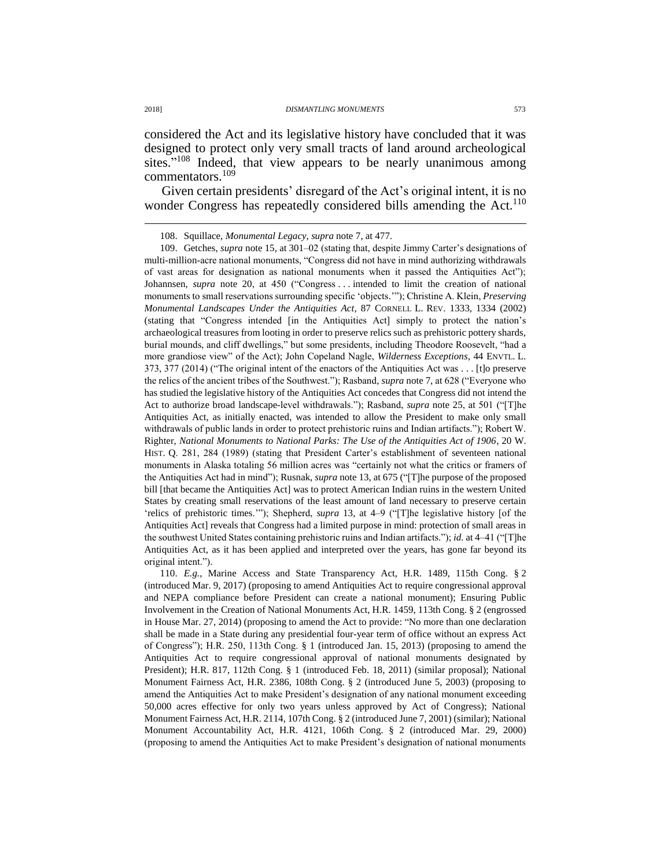considered the Act and its legislative history have concluded that it was designed to protect only very small tracts of land around archeological sites."<sup>108</sup> Indeed, that view appears to be nearly unanimous among commentators.<sup>109</sup>

<span id="page-20-0"></span>Given certain presidents' disregard of the Act's original intent, it is no wonder Congress has repeatedly considered bills amending the Act.<sup>110</sup>

109. Getches, *supra* note [15,](#page-5-0) at 301–02 (stating that, despite Jimmy Carter's designations of multi-million-acre national monuments, "Congress did not have in mind authorizing withdrawals of vast areas for designation as national monuments when it passed the Antiquities Act"); Johannsen, *supra* note [20,](#page-6-0) at 450 ("Congress . . . intended to limit the creation of national monuments to small reservations surrounding specific 'objects.'"); Christine A. Klein, *Preserving Monumental Landscapes Under the Antiquities Act*, 87 CORNELL L. REV. 1333, 1334 (2002) (stating that "Congress intended [in the Antiquities Act] simply to protect the nation's archaeological treasures from looting in order to preserve relics such as prehistoric pottery shards, burial mounds, and cliff dwellings," but some presidents, including Theodore Roosevelt, "had a more grandiose view" of the Act); John Copeland Nagle, *Wilderness Exceptions*, 44 ENVTL. L. 373, 377 (2014) ("The original intent of the enactors of the Antiquities Act was . . . [t]o preserve the relics of the ancient tribes of the Southwest."); Rasband, *supra* not[e 7,](#page-2-0) at 628 ("Everyone who has studied the legislative history of the Antiquities Act concedes that Congress did not intend the Act to authorize broad landscape-level withdrawals."); Rasband, *supra* note [25,](#page-7-1) at 501 ("[T]he Antiquities Act, as initially enacted, was intended to allow the President to make only small withdrawals of public lands in order to protect prehistoric ruins and Indian artifacts."); Robert W. Righter, *National Monuments to National Parks: The Use of the Antiquities Act of 1906*, 20 W. HIST. Q. 281, 284 (1989) (stating that President Carter's establishment of seventeen national monuments in Alaska totaling 56 million acres was "certainly not what the critics or framers of the Antiquities Act had in mind"); Rusnak, *supra* not[e 13,](#page-5-1) at 675 ("[T]he purpose of the proposed bill [that became the Antiquities Act] was to protect American Indian ruins in the western United States by creating small reservations of the least amount of land necessary to preserve certain 'relics of prehistoric times.'"); Shepherd, *supra* [13,](#page-5-1) at 4–9 ("[T]he legislative history [of the Antiquities Act] reveals that Congress had a limited purpose in mind: protection of small areas in the southwest United States containing prehistoric ruins and Indian artifacts."); *id.* at 4–41 ("[T]he Antiquities Act, as it has been applied and interpreted over the years, has gone far beyond its original intent.").

110. *E.g.*, Marine Access and State Transparency Act, H.R. 1489, 115th Cong. § 2 (introduced Mar. 9, 2017) (proposing to amend Antiquities Act to require congressional approval and NEPA compliance before President can create a national monument); Ensuring Public Involvement in the Creation of National Monuments Act, H.R. 1459, 113th Cong. § 2 (engrossed in House Mar. 27, 2014) (proposing to amend the Act to provide: "No more than one declaration shall be made in a State during any presidential four-year term of office without an express Act of Congress"); H.R. 250, 113th Cong. § 1 (introduced Jan. 15, 2013) (proposing to amend the Antiquities Act to require congressional approval of national monuments designated by President); H.R. 817, 112th Cong. § 1 (introduced Feb. 18, 2011) (similar proposal); National Monument Fairness Act, H.R. 2386, 108th Cong. § 2 (introduced June 5, 2003) (proposing to amend the Antiquities Act to make President's designation of any national monument exceeding 50,000 acres effective for only two years unless approved by Act of Congress); National Monument Fairness Act, H.R. 2114, 107th Cong. § 2 (introduced June 7, 2001) (similar); National Monument Accountability Act, H.R. 4121, 106th Cong. § 2 (introduced Mar. 29, 2000) (proposing to amend the Antiquities Act to make President's designation of national monuments

<sup>108.</sup> Squillace, *Monumental Legacy*, *supra* note [7,](#page-2-0) at 477.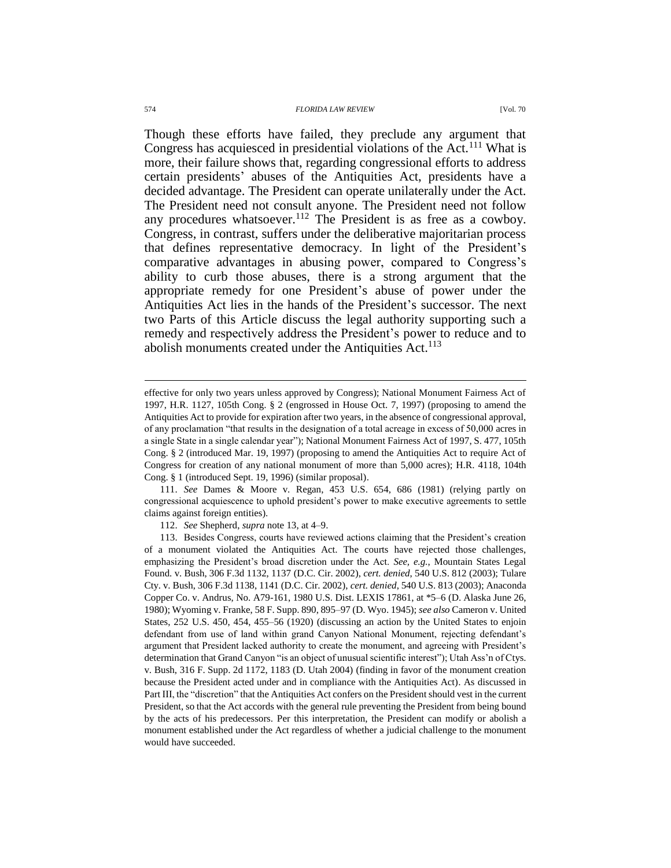#### 574 *FLORIDA LAW REVIEW* [Vol. 70

Though these efforts have failed, they preclude any argument that Congress has acquiesced in presidential violations of the Act.<sup>111</sup> What is more, their failure shows that, regarding congressional efforts to address certain presidents' abuses of the Antiquities Act, presidents have a decided advantage. The President can operate unilaterally under the Act. The President need not consult anyone. The President need not follow any procedures whatsoever.<sup>112</sup> The President is as free as a cowboy. Congress, in contrast, suffers under the deliberative majoritarian process that defines representative democracy. In light of the President's comparative advantages in abusing power, compared to Congress's ability to curb those abuses, there is a strong argument that the appropriate remedy for one President's abuse of power under the Antiquities Act lies in the hands of the President's successor. The next two Parts of this Article discuss the legal authority supporting such a remedy and respectively address the President's power to reduce and to abolish monuments created under the Antiquities Act.<sup>113</sup>

111. *See* Dames & Moore v. Regan, 453 U.S. 654, 686 (1981) (relying partly on congressional acquiescence to uphold president's power to make executive agreements to settle claims against foreign entities).

112. *See* Shepherd, *supra* note [13,](#page-5-1) at 4–9.

effective for only two years unless approved by Congress); National Monument Fairness Act of 1997, H.R. 1127, 105th Cong. § 2 (engrossed in House Oct. 7, 1997) (proposing to amend the Antiquities Act to provide for expiration after two years, in the absence of congressional approval, of any proclamation "that results in the designation of a total acreage in excess of 50,000 acres in a single State in a single calendar year"); National Monument Fairness Act of 1997, S. 477, 105th Cong. § 2 (introduced Mar. 19, 1997) (proposing to amend the Antiquities Act to require Act of Congress for creation of any national monument of more than 5,000 acres); H.R. 4118, 104th Cong. § 1 (introduced Sept. 19, 1996) (similar proposal).

<sup>113.</sup> Besides Congress, courts have reviewed actions claiming that the President's creation of a monument violated the Antiquities Act. The courts have rejected those challenges, emphasizing the President's broad discretion under the Act. *See, e.g.*, Mountain States Legal Found. v. Bush, 306 F.3d 1132, 1137 (D.C. Cir. 2002), *cert. denied*, 540 U.S. 812 (2003); Tulare Cty. v. Bush, 306 F.3d 1138, 1141 (D.C. Cir. 2002), *cert. denied*, 540 U.S. 813 (2003); Anaconda Copper Co. v. Andrus, No. A79-161, 1980 U.S. Dist. LEXIS 17861, at \*5–6 (D. Alaska June 26, 1980); Wyoming v. Franke, 58 F. Supp. 890, 895–97 (D. Wyo. 1945); *see also* Cameron v. United States, 252 U.S. 450, 454, 455–56 (1920) (discussing an action by the United States to enjoin defendant from use of land within grand Canyon National Monument, rejecting defendant's argument that President lacked authority to create the monument, and agreeing with President's determination that Grand Canyon "is an object of unusual scientific interest"); Utah Ass'n of Ctys. v. Bush, 316 F. Supp. 2d 1172, 1183 (D. Utah 2004) (finding in favor of the monument creation because the President acted under and in compliance with the Antiquities Act). As discussed in Part III, the "discretion" that the Antiquities Act confers on the President should vest in the current President, so that the Act accords with the general rule preventing the President from being bound by the acts of his predecessors. Per this interpretation, the President can modify or abolish a monument established under the Act regardless of whether a judicial challenge to the monument would have succeeded.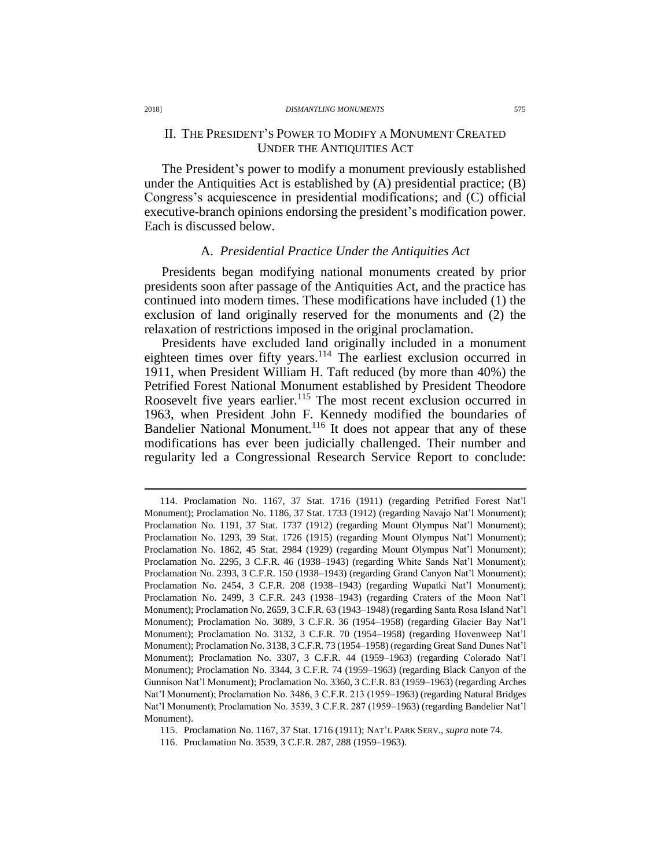#### 2018] *DISMANTLING MONUMENTS* 575

# II. THE PRESIDENT'S POWER TO MODIFY A MONUMENT CREATED UNDER THE ANTIQUITIES ACT

The President's power to modify a monument previously established under the Antiquities Act is established by  $(A)$  presidential practice;  $(B)$ Congress's acquiescence in presidential modifications; and (C) official executive-branch opinions endorsing the president's modification power. Each is discussed below.

### <span id="page-22-0"></span>A. *Presidential Practice Under the Antiquities Act*

Presidents began modifying national monuments created by prior presidents soon after passage of the Antiquities Act, and the practice has continued into modern times. These modifications have included (1) the exclusion of land originally reserved for the monuments and (2) the relaxation of restrictions imposed in the original proclamation.

Presidents have excluded land originally included in a monument eighteen times over fifty years.<sup>114</sup> The earliest exclusion occurred in 1911, when President William H. Taft reduced (by more than 40%) the Petrified Forest National Monument established by President Theodore Roosevelt five years earlier.<sup>115</sup> The most recent exclusion occurred in 1963, when President John F. Kennedy modified the boundaries of Bandelier National Monument.<sup>116</sup> It does not appear that any of these modifications has ever been judicially challenged. Their number and regularity led a Congressional Research Service Report to conclude:

<sup>114.</sup> Proclamation No. 1167, 37 Stat. 1716 (1911) (regarding Petrified Forest Nat'l Monument); Proclamation No. 1186, 37 Stat. 1733 (1912) (regarding Navajo Nat'l Monument); Proclamation No. 1191, 37 Stat. 1737 (1912) (regarding Mount Olympus Nat'l Monument); Proclamation No. 1293, 39 Stat. 1726 (1915) (regarding Mount Olympus Nat'l Monument); Proclamation No. 1862, 45 Stat. 2984 (1929) (regarding Mount Olympus Nat'l Monument); Proclamation No. 2295, 3 C.F.R. 46 (1938–1943) (regarding White Sands Nat'l Monument); Proclamation No. 2393, 3 C.F.R. 150 (1938–1943) (regarding Grand Canyon Nat'l Monument); Proclamation No. 2454, 3 C.F.R. 208 (1938–1943) (regarding Wupatki Nat'l Monument); Proclamation No. 2499, 3 C.F.R. 243 (1938–1943) (regarding Craters of the Moon Nat'l Monument); Proclamation No. 2659, 3 C.F.R. 63 (1943–1948) (regarding Santa Rosa Island Nat'l Monument); Proclamation No. 3089, 3 C.F.R. 36 (1954–1958) (regarding Glacier Bay Nat'l Monument); Proclamation No. 3132, 3 C.F.R. 70 (1954–1958) (regarding Hovenweep Nat'l Monument); Proclamation No. 3138, 3 C.F.R. 73 (1954–1958) (regarding Great Sand Dunes Nat'l Monument); Proclamation No. 3307, 3 C.F.R. 44 (1959–1963) (regarding Colorado Nat'l Monument); Proclamation No. 3344, 3 C.F.R. 74 (1959–1963) (regarding Black Canyon of the Gunnison Nat'l Monument); Proclamation No. 3360, 3 C.F.R. 83 (1959–1963) (regarding Arches Nat'l Monument); Proclamation No. 3486, 3 C.F.R. 213 (1959–1963) (regarding Natural Bridges Nat'l Monument); Proclamation No. 3539, 3 C.F.R. 287 (1959–1963) (regarding Bandelier Nat'l Monument).

<sup>115.</sup> Proclamation No. 1167, 37 Stat. 1716 (1911); NAT'L PARK SERV., *supra* not[e 74.](#page-15-0)

<sup>116.</sup> Proclamation No. 3539, 3 C.F.R. 287, 288 (1959–1963).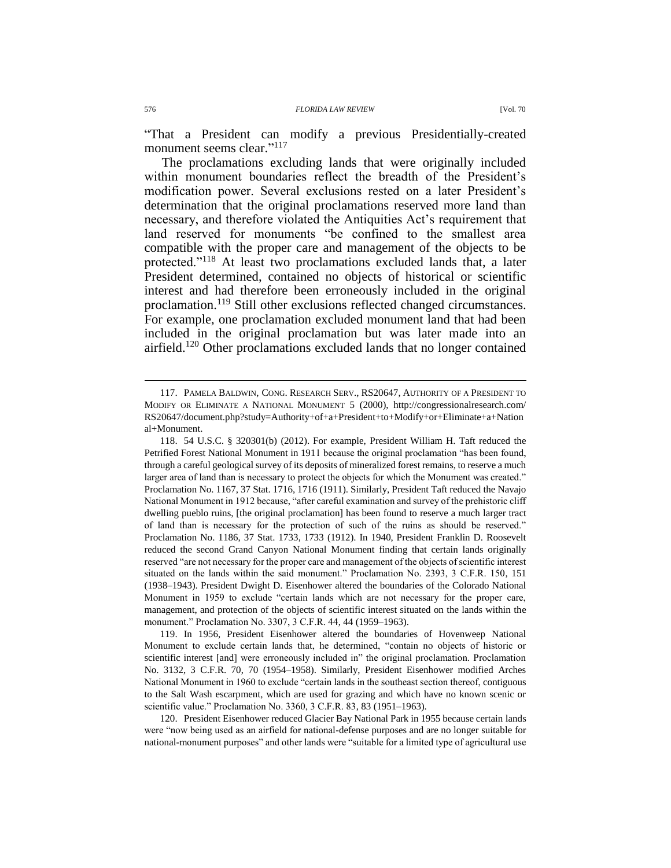"That a President can modify a previous Presidentially-created monument seems clear."<sup>117</sup>

<span id="page-23-0"></span>The proclamations excluding lands that were originally included within monument boundaries reflect the breadth of the President's modification power. Several exclusions rested on a later President's determination that the original proclamations reserved more land than necessary, and therefore violated the Antiquities Act's requirement that land reserved for monuments "be confined to the smallest area compatible with the proper care and management of the objects to be protected."<sup>118</sup> At least two proclamations excluded lands that, a later President determined, contained no objects of historical or scientific interest and had therefore been erroneously included in the original proclamation.<sup>119</sup> Still other exclusions reflected changed circumstances. For example, one proclamation excluded monument land that had been included in the original proclamation but was later made into an airfield.<sup>120</sup> Other proclamations excluded lands that no longer contained

119. In 1956, President Eisenhower altered the boundaries of Hovenweep National Monument to exclude certain lands that, he determined, "contain no objects of historic or scientific interest [and] were erroneously included in" the original proclamation. Proclamation No. 3132, 3 C.F.R. 70, 70 (1954–1958). Similarly, President Eisenhower modified Arches National Monument in 1960 to exclude "certain lands in the southeast section thereof, contiguous to the Salt Wash escarpment, which are used for grazing and which have no known scenic or scientific value." Proclamation No. 3360, 3 C.F.R. 83, 83 (1951–1963).

120. President Eisenhower reduced Glacier Bay National Park in 1955 because certain lands were "now being used as an airfield for national-defense purposes and are no longer suitable for national-monument purposes" and other lands were "suitable for a limited type of agricultural use

<span id="page-23-2"></span><span id="page-23-1"></span><sup>117.</sup> PAMELA BALDWIN, CONG. RESEARCH SERV., RS20647, AUTHORITY OF A PRESIDENT TO MODIFY OR ELIMINATE A NATIONAL MONUMENT 5 (2000), http://congressionalresearch.com/ RS20647/document.php?study=Authority+of+a+President+to+Modify+or+Eliminate+a+Nation al+Monument.

<sup>118.</sup> 54 U.S.C. § 320301(b) (2012). For example, President William H. Taft reduced the Petrified Forest National Monument in 1911 because the original proclamation "has been found, through a careful geological survey of its deposits of mineralized forest remains, to reserve a much larger area of land than is necessary to protect the objects for which the Monument was created." Proclamation No. 1167, 37 Stat. 1716, 1716 (1911). Similarly, President Taft reduced the Navajo National Monument in 1912 because, "after careful examination and survey of the prehistoric cliff dwelling pueblo ruins, [the original proclamation] has been found to reserve a much larger tract of land than is necessary for the protection of such of the ruins as should be reserved." Proclamation No. 1186, 37 Stat. 1733, 1733 (1912). In 1940, President Franklin D. Roosevelt reduced the second Grand Canyon National Monument finding that certain lands originally reserved "are not necessary for the proper care and management of the objects of scientific interest situated on the lands within the said monument." Proclamation No. 2393, 3 C.F.R. 150, 151 (1938–1943). President Dwight D. Eisenhower altered the boundaries of the Colorado National Monument in 1959 to exclude "certain lands which are not necessary for the proper care, management, and protection of the objects of scientific interest situated on the lands within the monument." Proclamation No. 3307, 3 C.F.R. 44, 44 (1959–1963).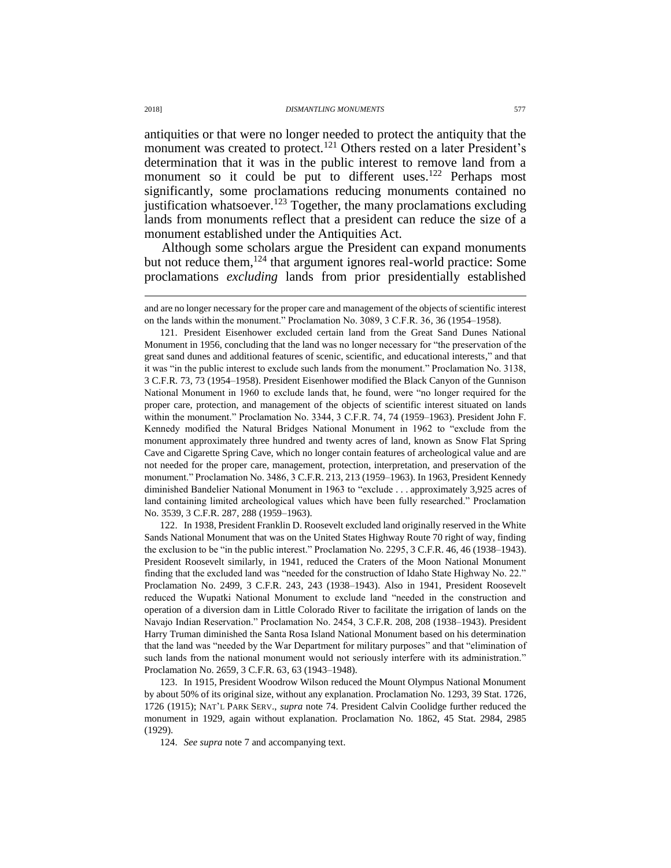antiquities or that were no longer needed to protect the antiquity that the monument was created to protect.<sup>121</sup> Others rested on a later President's determination that it was in the public interest to remove land from a monument so it could be put to different uses.<sup>122</sup> Perhaps most significantly, some proclamations reducing monuments contained no justification whatsoever.<sup>123</sup> Together, the many proclamations excluding lands from monuments reflect that a president can reduce the size of a monument established under the Antiquities Act.

Although some scholars argue the President can expand monuments but not reduce them,  $124$  that argument ignores real-world practice: Some proclamations *excluding* lands from prior presidentially established

122. In 1938, President Franklin D. Roosevelt excluded land originally reserved in the White Sands National Monument that was on the United States Highway Route 70 right of way, finding the exclusion to be "in the public interest." Proclamation No. 2295, 3 C.F.R. 46, 46 (1938–1943). President Roosevelt similarly, in 1941, reduced the Craters of the Moon National Monument finding that the excluded land was "needed for the construction of Idaho State Highway No. 22." Proclamation No. 2499, 3 C.F.R. 243, 243 (1938–1943). Also in 1941, President Roosevelt reduced the Wupatki National Monument to exclude land "needed in the construction and operation of a diversion dam in Little Colorado River to facilitate the irrigation of lands on the Navajo Indian Reservation." Proclamation No. 2454, 3 C.F.R. 208, 208 (1938–1943). President Harry Truman diminished the Santa Rosa Island National Monument based on his determination that the land was "needed by the War Department for military purposes" and that "elimination of such lands from the national monument would not seriously interfere with its administration." Proclamation No. 2659, 3 C.F.R. 63, 63 (1943–1948).

123. In 1915, President Woodrow Wilson reduced the Mount Olympus National Monument by about 50% of its original size, without any explanation. Proclamation No. 1293, 39 Stat. 1726, 1726 (1915); NAT'L PARK SERV., *supra* note [74.](#page-15-0) President Calvin Coolidge further reduced the monument in 1929, again without explanation. Proclamation No. 1862, 45 Stat. 2984, 2985 (1929).

124. *See supra* note [7](#page-2-0) and accompanying text.

and are no longer necessary for the proper care and management of the objects of scientific interest on the lands within the monument." Proclamation No. 3089, 3 C.F.R. 36, 36 (1954–1958).

<sup>121.</sup> President Eisenhower excluded certain land from the Great Sand Dunes National Monument in 1956, concluding that the land was no longer necessary for "the preservation of the great sand dunes and additional features of scenic, scientific, and educational interests," and that it was "in the public interest to exclude such lands from the monument." Proclamation No. 3138, 3 C.F.R. 73, 73 (1954–1958). President Eisenhower modified the Black Canyon of the Gunnison National Monument in 1960 to exclude lands that, he found, were "no longer required for the proper care, protection, and management of the objects of scientific interest situated on lands within the monument." Proclamation No. 3344, 3 C.F.R. 74, 74 (1959–1963). President John F. Kennedy modified the Natural Bridges National Monument in 1962 to "exclude from the monument approximately three hundred and twenty acres of land, known as Snow Flat Spring Cave and Cigarette Spring Cave, which no longer contain features of archeological value and are not needed for the proper care, management, protection, interpretation, and preservation of the monument." Proclamation No. 3486, 3 C.F.R. 213, 213 (1959–1963). In 1963, President Kennedy diminished Bandelier National Monument in 1963 to "exclude . . . approximately 3,925 acres of land containing limited archeological values which have been fully researched." Proclamation No. 3539, 3 C.F.R. 287, 288 (1959–1963).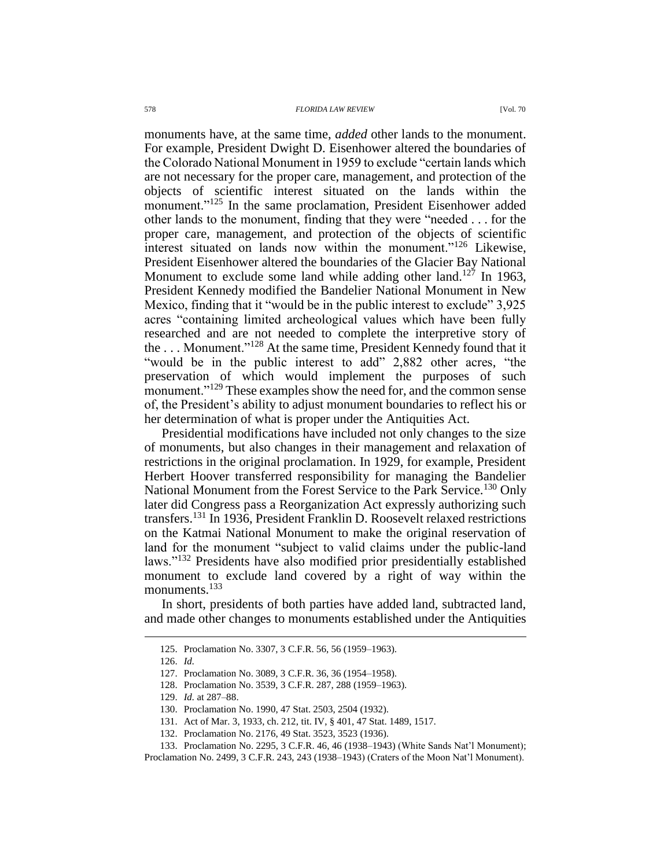monuments have, at the same time, *added* other lands to the monument. For example, President Dwight D. Eisenhower altered the boundaries of the Colorado National Monument in 1959 to exclude "certain lands which are not necessary for the proper care, management, and protection of the objects of scientific interest situated on the lands within the monument."<sup>125</sup> In the same proclamation, President Eisenhower added other lands to the monument, finding that they were "needed . . . for the proper care, management, and protection of the objects of scientific interest situated on lands now within the monument."<sup>126</sup> Likewise, President Eisenhower altered the boundaries of the Glacier Bay National Monument to exclude some land while adding other land.<sup>127</sup> In 1963, President Kennedy modified the Bandelier National Monument in New Mexico, finding that it "would be in the public interest to exclude" 3,925 acres "containing limited archeological values which have been fully researched and are not needed to complete the interpretive story of the . . . Monument."<sup>128</sup> At the same time, President Kennedy found that it "would be in the public interest to add" 2,882 other acres, "the preservation of which would implement the purposes of such monument."<sup>129</sup> These examples show the need for, and the common sense of, the President's ability to adjust monument boundaries to reflect his or her determination of what is proper under the Antiquities Act.

Presidential modifications have included not only changes to the size of monuments, but also changes in their management and relaxation of restrictions in the original proclamation. In 1929, for example, President Herbert Hoover transferred responsibility for managing the Bandelier National Monument from the Forest Service to the Park Service.<sup>130</sup> Only later did Congress pass a Reorganization Act expressly authorizing such transfers.<sup>131</sup> In 1936, President Franklin D. Roosevelt relaxed restrictions on the Katmai National Monument to make the original reservation of land for the monument "subject to valid claims under the public-land laws."<sup>132</sup> Presidents have also modified prior presidentially established monument to exclude land covered by a right of way within the monuments.<sup>133</sup>

In short, presidents of both parties have added land, subtracted land, and made other changes to monuments established under the Antiquities

<sup>125.</sup> Proclamation No. 3307, 3 C.F.R. 56, 56 (1959–1963).

<sup>126.</sup> *Id.*

<sup>127.</sup> Proclamation No. 3089, 3 C.F.R. 36, 36 (1954–1958).

<sup>128.</sup> Proclamation No. 3539, 3 C.F.R. 287, 288 (1959–1963).

<sup>129.</sup> *Id.* at 287–88.

<sup>130.</sup> Proclamation No. 1990, 47 Stat. 2503, 2504 (1932).

<sup>131.</sup> Act of Mar. 3, 1933, ch. 212, tit. IV, § 401, 47 Stat. 1489, 1517.

<sup>132.</sup> Proclamation No. 2176, 49 Stat. 3523, 3523 (1936).

<sup>133.</sup> Proclamation No. 2295, 3 C.F.R. 46, 46 (1938–1943) (White Sands Nat'l Monument); Proclamation No. 2499, 3 C.F.R. 243, 243 (1938–1943) (Craters of the Moon Nat'l Monument).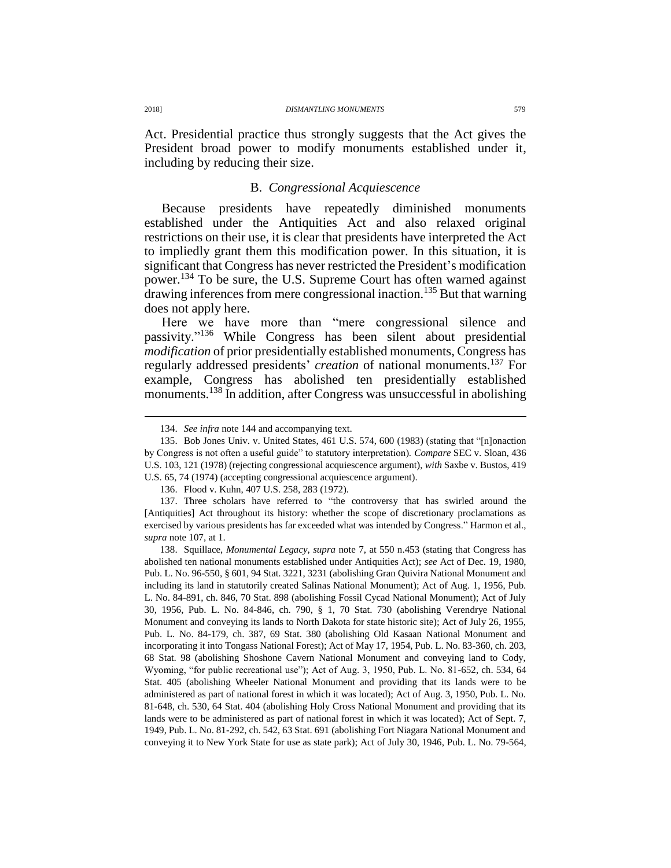Act. Presidential practice thus strongly suggests that the Act gives the President broad power to modify monuments established under it, including by reducing their size.

## B. *Congressional Acquiescence*

Because presidents have repeatedly diminished monuments established under the Antiquities Act and also relaxed original restrictions on their use, it is clear that presidents have interpreted the Act to impliedly grant them this modification power. In this situation, it is significant that Congress has never restricted the President's modification power.<sup>134</sup> To be sure, the U.S. Supreme Court has often warned against drawing inferences from mere congressional inaction.<sup>135</sup> But that warning does not apply here.

Here we have more than "mere congressional silence and passivity." <sup>136</sup> While Congress has been silent about presidential *modification* of prior presidentially established monuments, Congress has regularly addressed presidents' *creation* of national monuments.<sup>137</sup> For example, Congress has abolished ten presidentially established monuments.<sup>138</sup> In addition, after Congress was unsuccessful in abolishing

138. Squillace, *Monumental Legacy*, *supra* note [7,](#page-2-0) at 550 n.453 (stating that Congress has abolished ten national monuments established under Antiquities Act); *see* Act of Dec. 19, 1980, Pub. L. No. 96-550, § 601, 94 Stat. 3221, 3231 (abolishing Gran Quivira National Monument and including its land in statutorily created Salinas National Monument); Act of Aug. 1, 1956, Pub. L. No. 84-891, ch. 846, 70 Stat. 898 (abolishing Fossil Cycad National Monument); Act of July 30, 1956, Pub. L. No. 84-846, ch. 790, § 1, 70 Stat. 730 (abolishing Verendrye National Monument and conveying its lands to North Dakota for state historic site); Act of July 26, 1955, Pub. L. No. 84-179, ch. 387, 69 Stat. 380 (abolishing Old Kasaan National Monument and incorporating it into Tongass National Forest); Act of May 17, 1954, Pub. L. No. 83-360, ch. 203, 68 Stat. 98 (abolishing Shoshone Cavern National Monument and conveying land to Cody, Wyoming, "for public recreational use"); Act of Aug. 3, 1950, Pub. L. No. 81-652, ch. 534, 64 Stat. 405 (abolishing Wheeler National Monument and providing that its lands were to be administered as part of national forest in which it was located); Act of Aug. 3, 1950, Pub. L. No. 81-648, ch. 530, 64 Stat. 404 (abolishing Holy Cross National Monument and providing that its lands were to be administered as part of national forest in which it was located); Act of Sept. 7, 1949, Pub. L. No. 81-292, ch. 542, 63 Stat. 691 (abolishing Fort Niagara National Monument and conveying it to New York State for use as state park); Act of July 30, 1946, Pub. L. No. 79-564,

<span id="page-26-0"></span><sup>134.</sup> *See infra* note [144](#page-27-0) and accompanying text.

<sup>135.</sup> Bob Jones Univ. v. United States, 461 U.S. 574, 600 (1983) (stating that "[n]onaction by Congress is not often a useful guide" to statutory interpretation). *Compare* SEC v. Sloan, 436 U.S. 103, 121 (1978) (rejecting congressional acquiescence argument), *with* Saxbe v. Bustos, 419 U.S. 65, 74 (1974) (accepting congressional acquiescence argument).

<sup>136.</sup> Flood v. Kuhn, 407 U.S. 258, 283 (1972).

<sup>137.</sup> Three scholars have referred to "the controversy that has swirled around the [Antiquities] Act throughout its history: whether the scope of discretionary proclamations as exercised by various presidents has far exceeded what was intended by Congress." Harmon et al., *supra* note [107,](#page-19-0) at 1.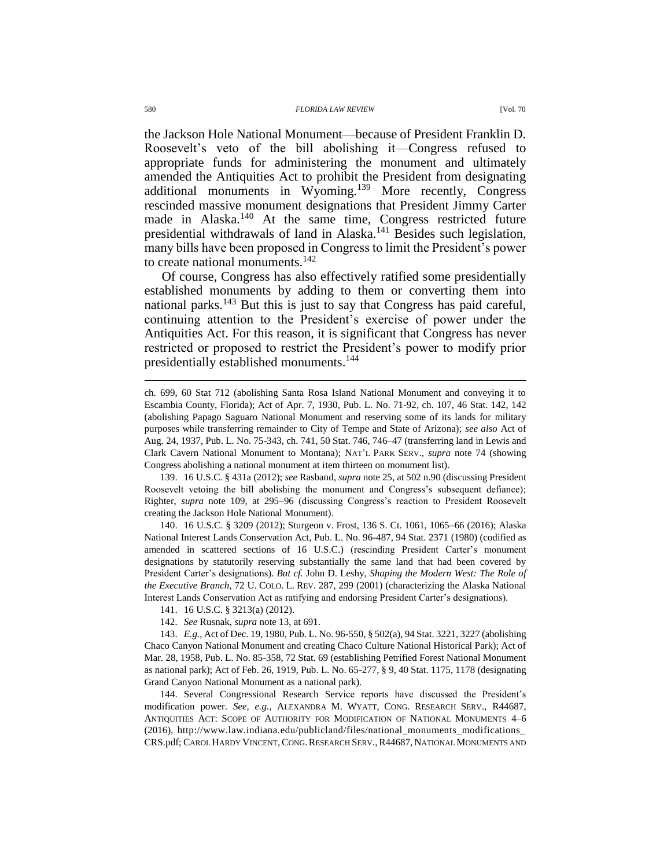the Jackson Hole National Monument—because of President Franklin D. Roosevelt's veto of the bill abolishing it—Congress refused to appropriate funds for administering the monument and ultimately amended the Antiquities Act to prohibit the President from designating additional monuments in Wyoming.<sup>139</sup> More recently, Congress rescinded massive monument designations that President Jimmy Carter made in Alaska.<sup>140</sup> At the same time, Congress restricted future presidential withdrawals of land in Alaska.<sup>141</sup> Besides such legislation, many bills have been proposed in Congress to limit the President's power to create national monuments. $142$ 

Of course, Congress has also effectively ratified some presidentially established monuments by adding to them or converting them into national parks.<sup>143</sup> But this is just to say that Congress has paid careful, continuing attention to the President's exercise of power under the Antiquities Act. For this reason, it is significant that Congress has never restricted or proposed to restrict the President's power to modify prior presidentially established monuments.<sup>144</sup>

139. 16 U.S.C. § 431a (2012); *see* Rasband, *supra* note [25,](#page-7-1) at 502 n.90 (discussing President Roosevelt vetoing the bill abolishing the monument and Congress's subsequent defiance); Righter, *supra* note [109,](#page-20-0) at 295–96 (discussing Congress's reaction to President Roosevelt creating the Jackson Hole National Monument).

140. 16 U.S.C. § 3209 (2012); Sturgeon v. Frost, 136 S. Ct. 1061, 1065–66 (2016); Alaska National Interest Lands Conservation Act, Pub. L. No. 96-487, 94 Stat. 2371 (1980) (codified as amended in scattered sections of 16 U.S.C.) (rescinding President Carter's monument designations by statutorily reserving substantially the same land that had been covered by President Carter's designations). *But cf.* John D. Leshy, *Shaping the Modern West: The Role of the Executive Branch*, 72 U. COLO. L. REV. 287, 299 (2001) (characterizing the Alaska National Interest Lands Conservation Act as ratifying and endorsing President Carter's designations).

- 141. 16 U.S.C. § 3213(a) (2012).
- 142. *See* Rusnak, *supra* note [13,](#page-5-1) at 691.

143. *E.g.*, Act of Dec. 19, 1980, Pub. L. No. 96-550, § 502(a), 94 Stat. 3221, 3227 (abolishing Chaco Canyon National Monument and creating Chaco Culture National Historical Park); Act of Mar. 28, 1958, Pub. L. No. 85-358, 72 Stat. 69 (establishing Petrified Forest National Monument as national park); Act of Feb. 26, 1919, Pub. L. No. 65-277, § 9, 40 Stat. 1175, 1178 (designating Grand Canyon National Monument as a national park).

144. Several Congressional Research Service reports have discussed the President's modification power. *See, e.g.*, ALEXANDRA M. WYATT, CONG. RESEARCH SERV., R44687, ANTIQUITIES ACT: SCOPE OF AUTHORITY FOR MODIFICATION OF NATIONAL MONUMENTS 4–6 (2016), http://www.law.indiana.edu/publicland/files/national\_monuments\_modifications\_ CRS.pdf; CAROL HARDY VINCENT, CONG. RESEARCH SERV., R44687, NATIONAL MONUMENTS AND

<span id="page-27-0"></span>ch. 699, 60 Stat 712 (abolishing Santa Rosa Island National Monument and conveying it to Escambia County, Florida); Act of Apr. 7, 1930, Pub. L. No. 71-92, ch. 107, 46 Stat. 142, 142 (abolishing Papago Saguaro National Monument and reserving some of its lands for military purposes while transferring remainder to City of Tempe and State of Arizona); *see also* Act of Aug. 24, 1937, Pub. L. No. 75-343, ch. 741, 50 Stat. 746, 746–47 (transferring land in Lewis and Clark Cavern National Monument to Montana); NAT'L PARK SERV., *supra* note [74](#page-15-0) (showing Congress abolishing a national monument at item thirteen on monument list).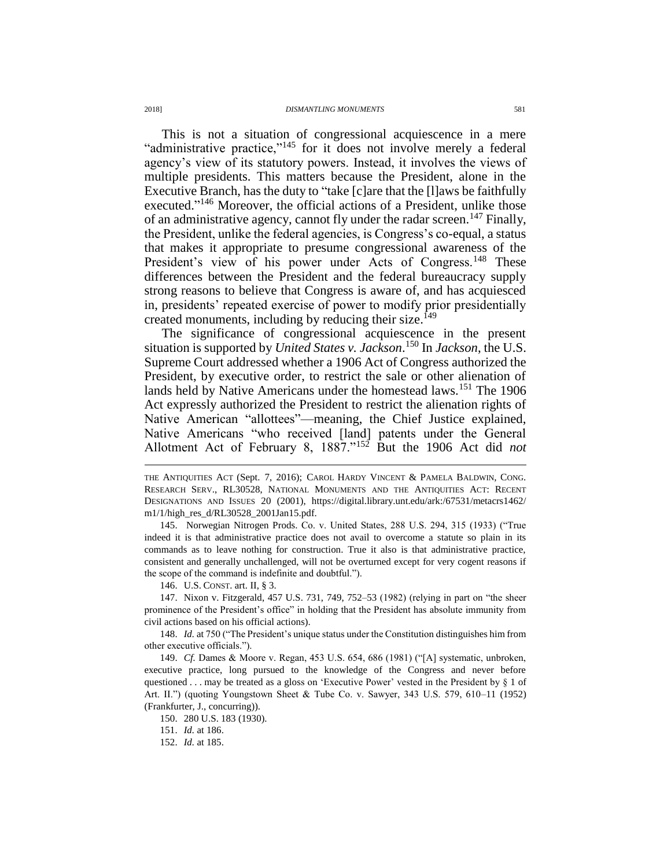This is not a situation of congressional acquiescence in a mere "administrative practice,"<sup>145</sup> for it does not involve merely a federal agency's view of its statutory powers. Instead, it involves the views of multiple presidents. This matters because the President, alone in the Executive Branch, has the duty to "take [c]are that the [l]aws be faithfully executed."<sup>146</sup> Moreover, the official actions of a President, unlike those of an administrative agency, cannot fly under the radar screen.<sup>147</sup> Finally, the President, unlike the federal agencies, is Congress's co-equal, a status that makes it appropriate to presume congressional awareness of the President's view of his power under Acts of Congress.<sup>148</sup> These differences between the President and the federal bureaucracy supply strong reasons to believe that Congress is aware of, and has acquiesced in, presidents' repeated exercise of power to modify prior presidentially created monuments, including by reducing their size.<sup>149</sup>

The significance of congressional acquiescence in the present situation is supported by *United States v. Jackson*. <sup>150</sup> In *Jackson*, the U.S. Supreme Court addressed whether a 1906 Act of Congress authorized the President, by executive order, to restrict the sale or other alienation of lands held by Native Americans under the homestead laws.<sup>151</sup> The 1906 Act expressly authorized the President to restrict the alienation rights of Native American "allottees"—meaning, the Chief Justice explained, Native Americans "who received [land] patents under the General Allotment Act of February 8, 1887."<sup>152</sup> But the 1906 Act did *not*

THE ANTIQUITIES ACT (Sept. 7, 2016); CAROL HARDY VINCENT & PAMELA BALDWIN, CONG. RESEARCH SERV., RL30528, NATIONAL MONUMENTS AND THE ANTIQUITIES ACT: RECENT DESIGNATIONS AND ISSUES 20 (2001), https://digital.library.unt.edu/ark:/67531/metacrs1462/ m1/1/high\_res\_d/RL30528\_2001Jan15.pdf.

145. Norwegian Nitrogen Prods. Co. v. United States, 288 U.S. 294, 315 (1933) ("True indeed it is that administrative practice does not avail to overcome a statute so plain in its commands as to leave nothing for construction. True it also is that administrative practice, consistent and generally unchallenged, will not be overturned except for very cogent reasons if the scope of the command is indefinite and doubtful.").

146. U.S. CONST. art. II, § 3.

147. Nixon v. Fitzgerald, 457 U.S. 731, 749, 752–53 (1982) (relying in part on "the sheer prominence of the President's office" in holding that the President has absolute immunity from civil actions based on his official actions).

148. *Id.* at 750 ("The President's unique status under the Constitution distinguishes him from other executive officials.").

149. *Cf.* Dames & Moore v. Regan, 453 U.S. 654, 686 (1981) ("[A] systematic, unbroken, executive practice, long pursued to the knowledge of the Congress and never before questioned . . . may be treated as a gloss on 'Executive Power' vested in the President by § 1 of Art. II.") (quoting Youngstown Sheet & Tube Co. v. Sawyer, 343 U.S. 579, 610–11 (1952) (Frankfurter, J., concurring)).

150. 280 U.S. 183 (1930).

151. *Id.* at 186.

152. *Id.* at 185.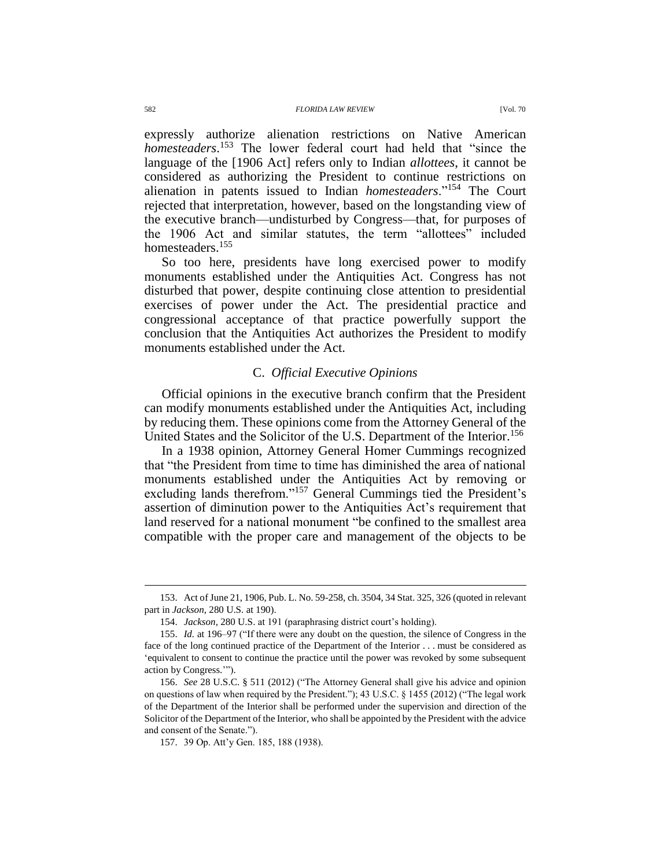expressly authorize alienation restrictions on Native American *homesteaders*. <sup>153</sup> The lower federal court had held that "since the language of the [1906 Act] refers only to Indian *allottees*, it cannot be considered as authorizing the President to continue restrictions on alienation in patents issued to Indian *homesteaders*."<sup>154</sup> The Court rejected that interpretation, however, based on the longstanding view of the executive branch—undisturbed by Congress—that, for purposes of the 1906 Act and similar statutes, the term "allottees" included homesteaders.<sup>155</sup>

So too here, presidents have long exercised power to modify monuments established under the Antiquities Act. Congress has not disturbed that power, despite continuing close attention to presidential exercises of power under the Act. The presidential practice and congressional acceptance of that practice powerfully support the conclusion that the Antiquities Act authorizes the President to modify monuments established under the Act.

### C. *Official Executive Opinions*

Official opinions in the executive branch confirm that the President can modify monuments established under the Antiquities Act, including by reducing them. These opinions come from the Attorney General of the United States and the Solicitor of the U.S. Department of the Interior.<sup>156</sup>

In a 1938 opinion, Attorney General Homer Cummings recognized that "the President from time to time has diminished the area of national monuments established under the Antiquities Act by removing or excluding lands therefrom."<sup>157</sup> General Cummings tied the President's assertion of diminution power to the Antiquities Act's requirement that land reserved for a national monument "be confined to the smallest area compatible with the proper care and management of the objects to be

<sup>153.</sup> Act of June 21, 1906, Pub. L. No. 59-258, ch. 3504, 34 Stat. 325, 326 (quoted in relevant part in *Jackson*, 280 U.S. at 190).

<sup>154.</sup> *Jackson*, 280 U.S. at 191 (paraphrasing district court's holding).

<sup>155.</sup> *Id.* at 196–97 ("If there were any doubt on the question, the silence of Congress in the face of the long continued practice of the Department of the Interior . . . must be considered as 'equivalent to consent to continue the practice until the power was revoked by some subsequent action by Congress.'").

<sup>156.</sup> *See* 28 U.S.C. § 511 (2012) ("The Attorney General shall give his advice and opinion on questions of law when required by the President."); 43 U.S.C. § 1455 (2012) ("The legal work of the Department of the Interior shall be performed under the supervision and direction of the Solicitor of the Department of the Interior, who shall be appointed by the President with the advice and consent of the Senate.").

<sup>157.</sup> 39 Op. Att'y Gen. 185, 188 (1938).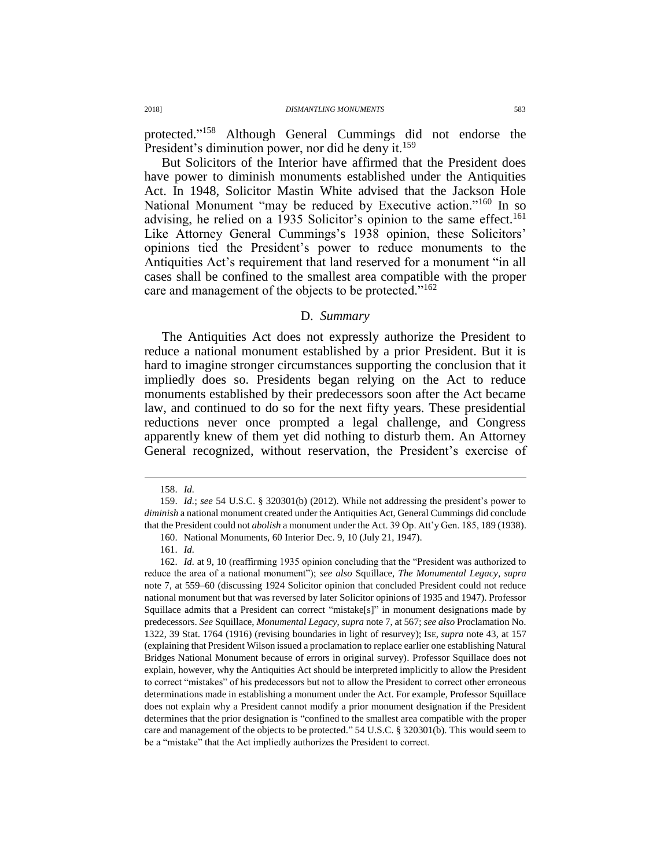protected." <sup>158</sup> Although General Cummings did not endorse the President's diminution power, nor did he deny it.<sup>159</sup>

But Solicitors of the Interior have affirmed that the President does have power to diminish monuments established under the Antiquities Act. In 1948, Solicitor Mastin White advised that the Jackson Hole National Monument "may be reduced by Executive action."<sup>160</sup> In so advising, he relied on a 1935 Solicitor's opinion to the same effect.<sup>161</sup> Like Attorney General Cummings's 1938 opinion, these Solicitors' opinions tied the President's power to reduce monuments to the Antiquities Act's requirement that land reserved for a monument "in all cases shall be confined to the smallest area compatible with the proper care and management of the objects to be protected."<sup>162</sup>

### D. *Summary*

The Antiquities Act does not expressly authorize the President to reduce a national monument established by a prior President. But it is hard to imagine stronger circumstances supporting the conclusion that it impliedly does so. Presidents began relying on the Act to reduce monuments established by their predecessors soon after the Act became law, and continued to do so for the next fifty years. These presidential reductions never once prompted a legal challenge, and Congress apparently knew of them yet did nothing to disturb them. An Attorney General recognized, without reservation, the President's exercise of

 $\overline{a}$ 

161. *Id.*

<sup>158.</sup> *Id.*

<sup>159.</sup> *Id.*; *see* 54 U.S.C. § 320301(b) (2012). While not addressing the president's power to *diminish* a national monument created under the Antiquities Act, General Cummings did conclude that the President could not *abolish* a monument under the Act. 39 Op. Att'y Gen. 185, 189 (1938).

<sup>160.</sup> National Monuments, 60 Interior Dec. 9, 10 (July 21, 1947).

<sup>162.</sup> *Id.* at 9, 10 (reaffirming 1935 opinion concluding that the "President was authorized to reduce the area of a national monument"); *see also* Squillace, *The Monumental Legacy*, *supra*  note [7,](#page-2-0) at 559–60 (discussing 1924 Solicitor opinion that concluded President could not reduce national monument but that was reversed by later Solicitor opinions of 1935 and 1947). Professor Squillace admits that a President can correct "mistake[s]" in monument designations made by predecessors. *See* Squillace, *Monumental Legacy*, *supra* note [7,](#page-2-0) at 567; *see also* Proclamation No. 1322, 39 Stat. 1764 (1916) (revising boundaries in light of resurvey); ISE, *supra* not[e 43,](#page-10-0) at 157 (explaining that President Wilson issued a proclamation to replace earlier one establishing Natural Bridges National Monument because of errors in original survey). Professor Squillace does not explain, however, why the Antiquities Act should be interpreted implicitly to allow the President to correct "mistakes" of his predecessors but not to allow the President to correct other erroneous determinations made in establishing a monument under the Act. For example, Professor Squillace does not explain why a President cannot modify a prior monument designation if the President determines that the prior designation is "confined to the smallest area compatible with the proper care and management of the objects to be protected." 54 U.S.C. § 320301(b). This would seem to be a "mistake" that the Act impliedly authorizes the President to correct.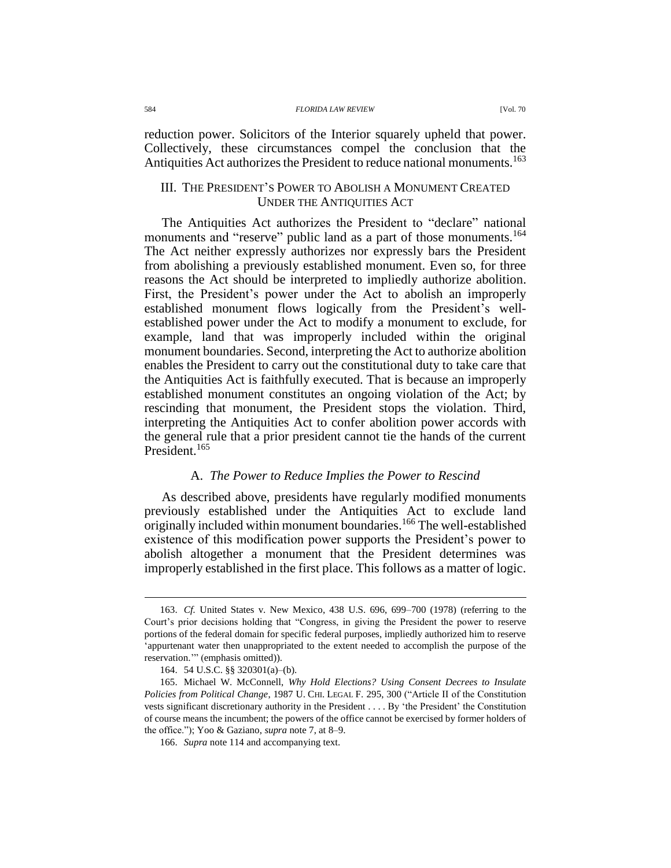reduction power. Solicitors of the Interior squarely upheld that power. Collectively, these circumstances compel the conclusion that the Antiquities Act authorizes the President to reduce national monuments.<sup>163</sup>

# III. THE PRESIDENT'S POWER TO ABOLISH A MONUMENT CREATED UNDER THE ANTIQUITIES ACT

The Antiquities Act authorizes the President to "declare" national monuments and "reserve" public land as a part of those monuments.<sup>164</sup> The Act neither expressly authorizes nor expressly bars the President from abolishing a previously established monument. Even so, for three reasons the Act should be interpreted to impliedly authorize abolition. First, the President's power under the Act to abolish an improperly established monument flows logically from the President's wellestablished power under the Act to modify a monument to exclude, for example, land that was improperly included within the original monument boundaries. Second, interpreting the Act to authorize abolition enables the President to carry out the constitutional duty to take care that the Antiquities Act is faithfully executed. That is because an improperly established monument constitutes an ongoing violation of the Act; by rescinding that monument, the President stops the violation. Third, interpreting the Antiquities Act to confer abolition power accords with the general rule that a prior president cannot tie the hands of the current President.<sup>165</sup>

# <span id="page-31-0"></span>A. *The Power to Reduce Implies the Power to Rescind*

As described above, presidents have regularly modified monuments previously established under the Antiquities Act to exclude land originally included within monument boundaries.<sup>166</sup> The well-established existence of this modification power supports the President's power to abolish altogether a monument that the President determines was improperly established in the first place. This follows as a matter of logic.

<sup>163.</sup> *Cf.* United States v. New Mexico, 438 U.S. 696, 699–700 (1978) (referring to the Court's prior decisions holding that "Congress, in giving the President the power to reserve portions of the federal domain for specific federal purposes, impliedly authorized him to reserve 'appurtenant water then unappropriated to the extent needed to accomplish the purpose of the reservation.'" (emphasis omitted)).

<sup>164.</sup> 54 U.S.C. §§ 320301(a)–(b).

<sup>165.</sup> Michael W. McConnell, *Why Hold Elections? Using Consent Decrees to Insulate Policies from Political Change*, 1987 U. CHI. LEGAL F. 295, 300 ("Article II of the Constitution vests significant discretionary authority in the President . . . . By 'the President' the Constitution of course means the incumbent; the powers of the office cannot be exercised by former holders of the office."); Yoo & Gaziano, *supra* note [7,](#page-2-0) at 8–9.

<sup>166.</sup> *Supra* not[e 114](#page-22-0) and accompanying text.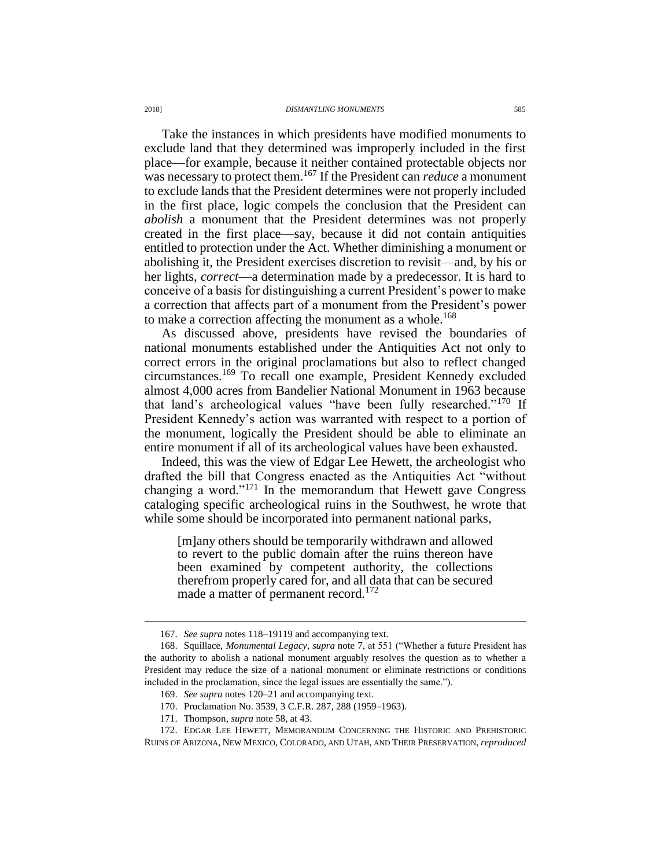Take the instances in which presidents have modified monuments to exclude land that they determined was improperly included in the first place—for example, because it neither contained protectable objects nor was necessary to protect them.<sup>167</sup> If the President can *reduce* a monument to exclude lands that the President determines were not properly included in the first place, logic compels the conclusion that the President can *abolish* a monument that the President determines was not properly created in the first place—say, because it did not contain antiquities entitled to protection under the Act. Whether diminishing a monument or abolishing it, the President exercises discretion to revisit—and, by his or her lights, *correct*—a determination made by a predecessor. It is hard to conceive of a basis for distinguishing a current President's power to make a correction that affects part of a monument from the President's power to make a correction affecting the monument as a whole.<sup>168</sup>

As discussed above, presidents have revised the boundaries of national monuments established under the Antiquities Act not only to correct errors in the original proclamations but also to reflect changed circumstances.<sup>169</sup> To recall one example, President Kennedy excluded almost 4,000 acres from Bandelier National Monument in 1963 because that land's archeological values "have been fully researched."<sup>170</sup> If President Kennedy's action was warranted with respect to a portion of the monument, logically the President should be able to eliminate an entire monument if all of its archeological values have been exhausted.

Indeed, this was the view of Edgar Lee Hewett, the archeologist who drafted the bill that Congress enacted as the Antiquities Act "without changing a word."<sup>171</sup> In the memorandum that Hewett gave Congress cataloging specific archeological ruins in the Southwest, he wrote that while some should be incorporated into permanent national parks,

[m]any others should be temporarily withdrawn and allowed to revert to the public domain after the ruins thereon have been examined by competent authority, the collections therefrom properly cared for, and all data that can be secured made a matter of permanent record.<sup>172</sup>

<sup>167.</sup> *See supra* note[s 118–](#page-23-0)1[9119](#page-23-1) and accompanying text.

<sup>168.</sup> Squillace, *Monumental Legacy*, *supra* note [7,](#page-2-0) at 551 ("Whether a future President has the authority to abolish a national monument arguably resolves the question as to whether a President may reduce the size of a national monument or eliminate restrictions or conditions included in the proclamation, since the legal issues are essentially the same.").

<sup>169.</sup> *See supra* note[s 120–](#page-23-2)21 and accompanying text.

<sup>170.</sup> Proclamation No. 3539, 3 C.F.R. 287, 288 (1959–1963).

<sup>171.</sup> Thompson, *supra* not[e 58,](#page-12-0) at 43.

<sup>172.</sup> EDGAR LEE HEWETT, MEMORANDUM CONCERNING THE HISTORIC AND PREHISTORIC RUINS OF ARIZONA, NEW MEXICO, COLORADO, AND UTAH, AND THEIR PRESERVATION,*reproduced*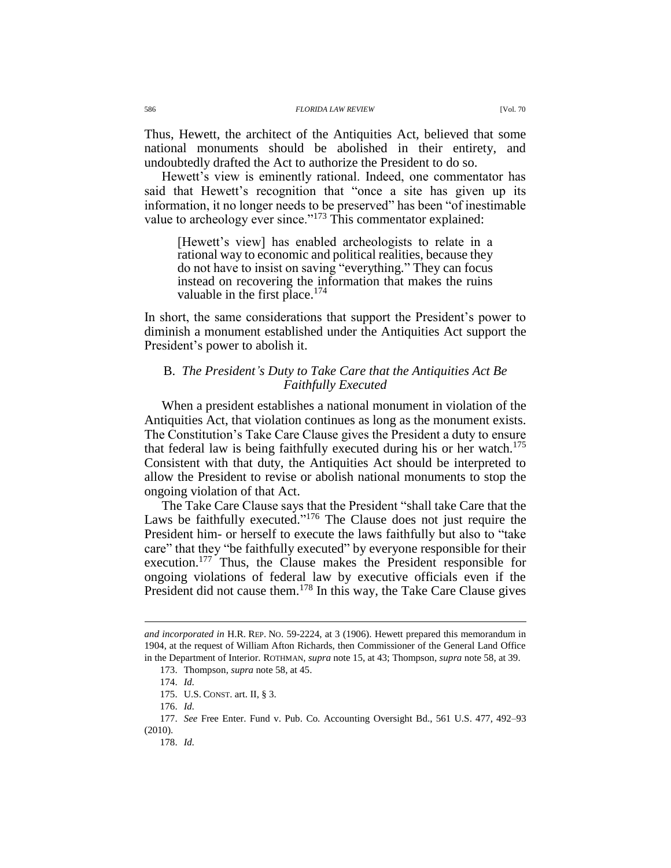Thus, Hewett, the architect of the Antiquities Act, believed that some national monuments should be abolished in their entirety, and undoubtedly drafted the Act to authorize the President to do so.

Hewett's view is eminently rational. Indeed, one commentator has said that Hewett's recognition that "once a site has given up its information, it no longer needs to be preserved" has been "of inestimable value to archeology ever since."<sup>173</sup> This commentator explained:

[Hewett's view] has enabled archeologists to relate in a rational way to economic and political realities, because they do not have to insist on saving "everything." They can focus instead on recovering the information that makes the ruins valuable in the first place.<sup>174</sup>

In short, the same considerations that support the President's power to diminish a monument established under the Antiquities Act support the President's power to abolish it.

# B. *The President's Duty to Take Care that the Antiquities Act Be Faithfully Executed*

When a president establishes a national monument in violation of the Antiquities Act, that violation continues as long as the monument exists. The Constitution's Take Care Clause gives the President a duty to ensure that federal law is being faithfully executed during his or her watch.<sup>175</sup> Consistent with that duty, the Antiquities Act should be interpreted to allow the President to revise or abolish national monuments to stop the ongoing violation of that Act.

The Take Care Clause says that the President "shall take Care that the Laws be faithfully executed."<sup>176</sup> The Clause does not just require the President him- or herself to execute the laws faithfully but also to "take care" that they "be faithfully executed" by everyone responsible for their execution.<sup>177</sup> Thus, the Clause makes the President responsible for ongoing violations of federal law by executive officials even if the President did not cause them.<sup>178</sup> In this way, the Take Care Clause gives

*and incorporated in* H.R. REP. NO. 59-2224, at 3 (1906). Hewett prepared this memorandum in 1904, at the request of William Afton Richards, then Commissioner of the General Land Office in the Department of Interior. ROTHMAN, *supra* note [15,](#page-5-0) at 43; Thompson, *supra* not[e 58,](#page-12-0) at 39.

<sup>173.</sup> Thompson, *supra* not[e 58,](#page-12-0) at 45.

<sup>174.</sup> *Id.*

<sup>175.</sup> U.S. CONST. art. II, § 3.

<sup>176.</sup> *Id.*

<sup>177.</sup> *See* Free Enter. Fund v. Pub. Co. Accounting Oversight Bd., 561 U.S. 477, 492–93 (2010).

<sup>178.</sup> *Id.*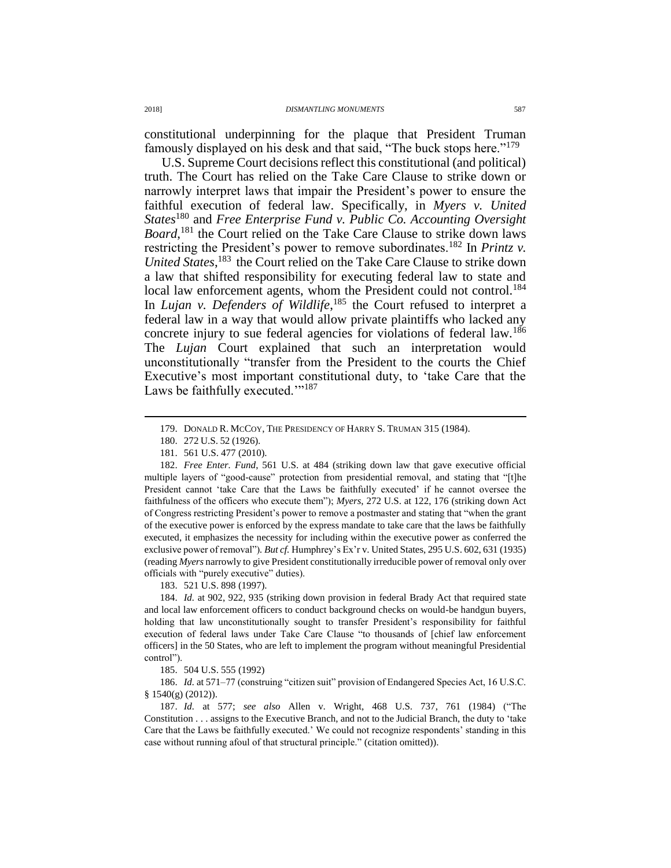constitutional underpinning for the plaque that President Truman famously displayed on his desk and that said, "The buck stops here."<sup>179</sup>

U.S. Supreme Court decisions reflect this constitutional (and political) truth. The Court has relied on the Take Care Clause to strike down or narrowly interpret laws that impair the President's power to ensure the faithful execution of federal law. Specifically, in *Myers v. United States*<sup>180</sup> and *Free Enterprise Fund v. Public Co. Accounting Oversight Board*, <sup>181</sup> the Court relied on the Take Care Clause to strike down laws restricting the President's power to remove subordinates.<sup>182</sup> In *Printz v.*  United States,<sup>183</sup> the Court relied on the Take Care Clause to strike down a law that shifted responsibility for executing federal law to state and local law enforcement agents, whom the President could not control.<sup>184</sup> In *Lujan v. Defenders of Wildlife*,<sup>185</sup> the Court refused to interpret a federal law in a way that would allow private plaintiffs who lacked any concrete injury to sue federal agencies for violations of federal law.<sup>186</sup> The *Lujan* Court explained that such an interpretation would unconstitutionally "transfer from the President to the courts the Chief Executive's most important constitutional duty, to 'take Care that the Laws be faithfully executed."<sup>187</sup>

 $\overline{a}$ 

182. *Free Enter. Fund*, 561 U.S. at 484 (striking down law that gave executive official multiple layers of "good-cause" protection from presidential removal, and stating that "[t]he President cannot 'take Care that the Laws be faithfully executed' if he cannot oversee the faithfulness of the officers who execute them"); *Myers*, 272 U.S. at 122, 176 (striking down Act of Congress restricting President's power to remove a postmaster and stating that "when the grant of the executive power is enforced by the express mandate to take care that the laws be faithfully executed, it emphasizes the necessity for including within the executive power as conferred the exclusive power of removal")*. But cf.* Humphrey's Ex'r v. United States, 295 U.S. 602, 631 (1935) (reading *Myers* narrowly to give President constitutionally irreducible power of removal only over officials with "purely executive" duties).

183. 521 U.S. 898 (1997).

184. *Id.* at 902, 922, 935 (striking down provision in federal Brady Act that required state and local law enforcement officers to conduct background checks on would-be handgun buyers, holding that law unconstitutionally sought to transfer President's responsibility for faithful execution of federal laws under Take Care Clause "to thousands of [chief law enforcement officers] in the 50 States, who are left to implement the program without meaningful Presidential control").

185. 504 U.S. 555 (1992)

186. *Id.* at 571–77 (construing "citizen suit" provision of Endangered Species Act, 16 U.S.C.  $§ 1540(g) (2012)$ .

187. *Id.* at 577; *see also* Allen v. Wright, 468 U.S. 737, 761 (1984) ("The Constitution . . . assigns to the Executive Branch, and not to the Judicial Branch, the duty to 'take Care that the Laws be faithfully executed.' We could not recognize respondents' standing in this case without running afoul of that structural principle." (citation omitted)).

<sup>179.</sup> DONALD R. MCCOY, THE PRESIDENCY OF HARRY S. TRUMAN 315 (1984).

<sup>180.</sup> 272 U.S. 52 (1926).

<sup>181.</sup> 561 U.S. 477 (2010).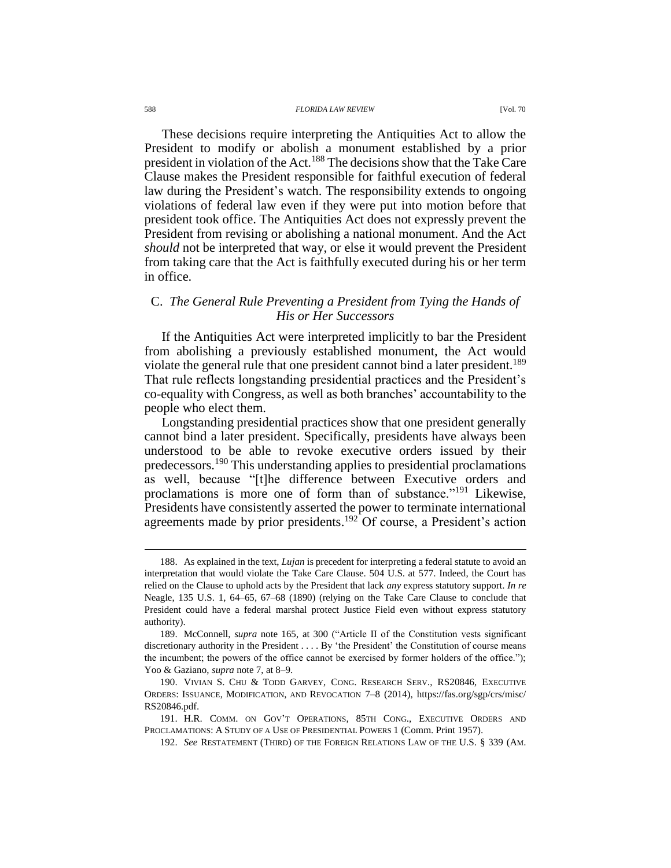These decisions require interpreting the Antiquities Act to allow the President to modify or abolish a monument established by a prior president in violation of the Act.<sup>188</sup> The decisions show that the Take Care Clause makes the President responsible for faithful execution of federal law during the President's watch. The responsibility extends to ongoing violations of federal law even if they were put into motion before that president took office. The Antiquities Act does not expressly prevent the President from revising or abolishing a national monument. And the Act *should* not be interpreted that way, or else it would prevent the President from taking care that the Act is faithfully executed during his or her term in office.

# C. *The General Rule Preventing a President from Tying the Hands of His or Her Successors*

If the Antiquities Act were interpreted implicitly to bar the President from abolishing a previously established monument, the Act would violate the general rule that one president cannot bind a later president.<sup>189</sup> That rule reflects longstanding presidential practices and the President's co-equality with Congress, as well as both branches' accountability to the people who elect them.

Longstanding presidential practices show that one president generally cannot bind a later president. Specifically, presidents have always been understood to be able to revoke executive orders issued by their predecessors.<sup>190</sup> This understanding applies to presidential proclamations as well, because "[t]he difference between Executive orders and proclamations is more one of form than of substance."<sup>191</sup> Likewise, Presidents have consistently asserted the power to terminate international agreements made by prior presidents.<sup>192</sup> Of course, a President's action

<sup>188.</sup> As explained in the text, *Lujan* is precedent for interpreting a federal statute to avoid an interpretation that would violate the Take Care Clause. 504 U.S. at 577. Indeed, the Court has relied on the Clause to uphold acts by the President that lack *any* express statutory support. *In re*  Neagle, 135 U.S. 1, 64–65, 67–68 (1890) (relying on the Take Care Clause to conclude that President could have a federal marshal protect Justice Field even without express statutory authority).

<sup>189.</sup> McConnell, *supra* note [165,](#page-31-0) at 300 ("Article II of the Constitution vests significant discretionary authority in the President . . . . By 'the President' the Constitution of course means the incumbent; the powers of the office cannot be exercised by former holders of the office."); Yoo & Gaziano, *supra* not[e 7,](#page-2-0) at 8–9.

<sup>190.</sup> VIVIAN S. CHU & TODD GARVEY, CONG. RESEARCH SERV., RS20846, EXECUTIVE ORDERS: ISSUANCE, MODIFICATION, AND REVOCATION 7–8 (2014), https://fas.org/sgp/crs/misc/ RS20846.pdf.

<sup>191.</sup> H.R. COMM. ON GOV'T OPERATIONS, 85TH CONG., EXECUTIVE ORDERS AND PROCLAMATIONS: A STUDY OF A USE OF PRESIDENTIAL POWERS 1 (Comm. Print 1957).

<sup>192.</sup> *See* RESTATEMENT (THIRD) OF THE FOREIGN RELATIONS LAW OF THE U.S. § 339 (AM.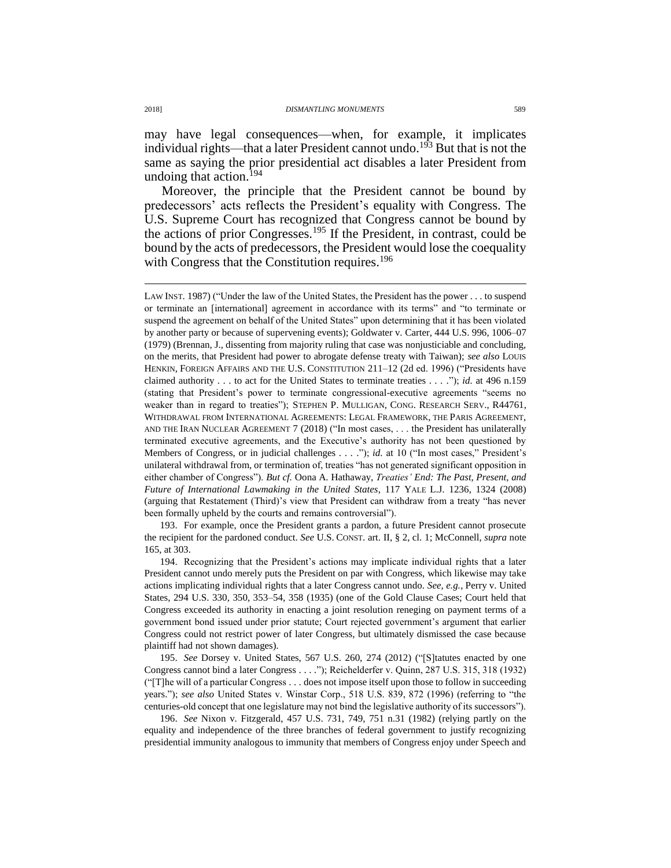may have legal consequences—when, for example, it implicates individual rights—that a later President cannot undo.<sup>193</sup> But that is not the same as saying the prior presidential act disables a later President from undoing that action.<sup>194</sup>

Moreover, the principle that the President cannot be bound by predecessors' acts reflects the President's equality with Congress. The U.S. Supreme Court has recognized that Congress cannot be bound by the actions of prior Congresses.<sup>195</sup> If the President, in contrast, could be bound by the acts of predecessors, the President would lose the coequality with Congress that the Constitution requires.<sup>196</sup>

LAW INST. 1987) ("Under the law of the United States, the President has the power . . . to suspend or terminate an [international] agreement in accordance with its terms" and "to terminate or suspend the agreement on behalf of the United States" upon determining that it has been violated by another party or because of supervening events); Goldwater v. Carter, 444 U.S. 996, 1006–07 (1979) (Brennan, J., dissenting from majority ruling that case was nonjusticiable and concluding, on the merits, that President had power to abrogate defense treaty with Taiwan); *see also* LOUIS HENKIN, FOREIGN AFFAIRS AND THE U.S. CONSTITUTION 211–12 (2d ed. 1996) ("Presidents have claimed authority . . . to act for the United States to terminate treaties . . . ."); *id.* at 496 n.159 (stating that President's power to terminate congressional-executive agreements "seems no weaker than in regard to treaties"); STEPHEN P. MULLIGAN, CONG. RESEARCH SERV., R44761, WITHDRAWAL FROM INTERNATIONAL AGREEMENTS: LEGAL FRAMEWORK, THE PARIS AGREEMENT, AND THE IRAN NUCLEAR AGREEMENT 7 (2018) ("In most cases, . . . the President has unilaterally terminated executive agreements, and the Executive's authority has not been questioned by Members of Congress, or in judicial challenges . . . ."); *id.* at 10 ("In most cases," President's unilateral withdrawal from, or termination of, treaties "has not generated significant opposition in either chamber of Congress"). *But cf.* Oona A. Hathaway, *Treaties' End: The Past, Present, and Future of International Lawmaking in the United States*, 117 YALE L.J. 1236, 1324 (2008) (arguing that Restatement (Third)'s view that President can withdraw from a treaty "has never been formally upheld by the courts and remains controversial").

193. For example, once the President grants a pardon, a future President cannot prosecute the recipient for the pardoned conduct. *See* U.S. CONST. art. II, § 2, cl. 1; McConnell, *supra* note [165,](#page-31-0) at 303.

194. Recognizing that the President's actions may implicate individual rights that a later President cannot undo merely puts the President on par with Congress, which likewise may take actions implicating individual rights that a later Congress cannot undo. *See, e.g.*, Perry v. United States, 294 U.S. 330, 350, 353–54, 358 (1935) (one of the Gold Clause Cases; Court held that Congress exceeded its authority in enacting a joint resolution reneging on payment terms of a government bond issued under prior statute; Court rejected government's argument that earlier Congress could not restrict power of later Congress, but ultimately dismissed the case because plaintiff had not shown damages).

195. *See* Dorsey v. United States, 567 U.S. 260, 274 (2012) ("[S]tatutes enacted by one Congress cannot bind a later Congress . . . ."); Reichelderfer v. Quinn, 287 U.S. 315, 318 (1932) ("[T]he will of a particular Congress . . . does not impose itself upon those to follow in succeeding years."); *see also* United States v. Winstar Corp., 518 U.S. 839, 872 (1996) (referring to "the centuries-old concept that one legislature may not bind the legislative authority of its successors").

196. *See* Nixon v. Fitzgerald, 457 U.S. 731, 749, 751 n.31 (1982) (relying partly on the equality and independence of the three branches of federal government to justify recognizing presidential immunity analogous to immunity that members of Congress enjoy under Speech and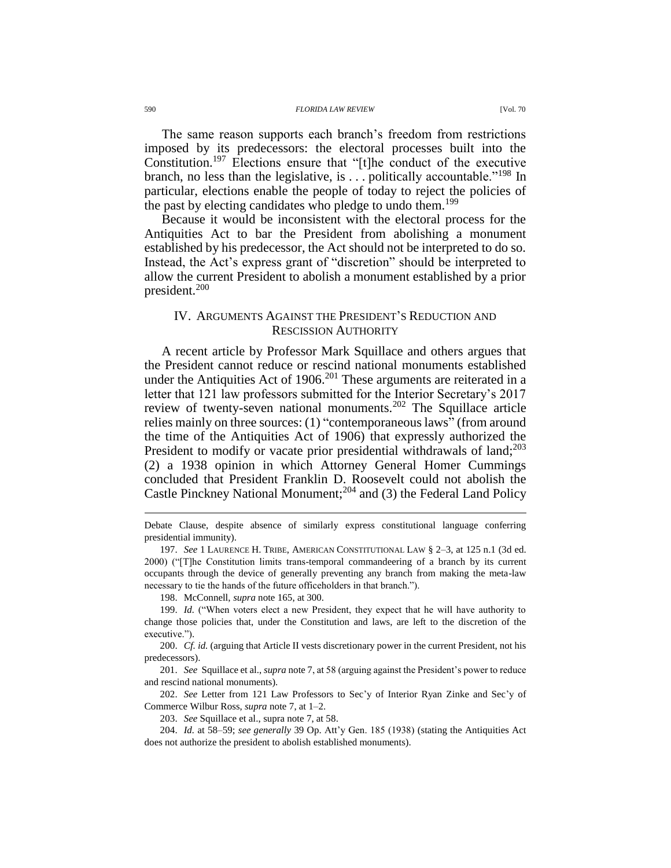The same reason supports each branch's freedom from restrictions imposed by its predecessors: the electoral processes built into the Constitution.<sup>197</sup> Elections ensure that "[t]he conduct of the executive branch, no less than the legislative, is  $\ldots$  politically accountable."<sup>198</sup> In particular, elections enable the people of today to reject the policies of the past by electing candidates who pledge to undo them.<sup>199</sup>

Because it would be inconsistent with the electoral process for the Antiquities Act to bar the President from abolishing a monument established by his predecessor, the Act should not be interpreted to do so. Instead, the Act's express grant of "discretion" should be interpreted to allow the current President to abolish a monument established by a prior president.<sup>200</sup>

# IV. ARGUMENTS AGAINST THE PRESIDENT'S REDUCTION AND RESCISSION AUTHORITY

A recent article by Professor Mark Squillace and others argues that the President cannot reduce or rescind national monuments established under the Antiquities Act of  $1906$ <sup>201</sup> These arguments are reiterated in a letter that 121 law professors submitted for the Interior Secretary's 2017 review of twenty-seven national monuments.<sup>202</sup> The Squillace article relies mainly on three sources: (1) "contemporaneous laws" (from around the time of the Antiquities Act of 1906) that expressly authorized the President to modify or vacate prior presidential withdrawals of land;<sup>203</sup> (2) a 1938 opinion in which Attorney General Homer Cummings concluded that President Franklin D. Roosevelt could not abolish the Castle Pinckney National Monument;<sup>204</sup> and (3) the Federal Land Policy

Debate Clause, despite absence of similarly express constitutional language conferring presidential immunity).

197. *See* 1 LAURENCE H. TRIBE, AMERICAN CONSTITUTIONAL LAW § 2–3, at 125 n.1 (3d ed. 2000) ("[T]he Constitution limits trans-temporal commandeering of a branch by its current occupants through the device of generally preventing any branch from making the meta-law necessary to tie the hands of the future officeholders in that branch.").

198. McConnell, *supra* note [165,](#page-31-0) at 300.

200. *Cf. id.* (arguing that Article II vests discretionary power in the current President, not his predecessors).

201. *See* Squillace et al., *supra* note [7,](#page-2-0) at 58 (arguing against the President's power to reduce and rescind national monuments).

202. *See* Letter from 121 Law Professors to Sec'y of Interior Ryan Zinke and Sec'y of Commerce Wilbur Ross, *supra* note [7,](#page-2-0) at 1–2.

203. *See* Squillace et al., supra not[e 7,](#page-2-0) at 58.

204. *Id.* at 58–59; *see generally* 39 Op. Att'y Gen. 185 (1938) (stating the Antiquities Act does not authorize the president to abolish established monuments).

<sup>199.</sup> *Id.* ("When voters elect a new President, they expect that he will have authority to change those policies that, under the Constitution and laws, are left to the discretion of the executive.").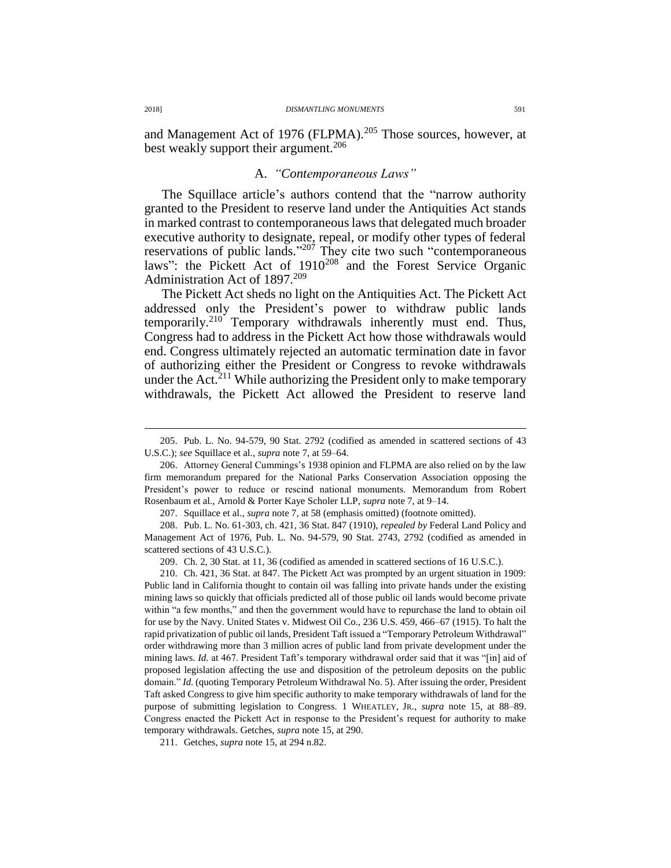and Management Act of 1976 (FLPMA).<sup>205</sup> Those sources, however, at best weakly support their argument.<sup>206</sup>

# A. *"Contemporaneous Laws"*

The Squillace article's authors contend that the "narrow authority granted to the President to reserve land under the Antiquities Act stands in marked contrast to contemporaneous laws that delegated much broader executive authority to designate, repeal, or modify other types of federal reservations of public lands."<sup>207</sup> They cite two such "contemporaneous laws": the Pickett Act of 1910<sup>208</sup> and the Forest Service Organic Administration Act of 1897.<sup>209</sup>

The Pickett Act sheds no light on the Antiquities Act. The Pickett Act addressed only the President's power to withdraw public lands temporarily.<sup>210</sup> Temporary withdrawals inherently must end. Thus, Congress had to address in the Pickett Act how those withdrawals would end. Congress ultimately rejected an automatic termination date in favor of authorizing either the President or Congress to revoke withdrawals under the Act.<sup>211</sup> While authorizing the President only to make temporary withdrawals, the Pickett Act allowed the President to reserve land

207. Squillace et al., *supra* note [7,](#page-2-0) at 58 (emphasis omitted) (footnote omitted).

209. Ch. 2, 30 Stat. at 11, 36 (codified as amended in scattered sections of 16 U.S.C.).

210. Ch. 421, 36 Stat. at 847. The Pickett Act was prompted by an urgent situation in 1909: Public land in California thought to contain oil was falling into private hands under the existing mining laws so quickly that officials predicted all of those public oil lands would become private within "a few months," and then the government would have to repurchase the land to obtain oil for use by the Navy. United States v. Midwest Oil Co., 236 U.S. 459, 466–67 (1915). To halt the rapid privatization of public oil lands, President Taft issued a "Temporary Petroleum Withdrawal" order withdrawing more than 3 million acres of public land from private development under the mining laws. *Id.* at 467. President Taft's temporary withdrawal order said that it was "[in] aid of proposed legislation affecting the use and disposition of the petroleum deposits on the public domain." *Id.* (quoting Temporary Petroleum Withdrawal No. 5). After issuing the order, President Taft asked Congress to give him specific authority to make temporary withdrawals of land for the purpose of submitting legislation to Congress. 1 WHEATLEY, JR., *supra* note [15,](#page-5-0) at 88–89. Congress enacted the Pickett Act in response to the President's request for authority to make temporary withdrawals. Getches, *supra* not[e 15,](#page-5-0) at 290.

211. Getches, *supra* note [15,](#page-5-0) at 294 n.82.

<sup>205.</sup> Pub. L. No. 94-579, 90 Stat. 2792 (codified as amended in scattered sections of 43 U.S.C.); *see* Squillace et al., *supra* not[e 7,](#page-2-0) at 59–64.

<sup>206.</sup> Attorney General Cummings's 1938 opinion and FLPMA are also relied on by the law firm memorandum prepared for the National Parks Conservation Association opposing the President's power to reduce or rescind national monuments. Memorandum from Robert Rosenbaum et al., Arnold & Porter Kaye Scholer LLP, *supra* not[e 7,](#page-2-0) at 9–14.

<sup>208.</sup> Pub. L. No. 61-303, ch. 421, 36 Stat. 847 (1910), *repealed by* Federal Land Policy and Management Act of 1976, Pub. L. No. 94-579, 90 Stat. 2743, 2792 (codified as amended in scattered sections of 43 U.S.C.).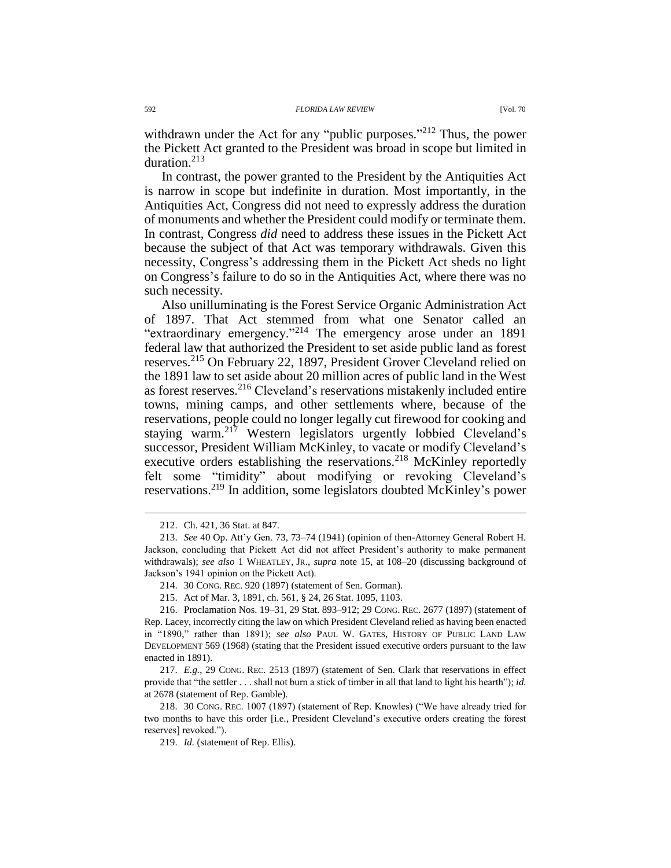withdrawn under the Act for any "public purposes."<sup>212</sup> Thus, the power the Pickett Act granted to the President was broad in scope but limited in duration.<sup>213</sup>

In contrast, the power granted to the President by the Antiquities Act is narrow in scope but indefinite in duration. Most importantly, in the Antiquities Act, Congress did not need to expressly address the duration of monuments and whether the President could modify or terminate them. In contrast, Congress *did* need to address these issues in the Pickett Act because the subject of that Act was temporary withdrawals. Given this necessity, Congress's addressing them in the Pickett Act sheds no light on Congress's failure to do so in the Antiquities Act, where there was no such necessity.

Also unilluminating is the Forest Service Organic Administration Act of 1897. That Act stemmed from what one Senator called an "extraordinary emergency."<sup>214</sup> The emergency arose under an 1891 federal law that authorized the President to set aside public land as forest reserves.<sup>215</sup> On February 22, 1897, President Grover Cleveland relied on the 1891 law to set aside about 20 million acres of public land in the West as forest reserves.<sup>216</sup> Cleveland's reservations mistakenly included entire towns, mining camps, and other settlements where, because of the reservations, people could no longer legally cut firewood for cooking and staying warm.<sup>217</sup> Western legislators urgently lobbied Cleveland's successor, President William McKinley, to vacate or modify Cleveland's executive orders establishing the reservations.<sup>218</sup> McKinley reportedly felt some "timidity" about modifying or revoking Cleveland's reservations.<sup>219</sup> In addition, some legislators doubted McKinley's power

<sup>212.</sup> Ch. 421, 36 Stat. at 847.

<sup>213.</sup> *See* 40 Op. Att'y Gen. 73, 73–74 (1941) (opinion of then-Attorney General Robert H. Jackson, concluding that Pickett Act did not affect President's authority to make permanent withdrawals); *see also* 1 WHEATLEY, JR., *supra* note [15,](#page-5-0) at 108–20 (discussing background of Jackson's 1941 opinion on the Pickett Act).

<sup>214.</sup> 30 CONG. REC. 920 (1897) (statement of Sen. Gorman).

<sup>215.</sup> Act of Mar. 3, 1891, ch. 561, § 24, 26 Stat. 1095, 1103.

<sup>216.</sup> Proclamation Nos. 19–31, 29 Stat. 893–912; 29 CONG. REC. 2677 (1897) (statement of Rep. Lacey, incorrectly citing the law on which President Cleveland relied as having been enacted in "1890," rather than 1891); *see also* PAUL W. GATES, HISTORY OF PUBLIC LAND LAW DEVELOPMENT 569 (1968) (stating that the President issued executive orders pursuant to the law enacted in 1891).

<sup>217.</sup> *E.g.*, 29 CONG. REC. 2513 (1897) (statement of Sen. Clark that reservations in effect provide that "the settler . . . shall not burn a stick of timber in all that land to light his hearth"); *id.* at 2678 (statement of Rep. Gamble).

<sup>218.</sup> 30 CONG. REC. 1007 (1897) (statement of Rep. Knowles) ("We have already tried for two months to have this order [i.e., President Cleveland's executive orders creating the forest reserves] revoked.").

<sup>219.</sup> *Id.* (statement of Rep. Ellis).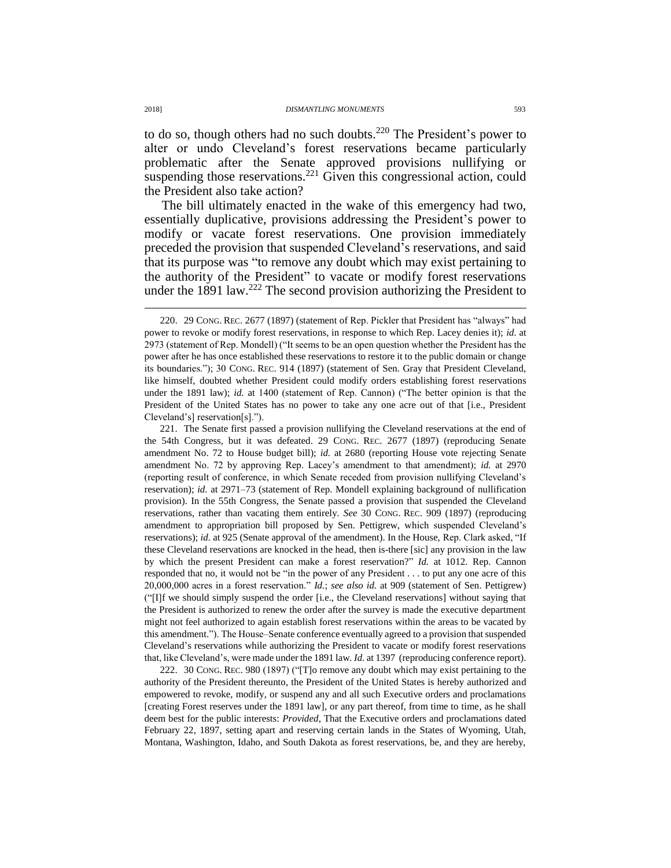to do so, though others had no such doubts.<sup>220</sup> The President's power to alter or undo Cleveland's forest reservations became particularly problematic after the Senate approved provisions nullifying or suspending those reservations.<sup>221</sup> Given this congressional action, could the President also take action?

The bill ultimately enacted in the wake of this emergency had two, essentially duplicative, provisions addressing the President's power to modify or vacate forest reservations. One provision immediately preceded the provision that suspended Cleveland's reservations, and said that its purpose was "to remove any doubt which may exist pertaining to the authority of the President" to vacate or modify forest reservations under the 1891 law.<sup>222</sup> The second provision authorizing the President to

221. The Senate first passed a provision nullifying the Cleveland reservations at the end of the 54th Congress, but it was defeated. 29 CONG. REC. 2677 (1897) (reproducing Senate amendment No. 72 to House budget bill); *id.* at 2680 (reporting House vote rejecting Senate amendment No. 72 by approving Rep. Lacey's amendment to that amendment); *id.* at 2970 (reporting result of conference, in which Senate receded from provision nullifying Cleveland's reservation); *id.* at 2971–73 (statement of Rep. Mondell explaining background of nullification provision). In the 55th Congress, the Senate passed a provision that suspended the Cleveland reservations, rather than vacating them entirely. *See* 30 CONG. REC. 909 (1897) (reproducing amendment to appropriation bill proposed by Sen. Pettigrew, which suspended Cleveland's reservations); *id.* at 925 (Senate approval of the amendment). In the House, Rep. Clark asked, "If these Cleveland reservations are knocked in the head, then is-there [sic] any provision in the law by which the present President can make a forest reservation?" *Id.* at 1012. Rep. Cannon responded that no, it would not be "in the power of any President . . . to put any one acre of this 20,000,000 acres in a forest reservation." *Id.*; *see also id.* at 909 (statement of Sen. Pettigrew) ("[I]f we should simply suspend the order [i.e., the Cleveland reservations] without saying that the President is authorized to renew the order after the survey is made the executive department might not feel authorized to again establish forest reservations within the areas to be vacated by this amendment."). The House–Senate conference eventually agreed to a provision that suspended Cleveland's reservations while authorizing the President to vacate or modify forest reservations that, like Cleveland's, were made under the 1891 law*. Id.* at 1397 (reproducing conference report).

222. 30 CONG. REC. 980 (1897) ("[T]o remove any doubt which may exist pertaining to the authority of the President thereunto, the President of the United States is hereby authorized and empowered to revoke, modify, or suspend any and all such Executive orders and proclamations [creating Forest reserves under the 1891 law], or any part thereof, from time to time, as he shall deem best for the public interests: *Provided*, That the Executive orders and proclamations dated February 22, 1897, setting apart and reserving certain lands in the States of Wyoming, Utah, Montana, Washington, Idaho, and South Dakota as forest reservations, be, and they are hereby,

<sup>220.</sup> 29 CONG. REC. 2677 (1897) (statement of Rep. Pickler that President has "always" had power to revoke or modify forest reservations, in response to which Rep. Lacey denies it); *id.* at 2973 (statement of Rep. Mondell) ("It seems to be an open question whether the President has the power after he has once established these reservations to restore it to the public domain or change its boundaries."); 30 CONG. REC. 914 (1897) (statement of Sen. Gray that President Cleveland, like himself, doubted whether President could modify orders establishing forest reservations under the 1891 law); *id.* at 1400 (statement of Rep. Cannon) ("The better opinion is that the President of the United States has no power to take any one acre out of that [i.e., President Cleveland's] reservation[s].").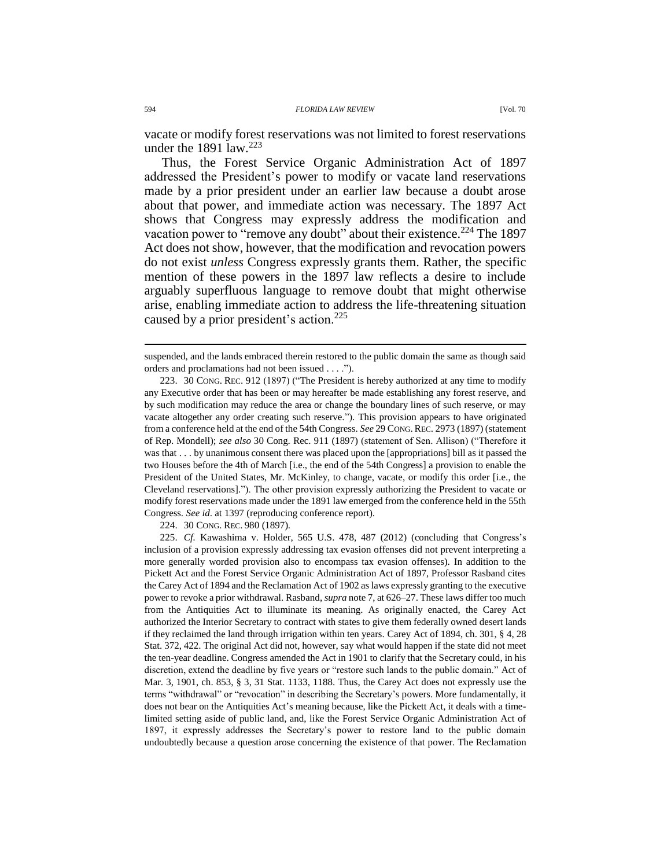vacate or modify forest reservations was not limited to forest reservations under the 1891 law.<sup>223</sup>

Thus, the Forest Service Organic Administration Act of 1897 addressed the President's power to modify or vacate land reservations made by a prior president under an earlier law because a doubt arose about that power, and immediate action was necessary. The 1897 Act shows that Congress may expressly address the modification and vacation power to "remove any doubt" about their existence.<sup>224</sup> The 1897 Act does not show, however, that the modification and revocation powers do not exist *unless* Congress expressly grants them. Rather, the specific mention of these powers in the 1897 law reflects a desire to include arguably superfluous language to remove doubt that might otherwise arise, enabling immediate action to address the life-threatening situation caused by a prior president's action.<sup>225</sup>

223. 30 CONG. REC. 912 (1897) ("The President is hereby authorized at any time to modify any Executive order that has been or may hereafter be made establishing any forest reserve, and by such modification may reduce the area or change the boundary lines of such reserve, or may vacate altogether any order creating such reserve."). This provision appears to have originated from a conference held at the end of the 54th Congress. *See* 29 CONG.REC. 2973 (1897) (statement of Rep. Mondell); *see also* 30 Cong. Rec. 911 (1897) (statement of Sen. Allison) ("Therefore it was that . . . by unanimous consent there was placed upon the [appropriations] bill as it passed the two Houses before the 4th of March [i.e., the end of the 54th Congress] a provision to enable the President of the United States, Mr. McKinley, to change, vacate, or modify this order [i.e., the Cleveland reservations]."). The other provision expressly authorizing the President to vacate or modify forest reservations made under the 1891 law emerged from the conference held in the 55th Congress. *See id*. at 1397 (reproducing conference report).

224. 30 CONG. REC. 980 (1897).

225. *Cf.* Kawashima v. Holder, 565 U.S. 478, 487 (2012) (concluding that Congress's inclusion of a provision expressly addressing tax evasion offenses did not prevent interpreting a more generally worded provision also to encompass tax evasion offenses). In addition to the Pickett Act and the Forest Service Organic Administration Act of 1897, Professor Rasband cites the Carey Act of 1894 and the Reclamation Act of 1902 as laws expressly granting to the executive power to revoke a prior withdrawal. Rasband, *supra* note [7,](#page-2-0) at 626–27. These laws differ too much from the Antiquities Act to illuminate its meaning. As originally enacted, the Carey Act authorized the Interior Secretary to contract with states to give them federally owned desert lands if they reclaimed the land through irrigation within ten years. Carey Act of 1894, ch. 301, § 4, 28 Stat. 372, 422. The original Act did not, however, say what would happen if the state did not meet the ten-year deadline. Congress amended the Act in 1901 to clarify that the Secretary could, in his discretion, extend the deadline by five years or "restore such lands to the public domain." Act of Mar. 3, 1901, ch. 853, § 3, 31 Stat. 1133, 1188. Thus, the Carey Act does not expressly use the terms "withdrawal" or "revocation" in describing the Secretary's powers. More fundamentally, it does not bear on the Antiquities Act's meaning because, like the Pickett Act, it deals with a timelimited setting aside of public land, and, like the Forest Service Organic Administration Act of 1897, it expressly addresses the Secretary's power to restore land to the public domain undoubtedly because a question arose concerning the existence of that power. The Reclamation

suspended, and the lands embraced therein restored to the public domain the same as though said orders and proclamations had not been issued . . . .").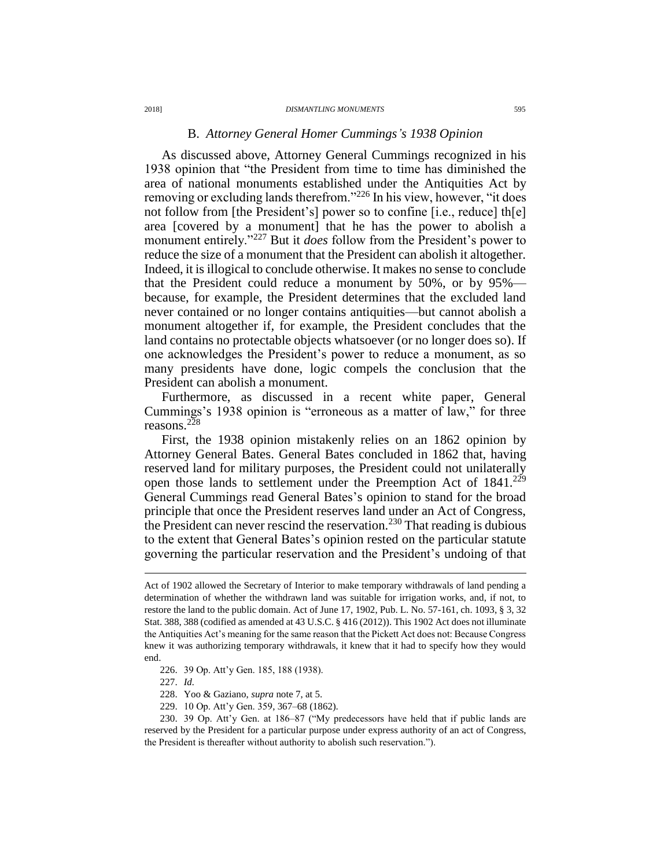# B. *Attorney General Homer Cummings's 1938 Opinion*

As discussed above, Attorney General Cummings recognized in his 1938 opinion that "the President from time to time has diminished the area of national monuments established under the Antiquities Act by removing or excluding lands therefrom."<sup>226</sup> In his view, however, "it does not follow from [the President's] power so to confine [i.e., reduce] th[e] area [covered by a monument] that he has the power to abolish a monument entirely."<sup>227</sup> But it *does* follow from the President's power to reduce the size of a monument that the President can abolish it altogether. Indeed, it is illogical to conclude otherwise. It makes no sense to conclude that the President could reduce a monument by 50%, or by 95% because, for example, the President determines that the excluded land never contained or no longer contains antiquities—but cannot abolish a monument altogether if, for example, the President concludes that the land contains no protectable objects whatsoever (or no longer does so). If one acknowledges the President's power to reduce a monument, as so many presidents have done, logic compels the conclusion that the President can abolish a monument.

Furthermore, as discussed in a recent white paper, General Cummings's 1938 opinion is "erroneous as a matter of law," for three reasons.<sup>228</sup>

First, the 1938 opinion mistakenly relies on an 1862 opinion by Attorney General Bates. General Bates concluded in 1862 that, having reserved land for military purposes, the President could not unilaterally open those lands to settlement under the Preemption Act of 1841.<sup>229</sup> General Cummings read General Bates's opinion to stand for the broad principle that once the President reserves land under an Act of Congress, the President can never rescind the reservation.<sup>230</sup> That reading is dubious to the extent that General Bates's opinion rested on the particular statute governing the particular reservation and the President's undoing of that

227. *Id.*

 $\overline{a}$ 

228. Yoo & Gaziano, *supra* not[e 7,](#page-2-0) at 5.

229. 10 Op. Att'y Gen. 359, 367–68 (1862).

230. 39 Op. Att'y Gen. at 186–87 ("My predecessors have held that if public lands are reserved by the President for a particular purpose under express authority of an act of Congress, the President is thereafter without authority to abolish such reservation.").

Act of 1902 allowed the Secretary of Interior to make temporary withdrawals of land pending a determination of whether the withdrawn land was suitable for irrigation works, and, if not, to restore the land to the public domain. Act of June 17, 1902, Pub. L. No. 57-161, ch. 1093, § 3, 32 Stat. 388, 388 (codified as amended at 43 U.S.C. § 416 (2012)). This 1902 Act does not illuminate the Antiquities Act's meaning for the same reason that the Pickett Act does not: Because Congress knew it was authorizing temporary withdrawals, it knew that it had to specify how they would end.

<sup>226.</sup> 39 Op. Att'y Gen. 185, 188 (1938).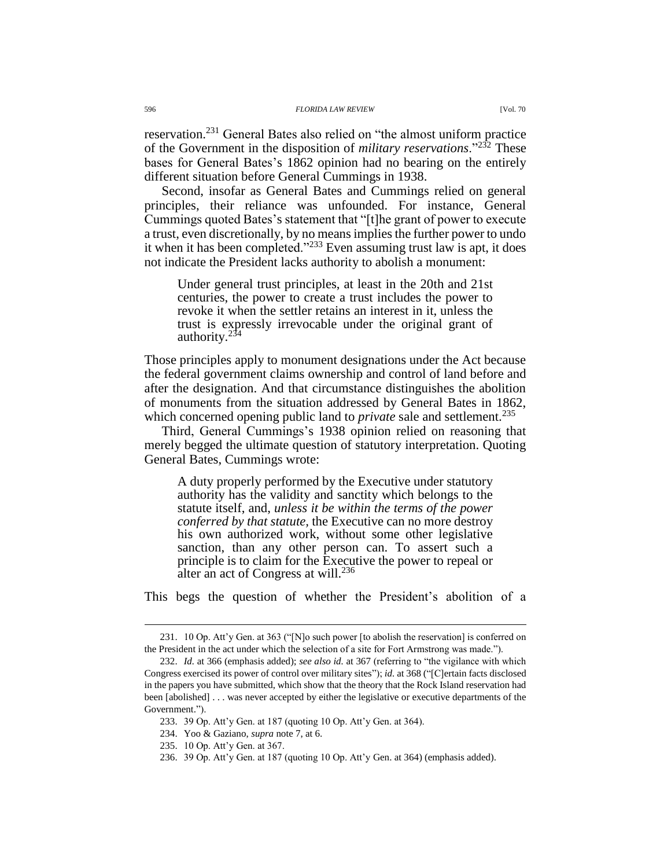reservation.<sup>231</sup> General Bates also relied on "the almost uniform practice of the Government in the disposition of *military reservations*."<sup>232</sup> These bases for General Bates's 1862 opinion had no bearing on the entirely different situation before General Cummings in 1938.

Second, insofar as General Bates and Cummings relied on general principles, their reliance was unfounded. For instance, General Cummings quoted Bates's statement that "[t]he grant of power to execute a trust, even discretionally, by no means implies the further power to undo it when it has been completed."<sup>233</sup> Even assuming trust law is apt, it does not indicate the President lacks authority to abolish a monument:

Under general trust principles, at least in the 20th and 21st centuries, the power to create a trust includes the power to revoke it when the settler retains an interest in it, unless the trust is expressly irrevocable under the original grant of authority. $234$ 

Those principles apply to monument designations under the Act because the federal government claims ownership and control of land before and after the designation. And that circumstance distinguishes the abolition of monuments from the situation addressed by General Bates in 1862, which concerned opening public land to *private* sale and settlement.<sup>235</sup>

Third, General Cummings's 1938 opinion relied on reasoning that merely begged the ultimate question of statutory interpretation. Quoting General Bates, Cummings wrote:

A duty properly performed by the Executive under statutory authority has the validity and sanctity which belongs to the statute itself, and, *unless it be within the terms of the power conferred by that statute,* the Executive can no more destroy his own authorized work, without some other legislative sanction, than any other person can. To assert such a principle is to claim for the Executive the power to repeal or alter an act of Congress at will.<sup>236</sup>

This begs the question of whether the President's abolition of a

<sup>231.</sup> 10 Op. Att'y Gen. at 363 ("[N]o such power [to abolish the reservation] is conferred on the President in the act under which the selection of a site for Fort Armstrong was made.").

<sup>232.</sup> *Id.* at 366 (emphasis added); *see also id.* at 367 (referring to "the vigilance with which Congress exercised its power of control over military sites"); *id.* at 368 ("[C]ertain facts disclosed in the papers you have submitted, which show that the theory that the Rock Island reservation had been [abolished] . . . was never accepted by either the legislative or executive departments of the Government.").

<sup>233.</sup> 39 Op. Att'y Gen. at 187 (quoting 10 Op. Att'y Gen. at 364).

<sup>234.</sup> Yoo & Gaziano, *supra* not[e 7,](#page-2-0) at 6.

<sup>235.</sup> 10 Op. Att'y Gen. at 367.

<sup>236.</sup> 39 Op. Att'y Gen. at 187 (quoting 10 Op. Att'y Gen. at 364) (emphasis added).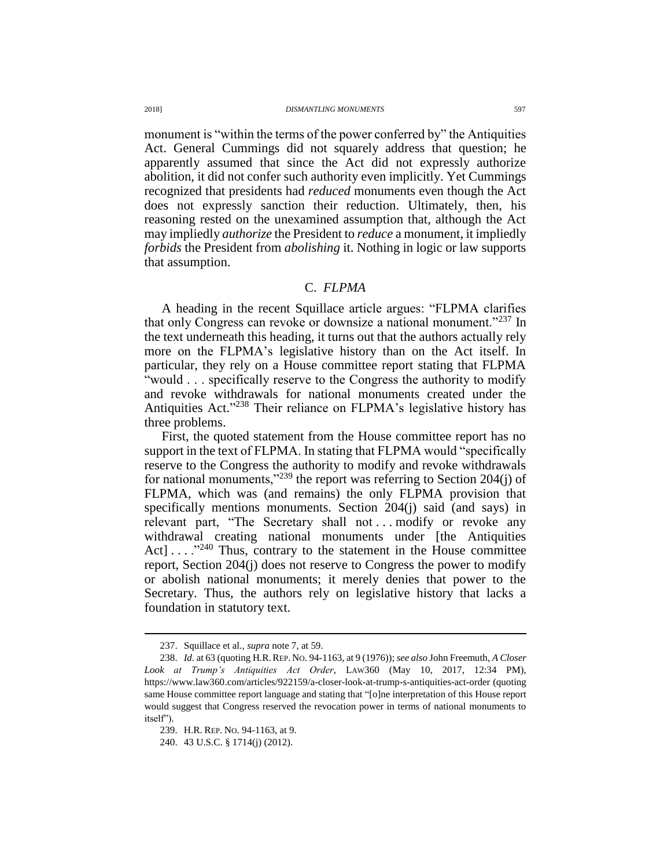monument is "within the terms of the power conferred by" the Antiquities Act. General Cummings did not squarely address that question; he apparently assumed that since the Act did not expressly authorize abolition, it did not confer such authority even implicitly. Yet Cummings recognized that presidents had *reduced* monuments even though the Act does not expressly sanction their reduction. Ultimately, then, his reasoning rested on the unexamined assumption that, although the Act may impliedly *authorize* the President to *reduce* a monument, it impliedly *forbids* the President from *abolishing* it. Nothing in logic or law supports that assumption.

### C. *FLPMA*

A heading in the recent Squillace article argues: "FLPMA clarifies that only Congress can revoke or downsize a national monument."<sup>237</sup> In the text underneath this heading, it turns out that the authors actually rely more on the FLPMA's legislative history than on the Act itself. In particular, they rely on a House committee report stating that FLPMA "would . . . specifically reserve to the Congress the authority to modify and revoke withdrawals for national monuments created under the Antiquities Act." <sup>238</sup> Their reliance on FLPMA's legislative history has three problems.

First, the quoted statement from the House committee report has no support in the text of FLPMA. In stating that FLPMA would "specifically reserve to the Congress the authority to modify and revoke withdrawals for national monuments,"<sup>239</sup> the report was referring to Section 204(j) of FLPMA, which was (and remains) the only FLPMA provision that specifically mentions monuments. Section 204(j) said (and says) in relevant part, "The Secretary shall not ... modify or revoke any withdrawal creating national monuments under [the Antiquities Act] . . . .<sup>"240</sup> Thus, contrary to the statement in the House committee report, Section 204(j) does not reserve to Congress the power to modify or abolish national monuments; it merely denies that power to the Secretary. Thus, the authors rely on legislative history that lacks a foundation in statutory text.

<sup>237.</sup> Squillace et al., *supra* note [7,](#page-2-0) at 59.

<sup>238.</sup> *Id.* at 63 (quoting H.R.REP. NO. 94-1163, at 9 (1976)); *see also* John Freemuth, *A Closer Look at Trump's Antiquities Act Order*, LAW360 (May 10, 2017, 12:34 PM), https://www.law360.com/articles/922159/a-closer-look-at-trump-s-antiquities-act-order (quoting same House committee report language and stating that "[o]ne interpretation of this House report would suggest that Congress reserved the revocation power in terms of national monuments to itself").

<sup>239.</sup> H.R. REP. NO. 94-1163, at 9.

<sup>240.</sup> 43 U.S.C. § 1714(j) (2012).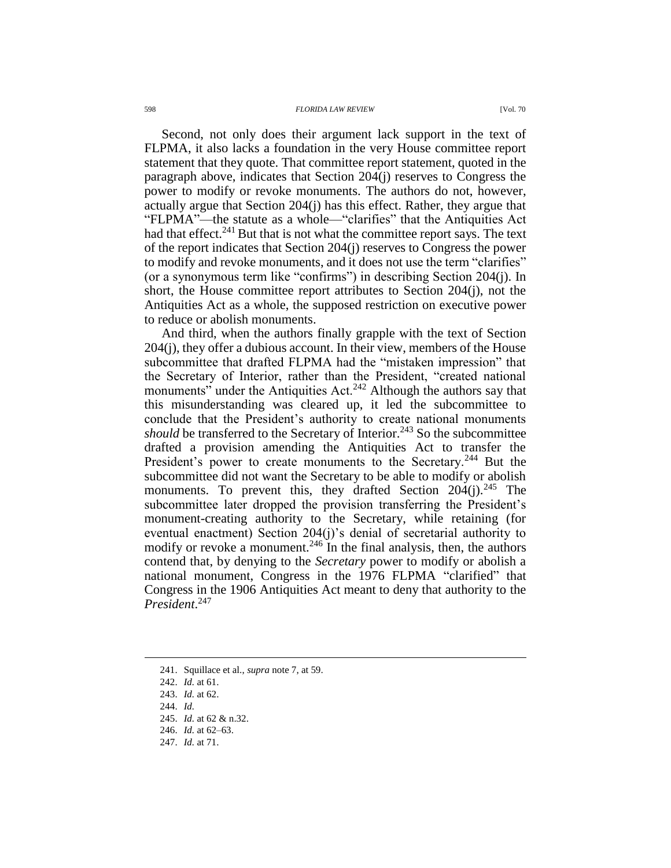Second, not only does their argument lack support in the text of FLPMA, it also lacks a foundation in the very House committee report statement that they quote. That committee report statement, quoted in the paragraph above, indicates that Section 204(j) reserves to Congress the power to modify or revoke monuments. The authors do not, however, actually argue that Section 204(j) has this effect. Rather, they argue that "FLPMA"—the statute as a whole—"clarifies" that the Antiquities Act had that effect.<sup>241</sup> But that is not what the committee report says. The text of the report indicates that Section 204(j) reserves to Congress the power to modify and revoke monuments, and it does not use the term "clarifies" (or a synonymous term like "confirms") in describing Section 204(j). In short, the House committee report attributes to Section 204(j), not the Antiquities Act as a whole, the supposed restriction on executive power to reduce or abolish monuments.

And third, when the authors finally grapple with the text of Section 204(j), they offer a dubious account. In their view, members of the House subcommittee that drafted FLPMA had the "mistaken impression" that the Secretary of Interior, rather than the President, "created national monuments<sup>"</sup> under the Antiquities Act.<sup>242</sup> Although the authors say that this misunderstanding was cleared up, it led the subcommittee to conclude that the President's authority to create national monuments should be transferred to the Secretary of Interior.<sup>243</sup> So the subcommittee drafted a provision amending the Antiquities Act to transfer the President's power to create monuments to the Secretary.<sup>244</sup> But the subcommittee did not want the Secretary to be able to modify or abolish monuments. To prevent this, they drafted Section  $204(i).^{245}$  The subcommittee later dropped the provision transferring the President's monument-creating authority to the Secretary, while retaining (for eventual enactment) Section 204(j)'s denial of secretarial authority to modify or revoke a monument.<sup>246</sup> In the final analysis, then, the authors contend that, by denying to the *Secretary* power to modify or abolish a national monument, Congress in the 1976 FLPMA "clarified" that Congress in the 1906 Antiquities Act meant to deny that authority to the *President*. 247

<sup>241.</sup> Squillace et al., *supra* note [7,](#page-2-0) at 59.

<sup>242.</sup> *Id.* at 61.

<sup>243.</sup> *Id.* at 62.

<sup>244.</sup> *Id.*

<sup>245.</sup> *Id.* at 62 & n.32.

<sup>246.</sup> *Id.* at 62–63.

<sup>247.</sup> *Id.* at 71.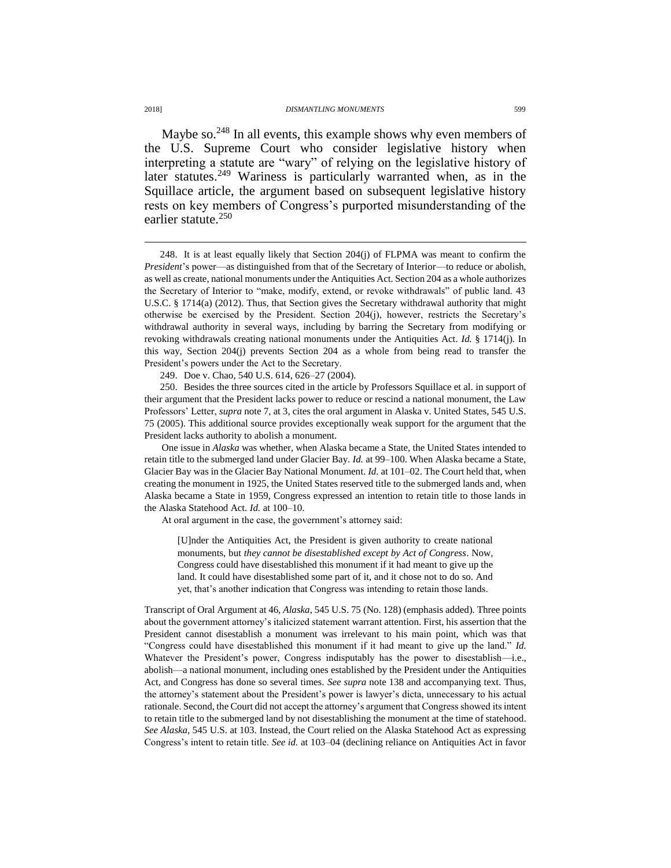Maybe so.<sup>248</sup> In all events, this example shows why even members of the U.S. Supreme Court who consider legislative history when interpreting a statute are "wary" of relying on the legislative history of later statutes.<sup>249</sup> Wariness is particularly warranted when, as in the Squillace article, the argument based on subsequent legislative history rests on key members of Congress's purported misunderstanding of the earlier statute.<sup>250</sup>

248. It is at least equally likely that Section 204(j) of FLPMA was meant to confirm the *President*'s power—as distinguished from that of the Secretary of Interior—to reduce or abolish, as well as create, national monuments under the Antiquities Act. Section 204 as a whole authorizes the Secretary of Interior to "make, modify, extend, or revoke withdrawals" of public land. 43 U.S.C. § 1714(a) (2012). Thus, that Section gives the Secretary withdrawal authority that might otherwise be exercised by the President. Section 204(j), however, restricts the Secretary's withdrawal authority in several ways, including by barring the Secretary from modifying or revoking withdrawals creating national monuments under the Antiquities Act. *Id.* § 1714(j). In this way, Section 204(j) prevents Section 204 as a whole from being read to transfer the President's powers under the Act to the Secretary.

249. Doe v. Chao, 540 U.S. 614, 626–27 (2004).

250. Besides the three sources cited in the article by Professors Squillace et al. in support of their argument that the President lacks power to reduce or rescind a national monument, the Law Professors' Letter, *supra* not[e 7,](#page-2-0) at 3, cites the oral argument in Alaska v. United States, 545 U.S. 75 (2005). This additional source provides exceptionally weak support for the argument that the President lacks authority to abolish a monument.

One issue in *Alaska* was whether, when Alaska became a State, the United States intended to retain title to the submerged land under Glacier Bay. *Id.* at 99–100. When Alaska became a State, Glacier Bay was in the Glacier Bay National Monument. *Id.* at 101–02. The Court held that, when creating the monument in 1925, the United States reserved title to the submerged lands and, when Alaska became a State in 1959, Congress expressed an intention to retain title to those lands in the Alaska Statehood Act. *Id.* at 100–10.

At oral argument in the case, the government's attorney said:

[U]nder the Antiquities Act, the President is given authority to create national monuments, but *they cannot be disestablished except by Act of Congress*. Now, Congress could have disestablished this monument if it had meant to give up the land. It could have disestablished some part of it, and it chose not to do so. And yet, that's another indication that Congress was intending to retain those lands.

Transcript of Oral Argument at 46, *Alaska*, 545 U.S. 75 (No. 128) (emphasis added). Three points about the government attorney's italicized statement warrant attention. First, his assertion that the President cannot disestablish a monument was irrelevant to his main point, which was that "Congress could have disestablished this monument if it had meant to give up the land." *Id.*  Whatever the President's power, Congress indisputably has the power to disestablish—i.e., abolish—a national monument, including ones established by the President under the Antiquities Act, and Congress has done so several times. *See supra* note [138](#page-26-0) and accompanying text. Thus, the attorney's statement about the President's power is lawyer's dicta, unnecessary to his actual rationale. Second, the Court did not accept the attorney's argument that Congress showed its intent to retain title to the submerged land by not disestablishing the monument at the time of statehood. *See Alaska*, 545 U.S. at 103. Instead, the Court relied on the Alaska Statehood Act as expressing Congress's intent to retain title. *See id.* at 103–04 (declining reliance on Antiquities Act in favor